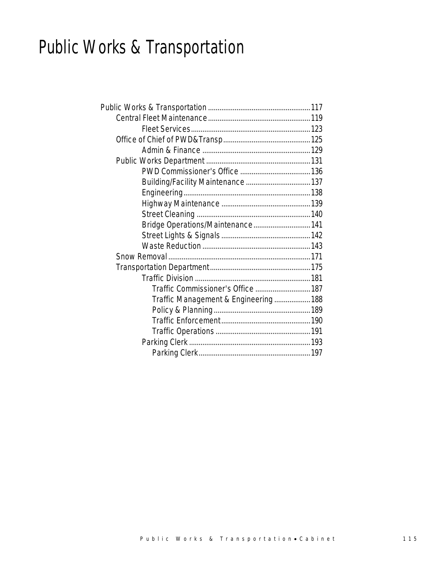# Public Works & Transportation

| Bridge Operations/Maintenance 141<br>Traffic Commissioner's Office  187<br>Traffic Management & Engineering 188 |  |
|-----------------------------------------------------------------------------------------------------------------|--|
|                                                                                                                 |  |
|                                                                                                                 |  |
|                                                                                                                 |  |
|                                                                                                                 |  |
|                                                                                                                 |  |
|                                                                                                                 |  |
|                                                                                                                 |  |
|                                                                                                                 |  |
|                                                                                                                 |  |
|                                                                                                                 |  |
|                                                                                                                 |  |
|                                                                                                                 |  |
|                                                                                                                 |  |
|                                                                                                                 |  |
|                                                                                                                 |  |
|                                                                                                                 |  |
|                                                                                                                 |  |
|                                                                                                                 |  |
|                                                                                                                 |  |
|                                                                                                                 |  |
|                                                                                                                 |  |
|                                                                                                                 |  |
|                                                                                                                 |  |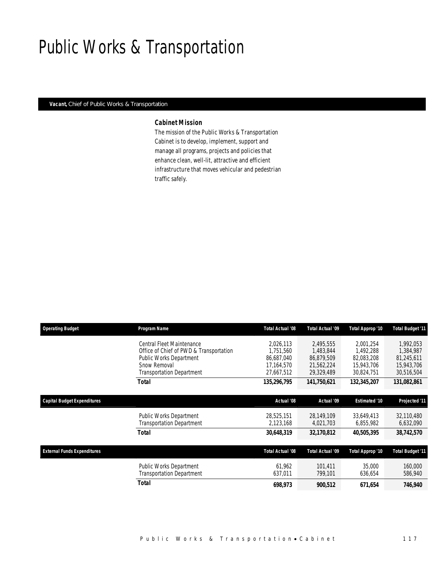# Public Works & Transportation

#### *Vacant, Chief of Public Works & Transportation*

#### *Cabinet Mission*

The mission of the Public Works & Transportation Cabinet is to develop, implement, support and manage all programs, projects and policies that enhance clean, well-lit, attractive and efficient infrastructure that moves vehicular and pedestrian traffic safely.

| <b>Operating Budget</b>            | Program Name                            | <b>Total Actual '08</b> | Total Actual '09 | Total Approp '10     | Total Budget '11 |
|------------------------------------|-----------------------------------------|-------------------------|------------------|----------------------|------------------|
|                                    | Central Fleet Maintenance               | 2.026.113               | 2.495.555        | 2.001,254            | 1.992.053        |
|                                    | Office of Chief of PWD & Transportation | 1,751,560               | 1,483,844        | 1,492,288            | 1,384,987        |
|                                    | <b>Public Works Department</b>          | 86.687.040              | 86.879.509       | 82.083.208           | 81,245,611       |
|                                    | Snow Removal                            | 17.164.570              | 21,562,224       | 15,943,706           | 15,943,706       |
|                                    | <b>Transportation Department</b>        | 27,667,512              | 29,329,489       | 30,824,751           | 30,516,504       |
|                                    | <b>Total</b>                            | 135,296,795             | 141,750,621      | 132,345,207          | 131,082,861      |
| <b>Capital Budget Expenditures</b> |                                         | Actual '08              | Actual '09       | <b>Estimated '10</b> | Projected '11    |
|                                    |                                         |                         |                  |                      |                  |
|                                    | <b>Public Works Department</b>          | 28,525,151              | 28,149,109       | 33,649,413           | 32,110,480       |
|                                    | <b>Transportation Department</b>        | 2,123,168               | 4,021,703        | 6,855,982            | 6,632,090        |
|                                    | <b>Total</b>                            | 30,648,319              | 32,170,812       | 40,505,395           | 38,742,570       |
|                                    |                                         |                         |                  |                      |                  |
| <b>External Funds Expenditures</b> |                                         | <b>Total Actual '08</b> | Total Actual '09 | Total Approp '10     | Total Budget '11 |
|                                    | Public Works Department                 | 61.962                  | 101.411          | 35,000               | 160,000          |
|                                    | <b>Transportation Department</b>        | 637,011                 | 799,101          | 636,654              | 586,940          |
|                                    | <b>Total</b>                            | 698,973                 | 900,512          | 671.654              | 746,940          |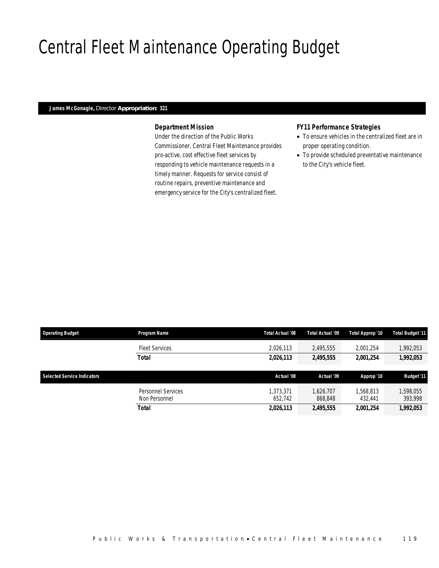# Central Fleet Maintenance Operating Budget

#### *James McGonagle, Director Appropriation: 321*

#### *Department Mission*

Under the direction of the Public Works Commissioner, Central Fleet Maintenance provides pro-active, cost effective fleet services by responding to vehicle maintenance requests in a timely manner. Requests for service consist of routine repairs, preventive maintenance and emergency service for the City's centralized fleet.

#### *FY11 Performance Strategies*

- To ensure vehicles in the centralized fleet are in proper operating condition.
- To provide scheduled preventative maintenance to the City's vehicle fleet.

| <b>Operating Budget</b>            | Program Name                        | Total Actual '08     | Total Actual '09     | Total Approp '10     | Total Budget '11     |
|------------------------------------|-------------------------------------|----------------------|----------------------|----------------------|----------------------|
|                                    | <b>Fleet Services</b>               | 2,026,113            | 2.495.555            | 2,001,254            | 1,992,053            |
|                                    | <b>Total</b>                        | 2,026,113            | 2,495,555            | 2.001.254            | 1,992,053            |
| <b>Selected Service Indicators</b> |                                     | Actual '08           | Actual '09           | Approp '10           | <b>Budget '11</b>    |
|                                    | Personnel Services<br>Non Personnel | 1.373.371<br>652.742 | 1.626.707<br>868,848 | 1,568,813<br>432.441 | 1,598,055<br>393,998 |
|                                    | <b>Total</b>                        | 2,026,113            | 2,495,555            | 2,001,254            | 1,992,053            |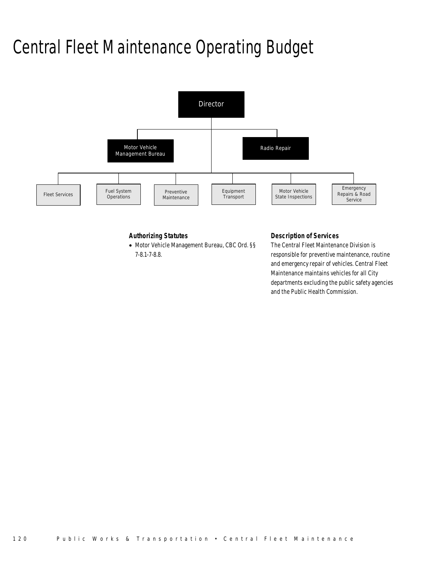# Central Fleet Maintenance Operating Budget



#### *Authorizing Statutes*

• Motor Vehicle Management Bureau, CBC Ord. §§ 7-8.1-7-8.8.

#### *Description of Services*

The Central Fleet Maintenance Division is responsible for preventive maintenance, routine and emergency repair of vehicles. Central Fleet Maintenance maintains vehicles for all City departments excluding the public safety agencies and the Public Health Commission.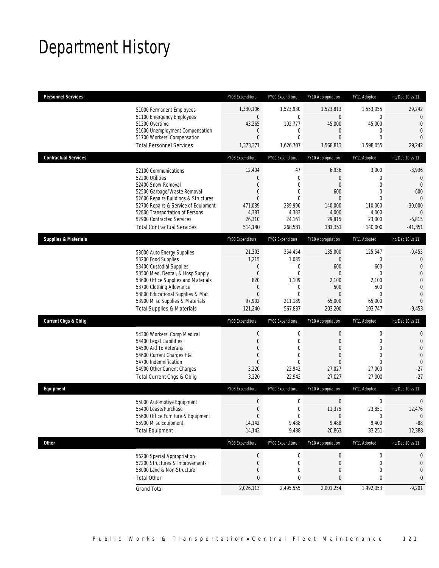# Department History

| <b>Personnel Services</b>       |                                                                          | FY08 Expenditure                     | FY09 Expenditure              | FY10 Appropriation            | FY11 Adopted                | Inc/Dec 10 vs 11           |
|---------------------------------|--------------------------------------------------------------------------|--------------------------------------|-------------------------------|-------------------------------|-----------------------------|----------------------------|
|                                 | 51000 Permanent Employees                                                | 1,330,106                            | 1,523,930                     | 1,523,813                     | 1,553,055                   | 29,242                     |
|                                 | 51100 Emergency Employees                                                | $\boldsymbol{0}$                     | $\boldsymbol{0}$              | $\mathbf 0$                   | 0                           | $\overline{0}$             |
|                                 | 51200 Overtime                                                           | 43,265                               | 102,777                       | 45,000                        | 45,000                      | $\theta$<br>$\overline{0}$ |
|                                 | 51600 Unemployment Compensation<br>51700 Workers' Compensation           | $\mathbf 0$<br>$\mathbf{0}$          | $\mathbf 0$<br>$\overline{0}$ | $\mathbf 0$<br>$\overline{0}$ | $\mathbf 0$<br>$\mathbf{0}$ | $\Omega$                   |
|                                 | <b>Total Personnel Services</b>                                          | 1,373,371                            | 1,626,707                     | 1,568,813                     | 1,598,055                   | 29,242                     |
| <b>Contractual Services</b>     |                                                                          | FY08 Expenditure                     | FY09 Expenditure              | FY10 Appropriation            | FY11 Adopted                | Inc/Dec 10 vs 11           |
|                                 | 52100 Communications                                                     | 12,404                               | 47                            | 6,936                         | 3,000                       | -3,936                     |
|                                 | 52200 Utilities                                                          | $\mathbf 0$                          | $\mathbf 0$                   | $\theta$                      | $\mathbf{0}$                | $\mathbf{0}$               |
|                                 | 52400 Snow Removal                                                       | $\mathbf{0}$                         | $\overline{0}$                | $\overline{0}$                | $\overline{0}$              | $\theta$                   |
|                                 | 52500 Garbage/Waste Removal                                              | $\mathbf 0$                          | $\mathbf{0}$                  | 600                           | $\mathbf{0}$                | $-600$                     |
|                                 | 52600 Repairs Buildings & Structures                                     | $\mathbf{0}$                         | $\mathbf{0}$                  | $\theta$                      | $\theta$                    | $\mathbf{0}$               |
|                                 | 52700 Repairs & Service of Equipment<br>52800 Transportation of Persons  | 471,039<br>4,387                     | 239,990<br>4,383              | 140,000<br>4,000              | 110,000<br>4,000            | $-30,000$<br>$\theta$      |
|                                 | 52900 Contracted Services                                                | 26,310                               | 24,161                        | 29,815                        | 23,000                      | $-6,815$                   |
|                                 | <b>Total Contractual Services</b>                                        | 514,140                              | 268,581                       | 181,351                       | 140,000                     | -41,351                    |
| <b>Supplies &amp; Materials</b> |                                                                          | FY08 Expenditure                     | FY09 Expenditure              | FY10 Appropriation            | FY11 Adopted                | Inc/Dec 10 vs 11           |
|                                 | 53000 Auto Energy Supplies                                               | 21,303                               | 354,454                       | 135,000                       | 125,547                     | -9,453                     |
|                                 | 53200 Food Supplies                                                      | 1,215                                | 1,085                         | $\mathbf 0$                   | $\mathbf{0}$                | 0                          |
|                                 | 53400 Custodial Supplies                                                 | $\mathbf 0$                          | $\mathbf{0}$                  | 600                           | 600                         | $\overline{0}$             |
|                                 | 53500 Med, Dental, & Hosp Supply                                         | $\boldsymbol{0}$                     | $\mathbf{0}$                  | $\mathbf{0}$                  | $\mathbf 0$                 | $\overline{0}$             |
|                                 | 53600 Office Supplies and Materials                                      | 820                                  | 1,109                         | 2,100                         | 2,100                       | $\mathbf 0$                |
|                                 | 53700 Clothing Allowance                                                 | $\mathbf 0$                          | $\mathbf 0$                   | 500                           | 500                         | $\overline{0}$             |
|                                 | 53800 Educational Supplies & Mat                                         | $\mathbf{0}$                         | $\mathbf{0}$                  | $\theta$                      | $\theta$                    | $\overline{0}$<br>$\Omega$ |
|                                 | 53900 Misc Supplies & Materials<br><b>Total Supplies &amp; Materials</b> | 97,902<br>121,240                    | 211,189<br>567,837            | 65,000<br>203,200             | 65,000<br>193,747           | $-9,453$                   |
|                                 |                                                                          |                                      |                               |                               |                             |                            |
| <b>Current Chgs &amp; Oblig</b> |                                                                          | FY08 Expenditure                     | FY09 Expenditure              | FY10 Appropriation            | FY11 Adopted                | Inc/Dec 10 vs 11           |
|                                 | 54300 Workers' Comp Medical                                              | $\boldsymbol{0}$                     | $\mathbf 0$                   | $\mathbf{0}$                  | $\boldsymbol{0}$            | 0                          |
|                                 | 54400 Legal Liabilities                                                  | $\boldsymbol{0}$                     | $\mathbf{0}$                  | $\mathbf{0}$                  | $\mathbf{0}$                | $\mathbf 0$                |
|                                 | 54500 Aid To Veterans                                                    | $\mathbf{0}$                         | 0                             | $\Omega$                      | $\Omega$                    | $\overline{0}$             |
|                                 | 54600 Current Charges H&I                                                | $\boldsymbol{0}$                     | $\mathbf{0}$                  | $\theta$                      | $\mathbf{0}$                | $\overline{0}$             |
|                                 | 54700 Indemnification                                                    | $\mathbf{0}$<br>3,220                | $\Omega$<br>22,942            | $\Omega$<br>27,027            | $\theta$<br>27,000          | $\mathbf 0$<br>$-27$       |
|                                 | 54900 Other Current Charges<br>Total Current Chgs & Oblig                | 3,220                                | 22,942                        | 27,027                        | 27,000                      | $-27$                      |
| Equipment                       |                                                                          | FY08 Expenditure                     | FY09 Expenditure              | FY10 Appropriation            | FY11 Adopted                | Inc/Dec 10 vs 11           |
|                                 |                                                                          | $\boldsymbol{0}$                     |                               | $\boldsymbol{0}$              | $\boldsymbol{0}$            |                            |
|                                 | 55000 Automotive Equipment                                               |                                      | 0                             |                               |                             | 0                          |
|                                 | 55400 Lease/Purchase<br>55600 Office Furniture & Equipment               | $\boldsymbol{0}$<br>$\boldsymbol{0}$ | 0<br>0                        | 11,375<br>$\mathbf 0$         | 23,851<br>0                 | 12,476<br>$\overline{0}$   |
|                                 | 55900 Misc Equipment                                                     | 14,142                               | 9,488                         | 9,488                         | 9,400                       | $-88$                      |
|                                 | <b>Total Equipment</b>                                                   | 14,142                               | 9,488                         | 20,863                        | 33,251                      | 12,388                     |
| Other                           |                                                                          | FY08 Expenditure                     | FY09 Expenditure              | FY10 Appropriation            | FY11 Adopted                | Inc/Dec 10 vs 11           |
|                                 | 56200 Special Appropriation                                              | $\boldsymbol{0}$                     | 0                             | $\mathbf 0$                   | 0                           | 0                          |
|                                 | 57200 Structures & Improvements                                          | $\boldsymbol{0}$                     | 0                             | $\mathbf 0$                   | $\mathbf 0$                 | $\mathbf 0$                |
|                                 | 58000 Land & Non-Structure                                               | $\mathbf 0$                          | 0                             | $\theta$                      | $\mathbf{0}$                | 0                          |
|                                 | <b>Total Other</b>                                                       | $\bf{0}$                             | 0                             | $\bf{0}$                      | 0                           | 0                          |
|                                 | <b>Grand Total</b>                                                       | 2,026,113                            | 2,495,555                     | 2,001,254                     | 1,992,053                   | $-9,201$                   |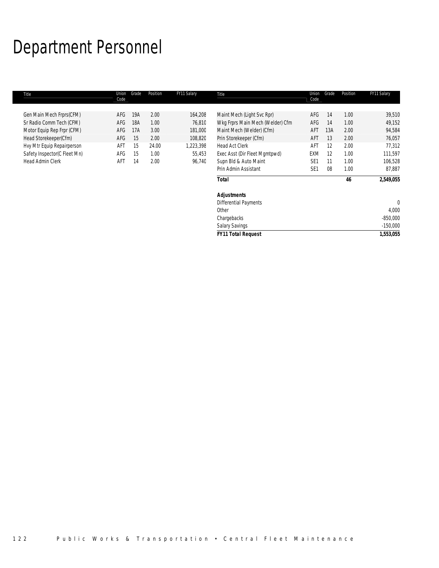# Department Personnel

| Title                        | Union<br>Code | Grade | Position | FY11 Salary | Title                            | Union<br>Code   | Grade | Position | FY11 Salary |
|------------------------------|---------------|-------|----------|-------------|----------------------------------|-----------------|-------|----------|-------------|
| Gen Main Mech Frprs(CFM)     | AFG           | 19A   | 2.00     | 164,208     | Maint Mech (Light Svc Rpr)       | AFG             | 14    | 1.00     | 39,510      |
| Sr Radio Comm Tech (CFM)     | AFG           | 18A   | 1.00     | 76,810      | Wkg Frprs Main Mech (Welder) Cfm | AFG             | 14    | 1.00     | 49,152      |
| Motor Equip Rep Frpr (CFM)   | AFG           | 17A   | 3.00     | 181,000     | Maint Mech (Welder) (Cfm)        | AFT             | 13A   | 2.00     | 94,584      |
| Head Storekeeper(Cfm)        | AFG           | 15    | 2.00     | 108,820     | Prin Storekeeper (Cfm)           | AFT             | 13    | 2.00     | 76,057      |
| Hvy Mtr Equip Repairperson   | AFT           | 15    | 24.00    | 1,223,398   | Head Act Clerk                   | AFT             | 12    | 2.00     | 77,312      |
| Safety Inspector(C Fleet Mn) | AFG           | 15    | 1.00     | 55,453      | Exec Asst (Dir Fleet Mgmtpwd)    | <b>EXM</b>      | 12    | 1.00     | 111,597     |
| Head Admin Clerk             | AFT           | 14    | 2.00     | 96,740      | Supn Bld & Auto Maint            | SE <sub>1</sub> | 11    | 1.00     | 106,528     |
|                              |               |       |          |             | Prin Admin Assistant             | SE <sub>1</sub> | 08    | 1.00     | 87,887      |
|                              |               |       |          |             | <b>Total</b>                     |                 |       | 46       | 2,549,055   |
|                              |               |       |          |             | <b>Adjustments</b>               |                 |       |          |             |
|                              |               |       |          |             | <b>Differential Payments</b>     |                 |       |          | 0           |
|                              |               |       |          |             | Other                            |                 |       |          | 4,000       |
|                              |               |       |          |             | Chargebacks                      |                 |       |          | $-850,000$  |
|                              |               |       |          |             | <b>Salary Savings</b>            |                 |       |          | $-150,000$  |
|                              |               |       |          |             | <b>FY11 Total Request</b>        |                 |       |          | 1,553,055   |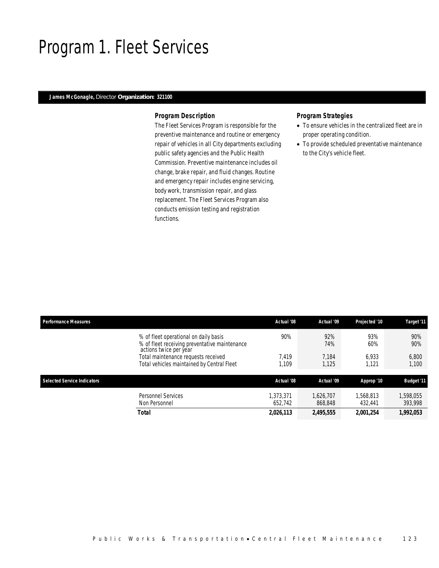### Program 1. Fleet Services

#### *James McGonagle, Director Organization: 321100*

#### *Program Description*

The Fleet Services Program is responsible for the preventive maintenance and routine or emergency repair of vehicles in all City departments excluding public safety agencies and the Public Health Commission. Preventive maintenance includes oil change, brake repair, and fluid changes. Routine and emergency repair includes engine servicing, body work, transmission repair, and glass replacement. The Fleet Services Program also conducts emission testing and registration functions.

#### *Program Strategies*

- To ensure vehicles in the centralized fleet are in proper operating condition.
- To provide scheduled preventative maintenance to the City's vehicle fleet.

| <b>Performance Measures</b> |                                                                                                                  | Actual '08          | Actual '09           | Projected '10        | Target '11           |
|-----------------------------|------------------------------------------------------------------------------------------------------------------|---------------------|----------------------|----------------------|----------------------|
|                             | % of fleet operational on daily basis<br>% of fleet receiving preventative maintenance<br>actions twice per year | 90%                 | 92%<br>74%           | 93%<br>60%           | 90%<br>90%           |
|                             | Total maintenance requests received<br>Total vehicles maintained by Central Fleet                                | 7.419<br>1.109      | 7.184<br>1,125       | 6.933<br>1.121       | 6,800<br>1.100       |
| Selected Service Indicators |                                                                                                                  | Actual '08          | Actual '09           | Approp '10           | <b>Budget '11</b>    |
|                             | <b>Personnel Services</b><br>Non Personnel                                                                       | .373.371<br>652,742 | 1.626.707<br>868,848 | 1,568,813<br>432,441 | 1,598,055<br>393,998 |
|                             | Total                                                                                                            | 2,026,113           | 2,495,555            | 2,001,254            | 1,992,053            |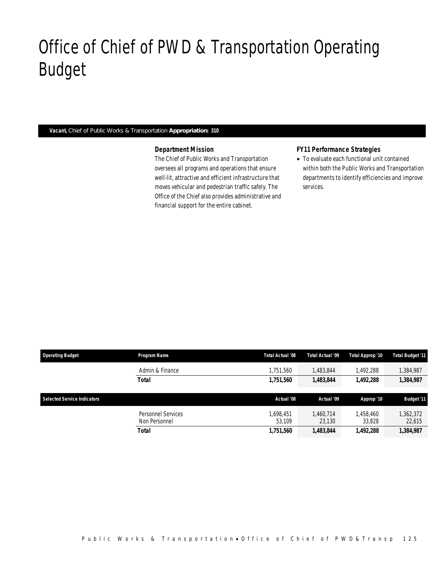# Office of Chief of PWD & Transportation Operating Budget

#### *Vacant, Chief of Public Works & Transportation Appropriation: 310*

Office of Chief of PWD&Transp

#### *Department Mission*

The Chief of Public Works and Transportation oversees all programs and operations that ensure well-lit, attractive and efficient infrastructure that moves vehicular and pedestrian traffic safely. The Office of the Chief also provides administrative and financial support for the entire cabinet.

### *FY11 Performance Strategies*

• To evaluate each functional unit contained within both the Public Works and Transportation departments to identify efficiencies and improve services.

| <b>Operating Budget</b>            | Program Name                        | Total Actual '08    | Total Actual '09    | Total Approp '10    | <b>Total Budget '11</b> |
|------------------------------------|-------------------------------------|---------------------|---------------------|---------------------|-------------------------|
|                                    | Admin & Finance                     | 1.751.560           | 1,483,844           | 1.492.288           | 384,987, ا              |
|                                    | Total                               | 1,751,560           | 1,483,844           | 1.492.288           | 1,384,987               |
| <b>Selected Service Indicators</b> |                                     | Actual '08          | Actual '09          | Approp '10          | <b>Budget '11</b>       |
|                                    | Personnel Services<br>Non Personnel | 1.698.451<br>53.109 | 1.460.714<br>23.130 | 1,458,460<br>33,828 | 362,372<br>22,615       |
|                                    | Total                               | 1,751,560           | 1,483,844           | 1,492,288           | 1,384,987               |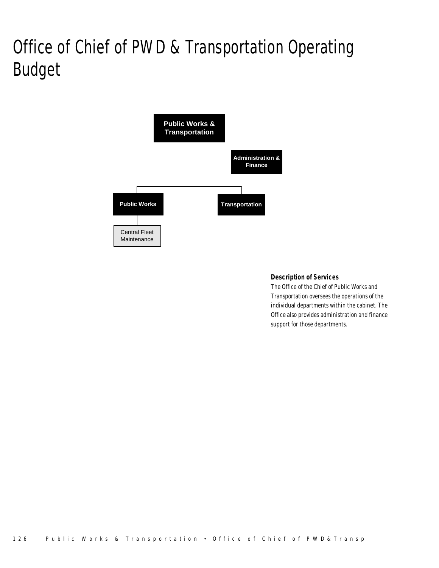# Office of Chief of PWD & Transportation Operating Budget



### *Description of Services*

The Office of the Chief of Public Works and Transportation oversees the operations of the individual departments within the cabinet. The Office also provides administration and finance support for those departments.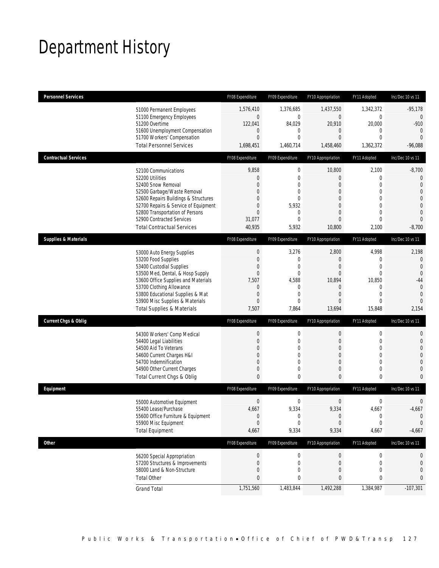# Department History

| <b>Personnel Services</b>       |                                                                              | FY08 Expenditure    | FY09 Expenditure     | FY10 Appropriation         | FY11 Adopted                 | Inc/Dec 10 vs 11              |
|---------------------------------|------------------------------------------------------------------------------|---------------------|----------------------|----------------------------|------------------------------|-------------------------------|
|                                 | 51000 Permanent Employees                                                    | 1,576,410           | 1,376,685            | 1,437,550                  | 1,342,372                    | $-95,178$                     |
|                                 | 51100 Emergency Employees                                                    | $\mathbf 0$         | 0                    | $\mathbf 0$                | $\boldsymbol{0}$             | $\overline{0}$                |
|                                 | 51200 Overtime<br>51600 Unemployment Compensation                            | 122,041<br>$\theta$ | 84,029<br>0          | 20,910<br>$\mathbf 0$      | 20,000<br>$\mathbf 0$        | $-910$<br>$\mathbf{0}$        |
|                                 | 51700 Workers' Compensation                                                  | $\overline{0}$      | $\mathbf{0}$         | $\overline{0}$             | $\mathbf{0}$                 | $\overline{0}$                |
|                                 | <b>Total Personnel Services</b>                                              | 1,698,451           | 1,460,714            | 1,458,460                  | 1,362,372                    | $-96,088$                     |
| <b>Contractual Services</b>     |                                                                              | FY08 Expenditure    | FY09 Expenditure     | FY10 Appropriation         | FY11 Adopted                 | Inc/Dec 10 vs 11              |
|                                 | 52100 Communications                                                         | 9,858               | $\boldsymbol{0}$     | 10,800                     | 2,100                        | $-8,700$                      |
|                                 | 52200 Utilities                                                              | $\theta$            | 0                    | 0                          | $\mathbf{0}$                 | $\mathbf 0$                   |
|                                 | 52400 Snow Removal                                                           | $\overline{0}$      | $\mathbf{0}$         | $\overline{0}$             | $\mathbf{0}$                 | $\overline{0}$                |
|                                 | 52500 Garbage/Waste Removal                                                  | 0<br>0              | $\mathbf{0}$<br>0    | $\overline{0}$<br>$\Omega$ | $\mathbf{0}$<br>$\mathbf{0}$ | $\overline{0}$<br>$\mathbf 0$ |
|                                 | 52600 Repairs Buildings & Structures<br>52700 Repairs & Service of Equipment | $\mathbf 0$         | 5,932                | $\overline{0}$             | $\mathbf{0}$                 | $\overline{0}$                |
|                                 | 52800 Transportation of Persons                                              | $\overline{0}$      | $\mathbf 0$          | $\overline{0}$             | $\mathbf{0}$                 | $\overline{0}$                |
|                                 | 52900 Contracted Services                                                    | 31,077              | $\Omega$             | $\overline{0}$             | $\mathbf{0}$                 | $\overline{0}$                |
|                                 | <b>Total Contractual Services</b>                                            | 40,935              | 5,932                | 10,800                     | 2,100                        | $-8,700$                      |
| <b>Supplies &amp; Materials</b> |                                                                              | FY08 Expenditure    | FY09 Expenditure     | FY10 Appropriation         | FY11 Adopted                 | Inc/Dec 10 vs 11              |
|                                 | 53000 Auto Energy Supplies                                                   | $\boldsymbol{0}$    | 3,276                | 2,800                      | 4,998                        | 2,198                         |
|                                 | 53200 Food Supplies                                                          | $\boldsymbol{0}$    | $\mathbf 0$          | $\overline{0}$             | $\mathbf 0$                  | $\mathbf{0}$                  |
|                                 | 53400 Custodial Supplies                                                     | 0                   | $\mathbf{0}$         | $\overline{0}$             | $\mathbf{0}$                 | $\overline{0}$                |
|                                 | 53500 Med, Dental, & Hosp Supply                                             | $\boldsymbol{0}$    | 0                    | $\overline{0}$             | $\mathbf{0}$                 | $\overline{0}$                |
|                                 | 53600 Office Supplies and Materials                                          | 7,507<br>$\theta$   | 4,588<br>$\mathbf 0$ | 10,894<br>$\mathbf 0$      | 10,850<br>$\mathbf 0$        | $-44$<br>$\mathbf{0}$         |
|                                 | 53700 Clothing Allowance<br>53800 Educational Supplies & Mat                 | $\mathbf 0$         | $\mathbf{0}$         | $\overline{0}$             | $\mathbf{0}$                 | $\mathbf{0}$                  |
|                                 | 53900 Misc Supplies & Materials                                              | $\overline{0}$      | $\Omega$             | $\overline{0}$             | $\mathbf{0}$                 | $\Omega$                      |
|                                 | <b>Total Supplies &amp; Materials</b>                                        | 7,507               | 7,864                | 13,694                     | 15,848                       | 2,154                         |
| <b>Current Chgs &amp; Oblig</b> |                                                                              | FY08 Expenditure    | FY09 Expenditure     | FY10 Appropriation         | FY11 Adopted                 | Inc/Dec 10 vs 11              |
|                                 | 54300 Workers' Comp Medical                                                  | $\boldsymbol{0}$    | $\mathbf 0$          | $\boldsymbol{0}$           | $\boldsymbol{0}$             | 0                             |
|                                 | 54400 Legal Liabilities                                                      | $\boldsymbol{0}$    | $\mathbf{0}$         | $\mathbf{0}$               | $\mathbf 0$                  | $\mathbf 0$                   |
|                                 | 54500 Aid To Veterans                                                        | 0                   | $\mathbf{0}$         | $\overline{0}$             | $\mathbf{0}$                 | $\overline{0}$                |
|                                 | 54600 Current Charges H&I                                                    | 0                   | 0                    | 0                          | $\mathbf 0$                  | $\overline{0}$                |
|                                 | 54700 Indemnification                                                        | 0                   | 0                    | 0                          | $\mathbf{0}$                 | $\mathbf 0$                   |
|                                 | 54900 Other Current Charges                                                  | $\boldsymbol{0}$    | $\mathbf 0$          | $\mathbf 0$                | $\mathbf 0$                  | $\mathbf{0}$                  |
|                                 | Total Current Chgs & Oblig                                                   | $\mathbf{0}$        | 0                    | $\mathbf{0}$               | $\bf{0}$                     | $\mathbf{0}$                  |
| Equipment                       |                                                                              | FY08 Expenditure    | FY09 Expenditure     | FY10 Appropriation         | FY11 Adopted                 | Inc/Dec 10 vs 11              |
|                                 | 55000 Automotive Equipment                                                   | $\boldsymbol{0}$    | 0                    | $\boldsymbol{0}$           | 0                            | $\mathbf 0$                   |
|                                 | 55400 Lease/Purchase                                                         | 4,667               | 9,334                | 9,334                      | 4,667                        | $-4,667$                      |
|                                 | 55600 Office Furniture & Equipment                                           | $\boldsymbol{0}$    | 0                    | $\boldsymbol{0}$           | $\boldsymbol{0}$             | $\theta$                      |
|                                 | 55900 Misc Equipment                                                         | $\mathbf 0$         | 0                    | $\boldsymbol{0}$           | $\mathbf 0$                  | $\mathbf 0$                   |
|                                 | <b>Total Equipment</b>                                                       | 4,667               | 9,334                | 9,334                      | 4,667                        | $-4,667$                      |
| Other                           |                                                                              | FY08 Expenditure    | FY09 Expenditure     | FY10 Appropriation         | FY11 Adopted                 | Inc/Dec 10 vs 11              |
|                                 | 56200 Special Appropriation                                                  | $\boldsymbol{0}$    | 0                    | $\boldsymbol{0}$           | 0                            | 0                             |
|                                 | 57200 Structures & Improvements                                              | $\boldsymbol{0}$    | 0                    | $\theta$                   | $\mathbf 0$                  | $\mathbf 0$                   |
|                                 | 58000 Land & Non-Structure                                                   | $\mathbf 0$         | 0                    | 0                          | $\mathbf{0}$                 | 0                             |
|                                 | <b>Total Other</b>                                                           | 0                   | 0                    | 0                          | 0                            | 0                             |
|                                 | <b>Grand Total</b>                                                           | 1,751,560           | 1,483,844            | 1,492,288                  | 1,384,987                    | $-107,301$                    |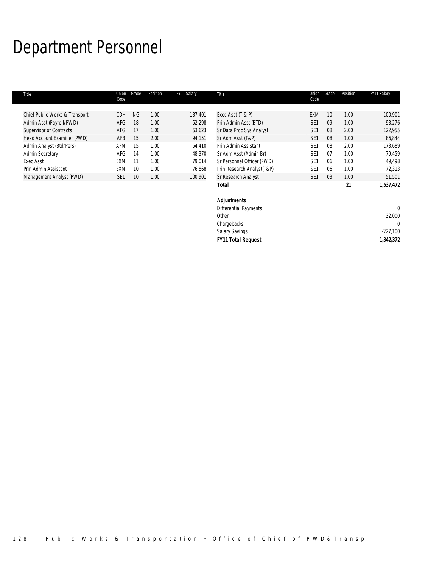# Department Personnel

| Title                          | Union<br>Code   | Grade           | Position | FY11 Salary | Title                        | Union<br>Code   | Grade | Position | FY11 Salary  |
|--------------------------------|-----------------|-----------------|----------|-------------|------------------------------|-----------------|-------|----------|--------------|
|                                |                 |                 |          |             |                              |                 |       |          |              |
| Chief Public Works & Transport | <b>CDH</b>      | <b>NG</b>       | 1.00     | 137,401     | Exec Asst (T & P)            | <b>EXM</b>      | 10    | 1.00     | 100,901      |
| Admin Asst (Payroll/PWD)       | AFG             | 18              | 1.00     | 52,298      | Prin Admin Asst (BTD)        | SE <sub>1</sub> | 09    | 1.00     | 93,276       |
| Supervisor of Contracts        | AFG             | 17              | 1.00     | 63,623      | Sr Data Proc Sys Analyst     | SE <sub>1</sub> | 08    | 2.00     | 122,955      |
| Head Account Examiner (PWD)    | AFB             | 15              | 2.00     | 94,151      | Sr Adm Asst (T&P)            | SE <sub>1</sub> | 08    | 1.00     | 86,844       |
| Admin Analyst (Btd/Pers)       | AFM             | 15              | 1.00     | 54,410      | Prin Admin Assistant         | SE <sub>1</sub> | 08    | 2.00     | 173,689      |
| <b>Admin Secretary</b>         | AFG             | 14              | 1.00     | 48,370      | Sr Adm Asst (Admin Br)       | SE <sub>1</sub> | 07    | 1.00     | 79,459       |
| <b>Exec Asst</b>               | EXM             |                 | 1.00     | 79,014      | Sr Personnel Officer (PWD)   | SE <sub>1</sub> | 06    | 1.00     | 49,498       |
| Prin Admin Assistant           | <b>EXM</b>      | 10 <sup>°</sup> | 1.00     | 76,868      | Prin Research Analyst(T&P)   | SE <sub>1</sub> | 06    | 1.00     | 72,313       |
| Management Analyst (PWD)       | SE <sub>1</sub> | 10 <sup>°</sup> | 1.00     | 100,901     | Sr Research Analyst          | SE <sub>1</sub> | 03    | 1.00     | 51,501       |
|                                |                 |                 |          |             | Total                        |                 |       | 21       | 1,537,472    |
|                                |                 |                 |          |             | <b>Adjustments</b>           |                 |       |          |              |
|                                |                 |                 |          |             | <b>Differential Payments</b> |                 |       |          | $\mathbf{0}$ |
|                                |                 |                 |          |             | Other                        |                 |       |          | 32,000       |
|                                |                 |                 |          |             | Chargebacks                  |                 |       |          | 0            |

Salary Savings -227,100 *FY11 Total Request 1,342,372*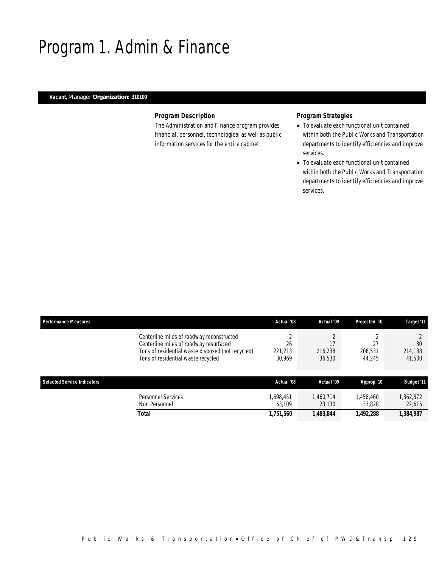## Program 1. Admin & Finance

### *Vacant, Manager Organization: 310100*

#### *Program Description*

The Administration and Finance program provides financial, personnel, technological as well as public information services for the entire cabinet.

### *Program Strategies*

- To evaluate each functional unit contained within both the Public Works and Transportation departments to identify efficiencies and improve services.
- To evaluate each functional unit contained within both the Public Works and Transportation departments to identify efficiencies and improve services.

| <b>Performance Measures</b>                                                                                                                                                    | Actual '08                          | Actual '09          | Projected '10       | Target '11              |
|--------------------------------------------------------------------------------------------------------------------------------------------------------------------------------|-------------------------------------|---------------------|---------------------|-------------------------|
| Centerline miles of roadway reconstructed<br>Centerline miles of roadway resurfaced<br>Tons of residential waste disposed (not recycled)<br>Tons of residential waste recycled | $\Omega$<br>26<br>221,213<br>30,969 | 216,238<br>36,530   | 206,531<br>44.245   | 30<br>214,138<br>41,500 |
| <b>Selected Service Indicators</b>                                                                                                                                             | Actual '08                          | Actual '09          | Approp '10          | <b>Budget '11</b>       |
| Personnel Services<br>Non Personnel                                                                                                                                            | 1,698,451<br>53.109                 | 1.460.714<br>23.130 | 1,458,460<br>33,828 | 1,362,372<br>22,615     |
| Total                                                                                                                                                                          | 1,751,560                           | 1,483,844           | 1,492,288           | 1,384,987               |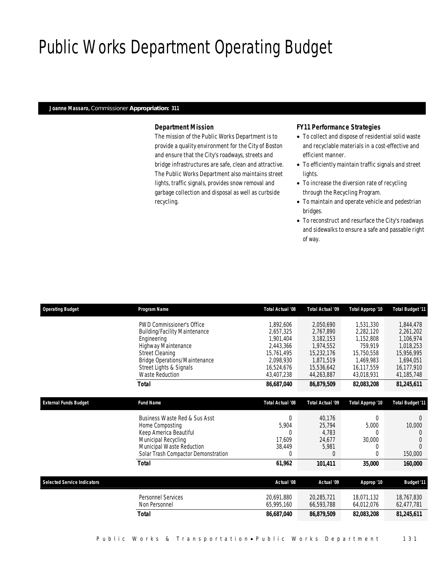# Public Works Department Operating Budget

#### *Joanne Massaro, Commissioner Appropriation: 311*

### *Department Mission*

The mission of the Public Works Department is to provide a quality environment for the City of Boston and ensure that the City's roadways, streets and bridge infrastructures are safe, clean and attractive. The Public Works Department also maintains street lights, traffic signals, provides snow removal and garbage collection and disposal as well as curbside recycling.

#### *FY11 Performance Strategies*

- To collect and dispose of residential solid waste and recyclable materials in a cost-effective and efficient manner.
- To efficiently maintain traffic signals and street lights.
- To increase the diversion rate of recycling through the Recycling Program.
- To maintain and operate vehicle and pedestrian bridges.
- To reconstruct and resurface the City's roadways and sidewalks to ensure a safe and passable right of way.

| <b>Operating Budget</b>            | <b>Program Name</b>                  | Total Actual '08 | Total Actual '09        | Total Approp '10 | <b>Total Budget '11</b> |
|------------------------------------|--------------------------------------|------------------|-------------------------|------------------|-------------------------|
|                                    | <b>PWD Commissioner's Office</b>     | 1,892,606        | 2,050,690               | 1,531,330        | 1,844,478               |
|                                    | <b>Building/Facility Maintenance</b> | 2,657,325        | 2,767,890               | 2,282,120        | 2,261,202               |
|                                    | Engineering                          | 1,901,404        | 3,182,153               | 1,152,808        | 1,106,974               |
|                                    | Highway Maintenance                  | 2,443,366        | 1,974,552               | 759,919          | 1,018,253               |
|                                    | <b>Street Cleaning</b>               | 15,761,495       | 15,232,176              | 15,750,558       | 15,956,995              |
|                                    | <b>Bridge Operations/Maintenance</b> | 2,098,930        | 1,871,519               | 1,469,983        | 1,694,051               |
|                                    | Street Lights & Signals              | 16.524.676       | 15,536,642              | 16.117.559       | 16.177.910              |
|                                    | <b>Waste Reduction</b>               | 43,407,238       | 44,263,887              | 43,018,931       | 41,185,748              |
|                                    | <b>Total</b>                         | 86,687,040       | 86,879,509              | 82,083,208       | 81,245,611              |
|                                    |                                      |                  |                         |                  |                         |
| <b>External Funds Budget</b>       | <b>Fund Name</b>                     | Total Actual '08 | <b>Total Actual '09</b> | Total Approp '10 | <b>Total Budget '11</b> |
|                                    | Business Waste Red & Sus Asst        | $\theta$         | 40.176                  | 0                | $\Omega$                |
|                                    | Home Composting                      | 5.904            | 25,794                  | 5,000            | 10,000                  |
|                                    | Keep America Beautiful               | $\Omega$         | 4,783                   | 0                | $\Omega$                |
|                                    | Municipal Recycling                  | 17.609           | 24.677                  | 30,000           |                         |
|                                    | Municipal Waste Reduction            | 38,449           | 5.981                   | $\left($         |                         |
|                                    | Solar Trash Compactor Demonstration  | $\Omega$         | $\Omega$                | 0                | 150,000                 |
|                                    | <b>Total</b>                         | 61,962           | 101,411                 | 35,000           | 160,000                 |
|                                    |                                      |                  |                         |                  |                         |
| <b>Selected Service Indicators</b> |                                      | Actual '08       | Actual '09              | Approp '10       | <b>Budget '11</b>       |
|                                    | <b>Personnel Services</b>            | 20.691.880       | 20.285.721              | 18.071.132       | 18.767.830              |
|                                    | Non Personnel                        | 65,995,160       | 66,593,788              | 64,012,076       | 62,477,781              |
|                                    | <b>Total</b>                         | 86,687,040       | 86,879,509              | 82,083,208       | 81,245,611              |
|                                    |                                      |                  |                         |                  |                         |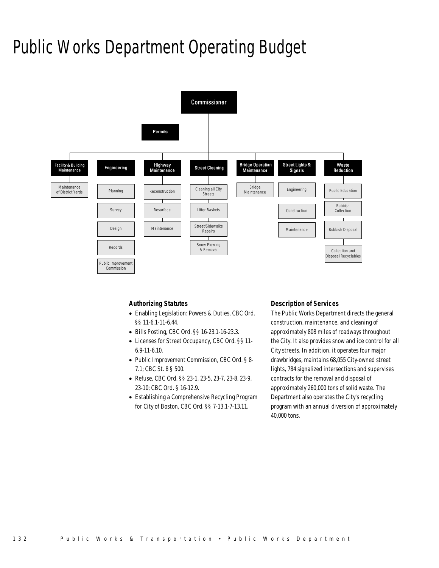# Public Works Department Operating Budget



### *Authorizing Statutes*

- Enabling Legislation: Powers & Duties, CBC Ord. §§ 11-6.1-11-6.44.
- Bills Posting, CBC Ord. §§ 16-23.1-16-23.3.
- Licenses for Street Occupancy, CBC Ord. §§ 11- 6.9-11-6.10.
- Public Improvement Commission, CBC Ord. § 8- 7.1; CBC St. 8 § 500.
- Refuse, CBC Ord. §§ 23-1, 23-5, 23-7, 23-8, 23-9, 23-10; CBC Ord. § 16-12.9.
- Establishing a Comprehensive Recycling Program for City of Boston, CBC Ord. §§ 7-13.1-7-13.11.

#### *Description of Services*

The Public Works Department directs the general construction, maintenance, and cleaning of approximately 808 miles of roadways throughout the City. It also provides snow and ice control for all City streets. In addition, it operates four major drawbridges, maintains 68,055 City-owned street lights, 784 signalized intersections and supervises contracts for the removal and disposal of approximately 260,000 tons of solid waste. The Department also operates the City's recycling program with an annual diversion of approximately 40,000 tons.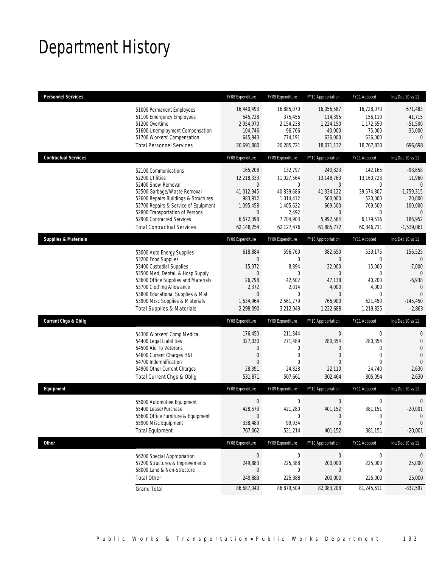# Department History

| <b>Personnel Services</b>       |                                                                                                                                                                                                                                                                                                      | FY08 Expenditure                                                                                           | FY09 Expenditure                                                                                             | FY10 Appropriation                                                                                              | FY11 Adopted                                                                                                        | Inc/Dec 10 vs 11                                                                                                    |
|---------------------------------|------------------------------------------------------------------------------------------------------------------------------------------------------------------------------------------------------------------------------------------------------------------------------------------------------|------------------------------------------------------------------------------------------------------------|--------------------------------------------------------------------------------------------------------------|-----------------------------------------------------------------------------------------------------------------|---------------------------------------------------------------------------------------------------------------------|---------------------------------------------------------------------------------------------------------------------|
|                                 | 51000 Permanent Employees<br>51100 Emergency Employees<br>51200 Overtime<br>51600 Unemployment Compensation<br>51700 Workers' Compensation<br><b>Total Personnel Services</b>                                                                                                                        | 16,440,493<br>545,728<br>2,954,970<br>104,746<br>645,943<br>20,691,880                                     | 16,885,070<br>375,456<br>2,154,238<br>96,766<br>774,191<br>20,285,721                                        | 16,056,587<br>114,395<br>1,224,150<br>40,000<br>636,000<br>18,071,132                                           | 16,728,070<br>156,110<br>1,172,650<br>75,000<br>636,000<br>18,767,830                                               | 671,483<br>41,715<br>$-51,500$<br>35,000<br>$\overline{0}$<br>696,698                                               |
| <b>Contractual Services</b>     |                                                                                                                                                                                                                                                                                                      | FY08 Expenditure                                                                                           | FY09 Expenditure                                                                                             | FY10 Appropriation                                                                                              | FY11 Adopted                                                                                                        | Inc/Dec 10 vs 11                                                                                                    |
|                                 | 52100 Communications<br>52200 Utilities<br>52400 Snow Removal<br>52500 Garbage/Waste Removal<br>52600 Repairs Buildings & Structures<br>52700 Repairs & Service of Equipment<br>52800 Transportation of Persons<br>52900 Contracted Services<br><b>Total Contractual Services</b>                    | 165,208<br>12.218.333<br>0<br>41,012,945<br>983,912<br>1,095,458<br>$\mathbf 0$<br>6,672,398<br>62,148,254 | 132,797<br>11,027,564<br>0<br>40,839,686<br>1,014,412<br>1,405,622<br>2,492<br>7,704,903<br>62,127,476       | 240,823<br>13,148,763<br>$\mathbf 0$<br>41,334,122<br>500,000<br>669,500<br>$\theta$<br>5,992,564<br>61,885,772 | 142,165<br>13.160.723<br>$\mathbf 0$<br>39,574,807<br>520,000<br>769,500<br>$\mathbf{0}$<br>6,179,516<br>60,346,711 | $-98,658$<br>11,960<br>$\mathbf{0}$<br>$-1,759,315$<br>20,000<br>100,000<br>$\mathbf{0}$<br>186,952<br>$-1,539,061$ |
| <b>Supplies &amp; Materials</b> |                                                                                                                                                                                                                                                                                                      | FY08 Expenditure                                                                                           | FY09 Expenditure                                                                                             | FY10 Appropriation                                                                                              | FY11 Adopted                                                                                                        | Inc/Dec 10 vs 11                                                                                                    |
|                                 | 53000 Auto Energy Supplies<br>53200 Food Supplies<br>53400 Custodial Supplies<br>53500 Med, Dental, & Hosp Supply<br>53600 Office Supplies and Materials<br>53700 Clothing Allowance<br>53800 Educational Supplies & Mat<br>53900 Misc Supplies & Materials<br><b>Total Supplies &amp; Materials</b> | 618,884<br>$\boldsymbol{0}$<br>15,072<br>0<br>26,798<br>2,372<br>0<br>1,634,964<br>2,298,090               | 596,760<br>$\mathbf{0}$<br>8,894<br>$\mathbf 0$<br>42,602<br>2,014<br>$\mathbf{0}$<br>2,561,779<br>3,212,049 | 382,650<br>$\mathbf{0}$<br>22,000<br>$\theta$<br>47,138<br>4,000<br>$\mathbf{0}$<br>766,900<br>1,222,688        | 539,175<br>$\mathbf 0$<br>15,000<br>$\mathbf 0$<br>40,200<br>4,000<br>$\mathbf{0}$<br>621,450<br>1,219,825          | 156,525<br>$\theta$<br>$-7,000$<br>$\Omega$<br>$-6,938$<br>$\mathbf{0}$<br>$\overline{0}$<br>$-145,450$<br>$-2,863$ |
| <b>Current Chgs &amp; Oblig</b> |                                                                                                                                                                                                                                                                                                      | FY08 Expenditure                                                                                           | FY09 Expenditure                                                                                             | FY10 Appropriation                                                                                              | FY11 Adopted                                                                                                        | Inc/Dec 10 vs 11                                                                                                    |
|                                 | 54300 Workers' Comp Medical<br>54400 Legal Liabilities<br>54500 Aid To Veterans<br>54600 Current Charges H&I<br>54700 Indemnification<br>54900 Other Current Charges<br>Total Current Chgs & Oblig                                                                                                   | 176,450<br>327,030<br>0<br>$\boldsymbol{0}$<br>$\Omega$<br>28,391<br>531,871                               | 211,344<br>271,489<br>0<br>0<br>$\theta$<br>24,828<br>507,661                                                | $\boldsymbol{0}$<br>280,354<br>0<br>$\overline{0}$<br>$\Omega$<br>22,110<br>302,464                             | $\boldsymbol{0}$<br>280,354<br>$\mathbf{0}$<br>$\mathbf{0}$<br>$\Omega$<br>24,740<br>305,094                        | $\mathbf{0}$<br>$\mathbf 0$<br>$\overline{0}$<br>$\overline{0}$<br>$\overline{0}$<br>2,630<br>2,630                 |
| Equipment                       |                                                                                                                                                                                                                                                                                                      | FY08 Expenditure                                                                                           | FY09 Expenditure                                                                                             | FY10 Appropriation                                                                                              | FY11 Adopted                                                                                                        | Inc/Dec 10 vs 11                                                                                                    |
|                                 | 55000 Automotive Equipment<br>55400 Lease/Purchase<br>55600 Office Furniture & Equipment<br>55900 Misc Equipment<br><b>Total Equipment</b>                                                                                                                                                           | $\mathbf 0$<br>428,573<br>$\mathbf 0$<br>338,489<br>767,062                                                | $\mathbf 0$<br>421,280<br>$\boldsymbol{0}$<br>99,934<br>521,214                                              | $\boldsymbol{0}$<br>401,152<br>$\overline{0}$<br>$\mathbf 0$<br>401,152                                         | $\boldsymbol{0}$<br>381,151<br>$\boldsymbol{0}$<br>$\mathbf 0$<br>381,151                                           | $\mathbf 0$<br>$-20,001$<br>$\theta$<br>$\mathbf 0$<br>$-20,001$                                                    |
| <b>Other</b>                    |                                                                                                                                                                                                                                                                                                      | FY08 Expenditure                                                                                           | FY09 Expenditure                                                                                             | FY10 Appropriation                                                                                              | FY11 Adopted                                                                                                        | Inc/Dec 10 vs 11                                                                                                    |
|                                 | 56200 Special Appropriation<br>57200 Structures & Improvements<br>58000 Land & Non-Structure<br><b>Total Other</b>                                                                                                                                                                                   | $\pmb{0}$<br>249,883<br>0<br>249,883                                                                       | $\boldsymbol{0}$<br>225,388<br>0<br>225,388                                                                  | $\theta$<br>200,000<br>0<br>200,000                                                                             | 0<br>225,000<br>0<br>225,000                                                                                        | 0<br>25,000<br>$\theta$<br>25,000                                                                                   |
|                                 | <b>Grand Total</b>                                                                                                                                                                                                                                                                                   | 86,687,040                                                                                                 | 86,879,509                                                                                                   | 82,083,208                                                                                                      | 81,245,611                                                                                                          | $-837,597$                                                                                                          |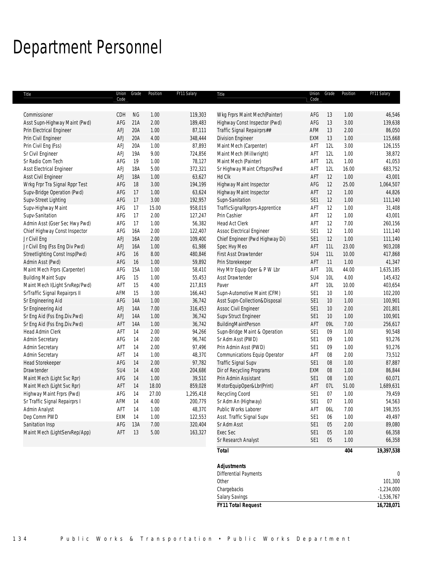## Department Personnel

| Title                           | Union<br>Code | Grade      | Position | FY11 Salary | Title                           | Union<br>Code   | Grade           | Position | FY11 Salary      |
|---------------------------------|---------------|------------|----------|-------------|---------------------------------|-----------------|-----------------|----------|------------------|
|                                 |               |            |          |             |                                 |                 |                 |          |                  |
| Commissioner                    | CDH           | <b>NG</b>  | 1.00     | 119,303     | Wkg Frprs Maint Mech(Painter)   | AFG             | 13              | 1.00     | 46,546           |
| Asst Supn-Highway Maint (Pwd)   | AFG           | 21A        | 2.00     | 189,483     | Highway Const Inspector (Pwd)   | AFG             | 13              | 3.00     | 139,638          |
| Prin Electrical Engineer        | AFJ           | 20A        | 1.00     | 87,111      | Traffic Signal Repairprs##      | AFM             | 13              | 2.00     | 86,050           |
| Prin Civil Engineer             | AFJ           | 20A        | 4.00     | 348,444     | <b>Division Engineer</b>        | EXM             | 13              | 1.00     | 115,668          |
| Prin Civil Eng (Fss)            | AFJ           | 20A        | 1.00     | 87,893      | Maint Mech (Carpenter)          | AFT             | 12L             | 3.00     | 126,155          |
| Sr Civil Engineer               | AFJ           | 19A        | 9.00     | 724,856     | Maint Mech (Millwright)         | AFT             | 12L             | 1.00     | 38,872           |
| Sr Radio Com Tech               | AFG           | 19         | 1.00     | 78,127      | Maint Mech (Painter)            | AFT             | 12L             | 1.00     | 41,053           |
| <b>Asst Electrical Engineer</b> | AFJ           | <b>18A</b> | 5.00     | 372,321     | Sr Highway Maint Crftsprs(Pwd   | AFT             | 12L             | 16.00    | 683,752          |
| Asst Civil Engineer             | AFJ           | <b>18A</b> | 1.00     | 63,627      | Hd Clk                          | AFT             | 12              | 1.00     | 43,001           |
| Wrkg Frpr Tra Signal Rppr Test  | AFG           | 18         | 3.00     | 194,199     | Highway Maint Inspector         | AFG             | 12              | 25.00    | 1,064,507        |
| Supv-Bridge Operation (Pwd)     | AFG           | 17         | 1.00     | 63,624      | Highway Maint Inspector         | AFT             | 12              | 1.00     | 44,826           |
| Supv-Street Lighting            | AFG           | 17         | 3.00     | 192,957     | Supn-Sanitation                 | SE1             | 12              | 1.00     | 111,140          |
| Supv-Highway Maint              | AFG           | 17         | 15.00    | 958,019     | TrafficSignalRprprs-Apprentice  | AFT             | 12              | 1.00     | 31,408           |
| Supv-Sanitation                 | AFG           | 17         | 2.00     | 127,247     | Prin Cashier                    | AFT             | 12              | 1.00     | 43,001           |
| Admin Asst (Gser Sec Hwy Pwd)   | AFG           | 17         | 1.00     | 56,382      | Head Act Clerk                  | AFT             | 12              | 7.00     | 260,156          |
| Chief Highway Const Inspector   | AFG           | 16A        | 2.00     | 122,407     | Assoc Electrical Engineer       | SE <sub>1</sub> | 12              | 1.00     | 111,140          |
| Jr Civil Eng                    | AFJ           | <b>16A</b> | 2.00     | 109,400     | Chief Engineer (Pwd Highway Di) | SE <sub>1</sub> | 12              | 1.00     | 111,140          |
| Jr Civil Eng (Fss Eng Div Pwd)  | AFJ           | 16A        | 1.00     | 61,986      | Spec Hvy Meo                    | AFT             | 11L             | 23.00    | 903,208          |
| Streetlighting Const Insp(Pwd)  | AFG           | 16         | 8.00     | 480,846     | First Asst Drawtender           | SU4             | 11L             | 10.00    | 417,868          |
| Admin Asst (Pwd)                | AFG           | 16         | 1.00     | 59,892      | Prin Storekeeper                | AFT             | 11              | 1.00     | 41,347           |
| Maint Mech Frprs (Carpenter)    | AFG           | 15A        | 1.00     | 58,410      | Hvy Mtr Equip Oper & P W Lbr    | AFT             | 10L             | 44.00    | 1,635,185        |
| <b>Building Maint Supv</b>      | AFG           | 15         | 1.00     | 55,453      | Asst Drawtender                 | SU <sub>4</sub> | 10L             | 4.00     | 145,432          |
| Maint Mech I(Light SrvRep/Pwd)  | AFT           | 15         | 4.00     | 217,819     | Paver                           | AFT             | 10L             | 10.00    | 403,654          |
| SrTraffic Signal Repairprs II   | AFM           | 15         | 3.00     | 166,443     | Supn-Automotive Maint (CFM)     | SE1             | 10              | 1.00     | 102,200          |
| Sr Engineering Aid              | AFG           | <b>14A</b> | 1.00     | 36,742      | Asst Supn-Collection&Disposal   | SE <sub>1</sub> | 10              | 1.00     | 100,901          |
| Sr Engineering Aid              | AFJ           | <b>14A</b> | 7.00     | 316,453     | Assoc Civil Engineer            | SE1             | 10 <sup>°</sup> | 2.00     | 201,801          |
| Sr Eng Aid (Fss Eng.Div.Pwd)    | AFJ           | <b>14A</b> | 1.00     | 36,742      | Supv Struct Engineer            | SE <sub>1</sub> | 10 <sup>°</sup> | 1.00     | 100,901          |
| Sr Eng Aid (Fss Eng.Div.Pwd)    | AFT           | <b>14A</b> | 1.00     | 36,742      | BuildingMaintPerson             | AFT             | 09L             | 7.00     | 256,617          |
| Head Admin Clerk                | AFT           | 14         | 2.00     | 94,266      | Supn-Bridge Maint & Operation   | SE1             | 09              | 1.00     | 90,548           |
| Admin Secretary                 | AFG           | 14         | 2.00     | 96,740      | Sr Adm Asst (PWD)               | SE <sub>1</sub> | 09              | 1.00     | 93,276           |
| Admin Secretary                 | AFT           | 14         | 2.00     | 97,496      | Prin Admin Asst (PWD)           | SE <sub>1</sub> | 09              | 1.00     | 93,276           |
| Admin Secretary                 | AFT           | 14         | 1.00     | 48,370      | Communications Equip Operator   | AFT             | 08              | 2.00     | 73,512           |
| <b>Head Storekeeper</b>         | AFG           | 14         | 2.00     | 97,782      | Traffic Signal Supv             | SE <sub>1</sub> | 08              | 1.00     | 87,887           |
| Drawtender                      | SU4           | 14         | 4.00     | 204,686     | Dir of Recycling Programs       | EXM             | 08              | 1.00     | 86,844           |
| Maint Mech (Light Svc Rpr)      | AFG           | 14         | 1.00     | 39,510      | Prin Admin Assistant            | SE <sub>1</sub> | 08              | 1.00     | 60,071           |
| Maint Mech (Light Svc Rpr)      | AFT           | 14         | 18.00    | 859,028     | MotorEquipOper&Lbr(Print)       | AFT             | 07L             | 51.00    | 1,689,631        |
| Highway Maint Frprs (Pwd)       | AFG           | 14         | 27.00    | 1,295,418   | Recycling Coord                 | SE <sub>1</sub> | 07              | 1.00     | 79,459           |
| Sr Traffic Signal Repairprs I   | AFM           | 14         | 4.00     | 200,779     | Sr Adm An (Highway)             | SE1             | 07              | 1.00     | 54,563           |
| Admin Analyst                   | AFT           | 14         | 1.00     | 48,370      | Public Works Laborer            | AFT             | 06L             | 7.00     | 198,355          |
| Dep Comm PWD                    | EXM           | 14         | 1.00     | 122,553     | Asst. Traffic Signal Supv       | SE <sub>1</sub> | 06              | 1.00     | 49,497           |
| Sanitation Insp                 | AFG           | 13A        | 7.00     | 320,404     | Sr Adm Asst                     | SE1             | 05              | 2.00     | 89,080           |
| Maint Mech (LightServRep/App)   | AFT           | 13         | 5.00     | 163,327     | Exec Sec                        | SE1             | 05              | 1.00     | 66,358           |
|                                 |               |            |          |             | Sr Research Analyst             | SE1             | 05              | 1.00     | 66,358           |
|                                 |               |            |          |             | <b>Total</b>                    |                 |                 | 404      | 19,397,538       |
|                                 |               |            |          |             | <b>Adjustments</b>              |                 |                 |          |                  |
|                                 |               |            |          |             | Differential Payments           |                 |                 |          | $\boldsymbol{0}$ |
|                                 |               |            |          |             | Other                           |                 |                 |          | 101,300          |
|                                 |               |            |          |             |                                 |                 |                 |          | $-1,234,000$     |
|                                 |               |            |          |             | Chargebacks                     |                 |                 |          | $-1,536,767$     |
|                                 |               |            |          |             | Salary Savings                  |                 |                 |          |                  |

*FY11 Total Request 16,728,071*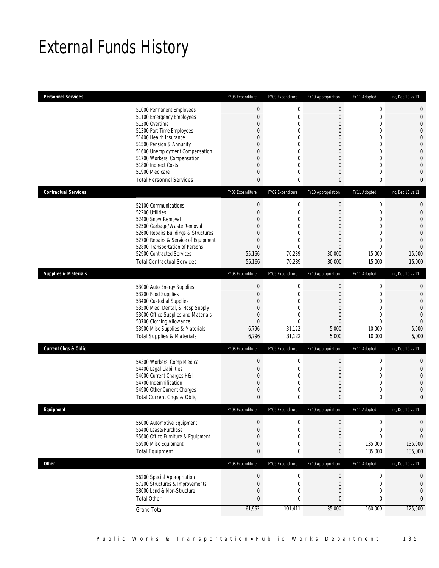# External Funds History

| Personnel Services                                             | FY08 Expenditure            | FY09 Expenditure      | FY10 Appropriation              | FY11 Adopted                | Inc/Dec 10 vs 11                 |
|----------------------------------------------------------------|-----------------------------|-----------------------|---------------------------------|-----------------------------|----------------------------------|
| 51000 Permanent Employees                                      | $\mathbf 0$                 | $\boldsymbol{0}$      | $\boldsymbol{0}$                | $\mathbf 0$                 | $\mathbf{0}$                     |
| 51100 Emergency Employees                                      | $\overline{0}$              | $\mathbf 0$           | $\mathbf 0$                     | 0                           | $\mathbf{0}$                     |
| 51200 Overtime                                                 | 0                           | $\boldsymbol{0}$      | $\mathbf 0$                     | $\mathbf{0}$                | $\overline{0}$                   |
| 51300 Part Time Employees<br>51400 Health Insurance            | 0<br>$\Omega$               | 0<br>0                | $\mathbf{0}$<br>$\mathbf{0}$    | 0<br>$\Omega$               | $\overline{0}$<br>$\overline{0}$ |
| 51500 Pension & Annunity                                       | 0                           | 0                     | $\mathbf 0$                     | 0                           | $\overline{0}$                   |
| 51600 Unemployment Compensation                                | 0                           | 0                     | $\mathbf{0}$                    | $\Omega$                    | $\mathbf{0}$                     |
| 51700 Workers' Compensation                                    | 0                           | $\mathbf 0$           | $\mathbf 0$                     | 0                           | $\overline{0}$                   |
| 51800 Indirect Costs<br>51900 Medicare                         | 0<br>$\overline{0}$         | 0<br>$\mathbf 0$      | $\mathbf{0}$<br>$\mathbf{0}$    | 0<br>0                      | $\Omega$<br>$\overline{0}$       |
| <b>Total Personnel Services</b>                                | $\mathbf{0}$                | 0                     | $\mathbf{0}$                    | 0                           | $\mathbf 0$                      |
|                                                                |                             |                       |                                 |                             |                                  |
| <b>Contractual Services</b>                                    | FY08 Expenditure            | FY09 Expenditure      | FY10 Appropriation              | FY11 Adopted                | Inc/Dec 10 vs 11                 |
| 52100 Communications                                           | $\boldsymbol{0}$            | $\boldsymbol{0}$      | $\boldsymbol{0}$                | $\mathbf 0$                 | $\mathbf{0}$                     |
| 52200 Utilities<br>52400 Snow Removal                          | $\overline{0}$<br>$\Omega$  | 0<br>0                | $\mathbf 0$<br>$\mathbf{0}$     | $\mathbf{0}$<br>$\Omega$    | $\mathbf{0}$<br>$\overline{0}$   |
| 52500 Garbage/Waste Removal                                    | 0                           | 0                     | $\mathbf 0$                     | 0                           | $\Omega$                         |
| 52600 Repairs Buildings & Structures                           | 0                           | 0                     | $\mathbf{0}$                    | $\Omega$                    | $\overline{0}$                   |
| 52700 Repairs & Service of Equipment                           | $\mathbf 0$                 | $\boldsymbol{0}$      | $\boldsymbol{0}$                | $\mathbf{0}$                | $\Omega$                         |
| 52800 Transportation of Persons                                | $\overline{0}$              | $\mathbf 0$           | $\mathbf{0}$                    | 0                           | $\overline{0}$                   |
| 52900 Contracted Services<br><b>Total Contractual Services</b> | 55,166<br>55,166            | 70,289<br>70,289      | 30,000<br>30,000                | 15,000<br>15,000            | $-15,000$<br>$-15,000$           |
| <b>Supplies &amp; Materials</b>                                | FY08 Expenditure            | FY09 Expenditure      | FY10 Appropriation              | FY11 Adopted                | Inc/Dec 10 vs 11                 |
|                                                                |                             |                       |                                 |                             |                                  |
| 53000 Auto Energy Supplies<br>53200 Food Supplies              | 0<br>$\mathbf 0$            | $\boldsymbol{0}$<br>0 | $\boldsymbol{0}$<br>$\mathbf 0$ | $\mathbf 0$<br>$\mathbf{0}$ | $\theta$<br>$\mathbf{0}$         |
|                                                                |                             |                       |                                 |                             |                                  |
|                                                                |                             |                       |                                 | $\Omega$                    |                                  |
| 53400 Custodial Supplies<br>53500 Med, Dental, & Hosp Supply   | 0<br>0                      | 0<br>$\boldsymbol{0}$ | $\mathbf{0}$<br>$\mathbf 0$     | 0                           | $\mathbf{0}$<br>$\overline{0}$   |
| 53600 Office Supplies and Materials                            | $\overline{0}$              | 0                     | $\mathbf{0}$                    | 0                           | $\mathbf{0}$                     |
| 53700 Clothing Allowance                                       | $\overline{0}$              | $\mathbf 0$           | $\boldsymbol{0}$                | $\theta$                    | $\Omega$                         |
| 53900 Misc Supplies & Materials                                | 6,796                       | 31,122                | 5,000                           | 10,000                      | 5,000                            |
| <b>Total Supplies &amp; Materials</b>                          | 6,796                       | 31,122                | 5,000                           | 10,000                      | 5,000                            |
| <b>Current Chgs &amp; Oblig</b>                                | FY08 Expenditure            | FY09 Expenditure      | FY10 Appropriation              | FY11 Adopted                | Inc/Dec 10 vs 11                 |
| 54300 Workers' Comp Medical                                    | $\mathbf 0$                 | 0                     | 0                               | 0                           | $\mathbf 0$                      |
| 54400 Legal Liabilities                                        | $\mathbf 0$                 | 0                     | $\mathbf 0$                     | 0                           | $\mathbf{0}$                     |
| 54600 Current Charges H&I<br>54700 Indemnification             | 0<br>$\overline{0}$         | $\boldsymbol{0}$<br>0 | $\mathbf 0$<br>$\mathbf{0}$     | $\mathbf{0}$<br>$\mathbf 0$ | $\overline{0}$<br>$\bigcap$      |
| 54900 Other Current Charges                                    | 0                           | 0                     | $\mathbf 0$                     | 0                           | $\Omega$                         |
| Total Current Chgs & Oblig                                     | $\mathbf{0}$                | 0                     | $\mathbf{0}$                    | 0                           | $\mathbf{0}$                     |
| Eauipment                                                      | FY08 Expenditure            | FY09 Expenditure      | FY10 Appropriation              | FY11 Adopted                | Inc/Dec 10 vs 11                 |
| 55000 Automotive Equipment                                     | $\mathbf 0$                 | 0                     | 0                               | $\mathbf 0$                 | $\mathbf 0$                      |
| 55400 Lease/Purchase                                           | $\overline{0}$              | 0                     | $\mathbf 0$                     | $\mathbf 0$                 | $\mathbf{0}$                     |
| 55600 Office Furniture & Equipment                             | $\mathbf 0$                 | $\boldsymbol{0}$      | $\mathbf 0$                     | $\overline{0}$              | $\overline{0}$                   |
| 55900 Misc Equipment                                           | $\mathbf 0$                 | $\boldsymbol{0}$      | 0                               | 135,000                     | 135,000                          |
| <b>Total Equipment</b>                                         | $\mathbf{0}$                | 0                     | 0                               | 135,000                     | 135,000                          |
| <b>Other</b>                                                   | FY08 Expenditure            | FY09 Expenditure      | FY10 Appropriation              | FY11 Adopted                | Inc/Dec 10 vs 11                 |
| 56200 Special Appropriation                                    | $\boldsymbol{0}$            | $\pmb{0}$             | $\boldsymbol{0}$                | $\boldsymbol{0}$            | $\mathbf 0$                      |
| 57200 Structures & Improvements                                | $\mathbf 0$                 | $\boldsymbol{0}$      | $\boldsymbol{0}$                | $\mathbf 0$                 | $\mathbf{0}$                     |
| 58000 Land & Non-Structure<br><b>Total Other</b>               | $\mathbf 0$<br>$\mathbf{0}$ | $\boldsymbol{0}$<br>0 | $\boldsymbol{0}$<br>0           | $\mathbf 0$<br>0            | $\mathbf{0}$<br>$\mathbf{0}$     |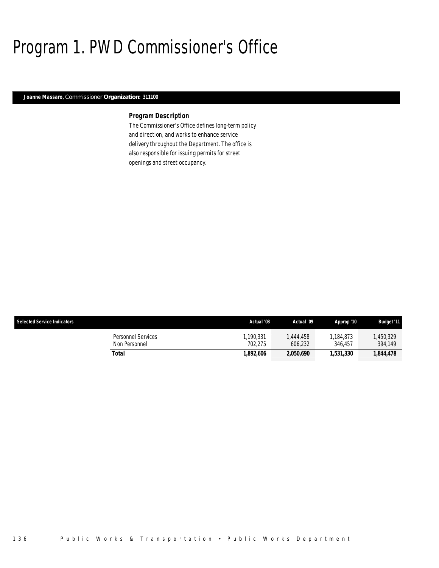# Program 1. PWD Commissioner's Office

#### *Joanne Massaro, Commissioner Organization: 311100*

### *Program Description*

The Commissioner's Office defines long-term policy and direction, and works to enhance service delivery throughout the Department. The office is also responsible for issuing permits for street openings and street occupancy.

| <b>Selected Service Indicators</b>  | Actual '08           | Actual '09          | Approp '10           | <b>Budget '11</b>   |
|-------------------------------------|----------------------|---------------------|----------------------|---------------------|
| Personnel Services<br>Non Personnel | 1.190.331<br>702.275 | .444.458<br>606.232 | 1,184,873<br>346.457 | ,450,329<br>394.149 |
| Total                               | 1.892.606            | 2,050,690           | 1.531.330            | 1,844,478           |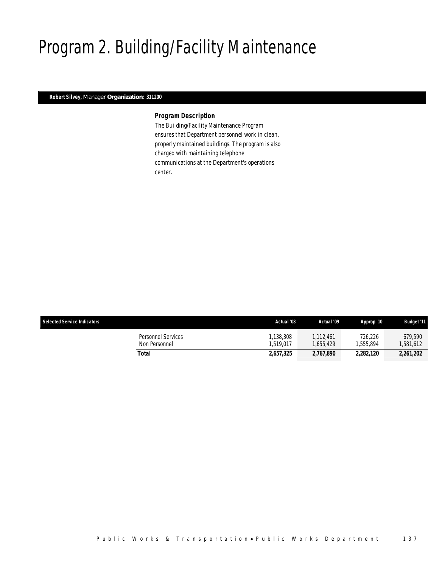# Program 2. Building/Facility Maintenance

### *Robert Silvey, Manager Organization: 311200*

#### *Program Description*

The Building/Facility Maintenance Program ensures that Department personnel work in clean, properly maintained buildings. The program is also charged with maintaining telephone communications at the Department's operations center.

| <b>Selected Service Indicators</b>  | Actual '08             | Actual '09           | Approp '10           | <b>Budget '11</b>   |
|-------------------------------------|------------------------|----------------------|----------------------|---------------------|
| Personnel Services<br>Non Personnel | 1.138.308<br>1.519.017 | 1.112.461<br>655.429 | 726.226<br>1.555.894 | 679.590<br>.581.612 |
| Total                               | 2.657.325              | 2,767,890            | 2.282.120            | 2,261,202           |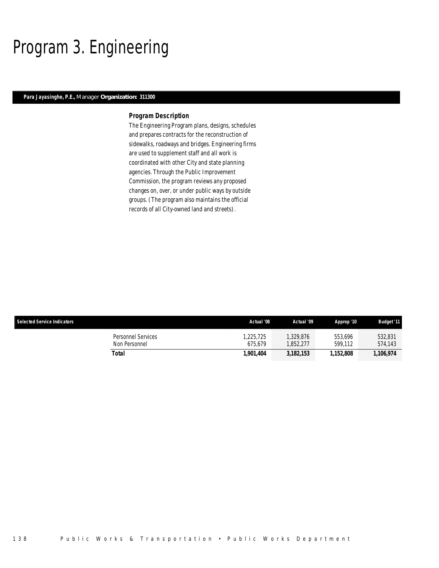# Program 3. Engineering

### *Para Jayasinghe, P.E., Manager Organization: 311300*

#### *Program Description*

The Engineering Program plans, designs, schedules and prepares contracts for the reconstruction of sidewalks, roadways and bridges. Engineering firms are used to supplement staff and all work is coordinated with other City and state planning agencies. Through the Public Improvement Commission, the program reviews any proposed changes on, over, or under public ways by outside groups. (The program also maintains the official records of all City-owned land and streets).

| <b>Selected Service Indicators</b>         | Actual '08          | Actual '09            | Approp '10         | <b>Budget '11</b>  |
|--------------------------------------------|---------------------|-----------------------|--------------------|--------------------|
| <b>Personnel Services</b><br>Non Personnel | .225.725<br>675.679 | 1,329,876<br>.852.277 | 553.696<br>599.112 | 532,831<br>574.143 |
| Total                                      | 1,901,404           | 3,182,153             | 1,152,808          | 1,106,974          |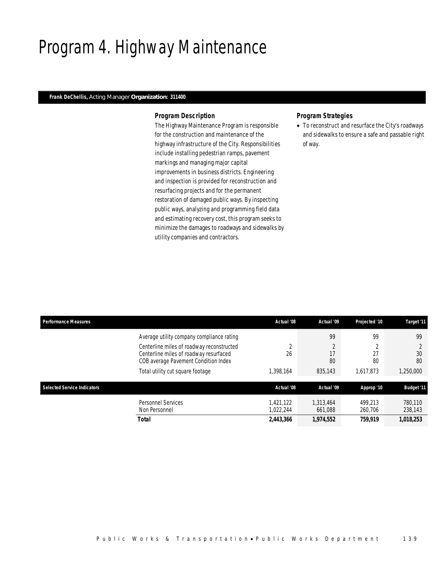# Program 4. Highway Maintenance

#### *Frank DeChellis, Acting Manager Organization: 311400*

#### *Program Description*

The Highway Maintenance Program is responsible for the construction and maintenance of the highway infrastructure of the City. Responsibilities include installing pedestrian ramps, pavement markings and managing major capital improvements in business districts. Engineering and inspection is provided for reconstruction and resurfacing projects and for the permanent restoration of damaged public ways. By inspecting public ways, analyzing and programming field data and estimating recovery cost, this program seeks to minimize the damages to roadways and sidewalks by utility companies and contractors.

#### *Program Strategies*

• To reconstruct and resurface the City's roadways and sidewalks to ensure a safe and passable right of way.

| <b>Performance Measures</b>        |                                                                                                                             | Actual '08             | Actual '09           | Projected '10      | Target '11         |
|------------------------------------|-----------------------------------------------------------------------------------------------------------------------------|------------------------|----------------------|--------------------|--------------------|
|                                    | Average utility company compliance rating                                                                                   |                        | 99                   | 99                 | 99                 |
|                                    | Centerline miles of roadway reconstructed<br>Centerline miles of roadway resurfaced<br>COB average Pavement Condition Index | $\Omega$<br>26         | 17<br>80             | $\sim$<br>27<br>80 | 30<br>80           |
|                                    | Total utility cut square footage                                                                                            | .398.164               | 835,143              | 1.617.873          | 1,250,000          |
| <b>Selected Service Indicators</b> |                                                                                                                             | Actual '08             | Actual '09           | Approp '10         | <b>Budget '11</b>  |
|                                    | <b>Personnel Services</b><br>Non Personnel                                                                                  | 1.421.122<br>1,022,244 | 1.313.464<br>661,088 | 499.213<br>260,706 | 780.110<br>238,143 |
|                                    | Total                                                                                                                       | 2,443,366              | 1,974,552            | 759,919            | 1,018,253          |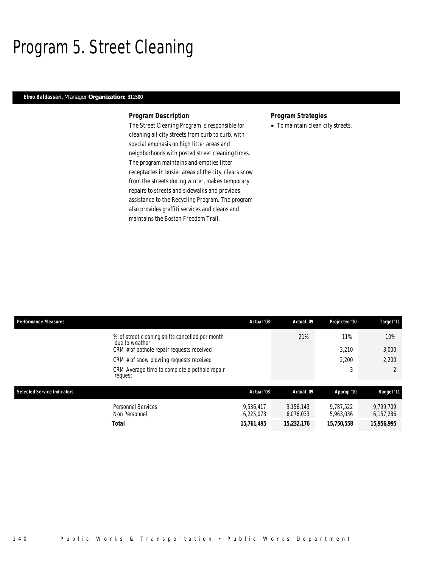## Program 5. Street Cleaning

#### *Elmo Baldassari, Manager Organization: 311500*

#### *Program Description*

The Street Cleaning Program is responsible for cleaning all city streets from curb to curb, with special emphasis on high litter areas and neighborhoods with posted street cleaning times. The program maintains and empties litter receptacles in busier areas of the city, clears snow from the streets during winter, makes temporary repairs to streets and sidewalks and provides assistance to the Recycling Program. The program also provides graffiti services and cleans and maintains the Boston Freedom Trail.

### *Program Strategies*

• To maintain clean city streets.

| <b>Performance Measures</b>        |                                                                                                                | Actual '08             | Actual '09             | Projected '10          | Target '11             |
|------------------------------------|----------------------------------------------------------------------------------------------------------------|------------------------|------------------------|------------------------|------------------------|
|                                    | % of street cleaning shifts cancelled per month<br>due to weather<br>CRM # of pothole repair requests received |                        | 21%                    | 11%<br>3,210           | 10%<br>3,000           |
|                                    | CRM # of snow plowing requests received                                                                        |                        |                        | 2.200                  | 2,200                  |
|                                    | CRM Average time to complete a pothole repair<br>request                                                       |                        |                        | 3                      |                        |
| <b>Selected Service Indicators</b> |                                                                                                                | Actual '08             | Actual '09             | Approp '10             | <b>Budget '11</b>      |
|                                    | Personnel Services<br>Non Personnel                                                                            | 9.536.417<br>6.225.078 | 9.156.143<br>6.076.033 | 9.787.522<br>5.963.036 | 9.799.709<br>6,157,286 |
|                                    | Total                                                                                                          | 15,761,495             | 15,232,176             | 15,750,558             | 15,956,995             |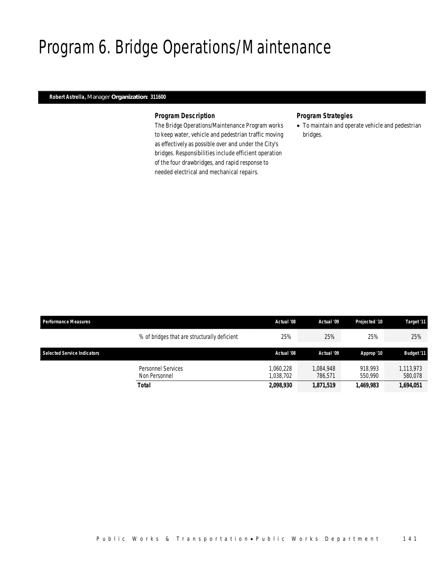## Program 6. Bridge Operations/Maintenance

### *Robert Astrella, Manager Organization: 311600*

#### *Program Description*

The Bridge Operations/Maintenance Program works to keep water, vehicle and pedestrian traffic moving as effectively as possible over and under the City's bridges. Responsibilities include efficient operation of the four drawbridges, and rapid response to needed electrical and mechanical repairs.

### *Program Strategies*

• To maintain and operate vehicle and pedestrian bridges.

| <b>Performance Measures</b>        |                                              | Actual '08             | Actual '09           | Projected '10      | Target '11           |
|------------------------------------|----------------------------------------------|------------------------|----------------------|--------------------|----------------------|
|                                    | % of bridges that are structurally deficient | 25%                    | 25%                  | 25%                | 25%                  |
| <b>Selected Service Indicators</b> |                                              | Actual '08             | Actual '09           | Approp '10         | <b>Budget</b> '11    |
|                                    | Personnel Services<br>Non Personnel          | 1.060.228<br>1.038.702 | 1.084.948<br>786.571 | 918,993<br>550,990 | 1.113.973<br>580.078 |
|                                    | <b>Total</b>                                 | 2,098,930              | 1,871,519            | 1,469,983          | 1,694,051            |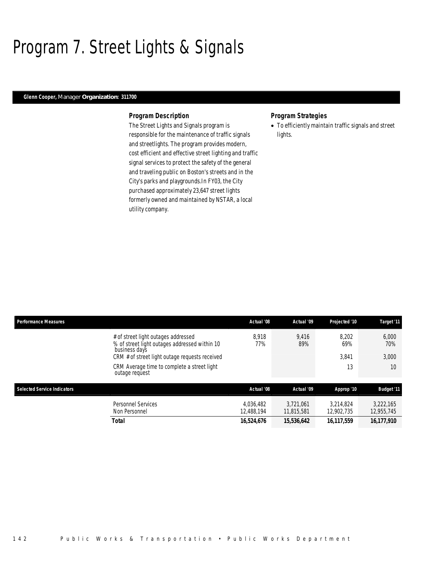# Program 7. Street Lights & Signals

#### *Glenn Cooper, Manager Organization: 311700*

#### *Program Description*

The Street Lights and Signals program is responsible for the maintenance of traffic signals and streetlights. The program provides modern, cost efficient and effective street lighting and traffic signal services to protect the safety of the general and traveling public on Boston's streets and in the City's parks and playgrounds.In FY03, the City purchased approximately 23,647 street lights formerly owned and maintained by NSTAR, a local utility company.

#### *Program Strategies*

• To efficiently maintain traffic signals and street lights.

| <b>Performance Measures</b>        |                                                                                                       | Actual '08              | Actual '09              | Projected '10           | Target '11              |
|------------------------------------|-------------------------------------------------------------------------------------------------------|-------------------------|-------------------------|-------------------------|-------------------------|
|                                    | # of street light outages addressed<br>% of street light outages addressed within 10<br>business days | 8.918<br>77%            | 9.416<br>89%            | 8.202<br>69%            | 6,000<br>70%            |
|                                    | CRM # of street light outage requests received                                                        |                         |                         | 3.841                   | 3,000                   |
|                                    | CRM Average time to complete a street light<br>outage request                                         |                         |                         | 13                      | 10                      |
| <b>Selected Service Indicators</b> |                                                                                                       | Actual '08              | Actual '09              | Approp '10              | <b>Budget '11</b>       |
|                                    | <b>Personnel Services</b><br>Non Personnel                                                            | 4.036.482<br>12,488,194 | 3.721.061<br>11.815.581 | 3.214.824<br>12,902,735 | 3.222.165<br>12,955,745 |
|                                    | <b>Total</b>                                                                                          | 16,524,676              | 15,536,642              | 16,117,559              | 16,177,910              |
|                                    |                                                                                                       |                         |                         |                         |                         |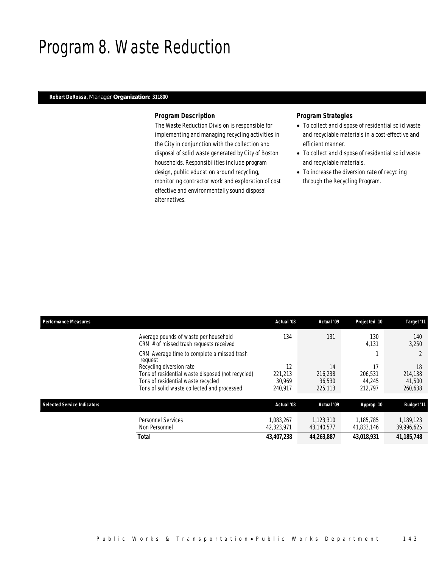### Program 8. Waste Reduction

### *Robert DeRossa, Manager Organization: 311800*

#### *Program Description*

The Waste Reduction Division is responsible for implementing and managing recycling activities in the City in conjunction with the collection and disposal of solid waste generated by City of Boston households. Responsibilities include program design, public education around recycling, monitoring contractor work and exploration of cost effective and environmentally sound disposal alternatives.

### *Program Strategies*

- To collect and dispose of residential solid waste and recyclable materials in a cost-effective and efficient manner.
- To collect and dispose of residential solid waste and recyclable materials.
- To increase the diversion rate of recycling through the Recycling Program.

| <b>Performance Measures</b>                                                                                                            | Actual '08                   | Actual '09                   | Projected '10                | Target '11                   |
|----------------------------------------------------------------------------------------------------------------------------------------|------------------------------|------------------------------|------------------------------|------------------------------|
| Average pounds of waste per household<br>CRM # of missed trash requests received                                                       | 134                          | 131                          | 130<br>4,131                 | 140<br>3,250                 |
| CRM Average time to complete a missed trash<br>request                                                                                 |                              |                              |                              |                              |
| Recycling diversion rate                                                                                                               | 12                           | 14                           | 17                           | 18                           |
| Tons of residential waste disposed (not recycled)<br>Tons of residential waste recycled<br>Tons of solid waste collected and processed | 221.213<br>30.969<br>240.917 | 216.238<br>36,530<br>225,113 | 206.531<br>44.245<br>212.797 | 214,138<br>41,500<br>260,638 |
|                                                                                                                                        |                              |                              |                              |                              |
| <b>Selected Service Indicators</b>                                                                                                     | Actual '08                   | Actual '09                   | Approp '10                   | <b>Budget '11</b>            |
| <b>Personnel Services</b><br>Non Personnel                                                                                             | 1.083.267<br>42,323,971      | 1.123.310<br>43,140,577      | 1.185.785<br>41,833,146      | 1,189,123<br>39,996,625      |
| <b>Total</b>                                                                                                                           | 43,407,238                   | 44,263,887                   | 43.018.931                   | 41, 185, 748                 |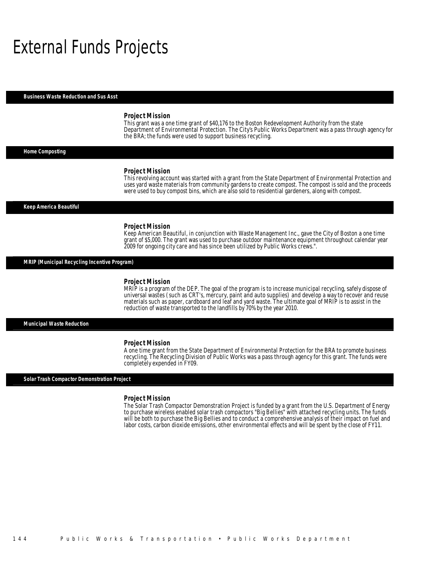## External Funds Projects

#### *Business Waste Reduction and Sus Asst*

#### *Project Mission*

This grant was a one time grant of \$40,176 to the Boston Redevelopment Authority from the state Department of Environmental Protection. The City's Public Works Department was a pass through agency for the BRA; the funds were used to support business recycling.

#### *Home Composting*

#### *Project Mission*

This revolving account was started with a grant from the State Department of Environmental Protection and uses yard waste materials from community gardens to create compost. The compost is sold and the proceeds were used to buy compost bins, which are also sold to residential gardeners, along with compost.

*Keep America Beautiful* 

#### *Project Mission*

Keep American Beautiful, in conjunction with Waste Management Inc., gave the City of Boston a one time grant of \$5,000. The grant was used to purchase outdoor maintenance equipment throughout calendar year 2009 for ongoing city care and has since been utilized by Public Works crews.".

#### *MRIP (Municipal Recycling Incentive Program)*

#### *Project Mission*

MRIP is a program of the DEP. The goal of the program is to increase municipal recycling, safely dispose of universal wastes (such as CRT's, mercury, paint and auto supplies) and develop a way to recover and reuse materials such as paper, cardboard and leaf and yard waste. The ultimate goal of MRIP is to assist in the reduction of waste transported to the landfills by 70% by the year 2010.

#### *Municipal Waste Reduction*

#### *Project Mission*

A one time grant from the State Department of Environmental Protection for the BRA to promote business recycling. The Recycling Division of Public Works was a pass through agency for this grant. The funds were completely expended in FY09.

#### *Solar Trash Compactor Demonstration Project*

#### *Project Mission*

The Solar Trash Compactor Demonstration Project is funded by a grant from the U.S. Department of Energy to purchase wireless enabled solar trash compactors "Big Bellies" with attached recycling units. The funds will be both to purchase the Big Bellies and to conduct a comprehensive analysis of their impact on fuel and labor costs, carbon dioxide emissions, other environmental effects and will be spent by the close of FY11.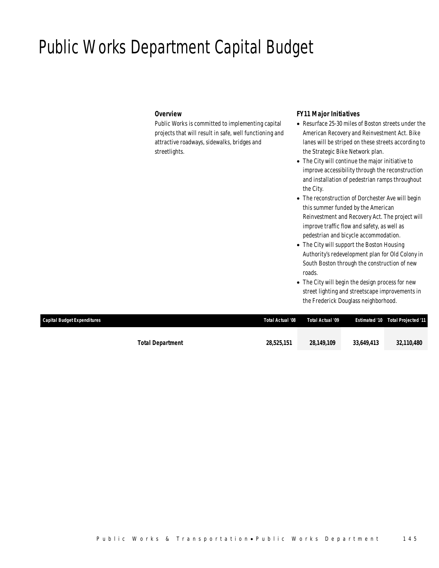## Public Works Department Capital Budget

### *Overview*

Public Works is committed to implementing capital projects that will result in safe, well functioning and attractive roadways, sidewalks, bridges and streetlights.

#### *FY11 Major Initiatives*

- Resurface 25-30 miles of Boston streets under the American Recovery and Reinvestment Act. Bike lanes will be striped on these streets according to the Strategic Bike Network plan.
- The City will continue the major initiative to improve accessibility through the reconstruction and installation of pedestrian ramps throughout the City.
- The reconstruction of Dorchester Ave will begin this summer funded by the American Reinvestment and Recovery Act. The project will improve traffic flow and safety, as well as pedestrian and bicycle accommodation.
- The City will support the Boston Housing Authority's redevelopment plan for Old Colony in South Boston through the construction of new roads.
- The City will begin the design process for new street lighting and streetscape improvements in the Frederick Douglass neighborhood.

| Capital Budget Expenditures |                         | Total Actual '08 | Total Actual '09 |            | <b>Estimated '10 Total Projected '11</b> |
|-----------------------------|-------------------------|------------------|------------------|------------|------------------------------------------|
|                             |                         |                  |                  |            |                                          |
|                             | <b>Total Department</b> | 28,525,151       | 28.149.109       | 33.649.413 | 32,110,480                               |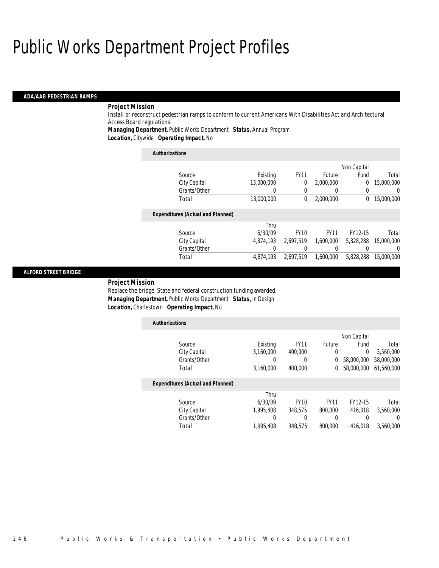#### *ADA/AAB PEDESTRIAN RAMPS*

### *Project Mission*

Install or reconstruct pedestrian ramps to conform to current Americans With Disabilities Act and Architectural Access Board regulations.

*Managing Department,* Public Works Department *Status,* Annual Program

*Location,* Citywide *Operating Impact,* No

| <b>Authorizations</b>                    |            |             |             |             |            |
|------------------------------------------|------------|-------------|-------------|-------------|------------|
|                                          |            |             |             | Non Capital |            |
| Source                                   | Existing   | <b>FY11</b> | Future      | Fund        | Total      |
| City Capital                             | 13.000.000 | 0           | 2,000,000   | 0           | 15,000,000 |
| Grants/Other                             | 0          | 0           | 0           | 0           | 0          |
| Total                                    | 13,000,000 | 0           | 2.000.000   | $^{0}$      | 15,000,000 |
| <b>Expenditures (Actual and Planned)</b> |            |             |             |             |            |
|                                          | Thru       |             |             |             |            |
| Source                                   | 6/30/09    | <b>FY10</b> | <b>FY11</b> | FY12-15     | Total      |
| City Capital                             | 4.874.193  | 2.697.519   | 1.600.000   | 5.828.288   | 15,000,000 |
| Grants/Other                             | 0          |             | 0           |             | $\Omega$   |
| Total                                    | 4,874,193  | 2.697.519   | 1.600.000   | 5.828.288   | 15,000,000 |

#### *ALFORD STREET BRIDGE*

#### *Project Mission*

Replace the bridge. State and federal construction funding awarded. *Managing Department,* Public Works Department *Status,* In Design *Location,* Charlestown *Operating Impact,* No

| <b>Authorizations</b>                    |           |             |               |             |            |
|------------------------------------------|-----------|-------------|---------------|-------------|------------|
|                                          |           |             |               | Non Capital |            |
| Source                                   | Existing  | <b>FY11</b> | <b>Future</b> | Fund        | Total      |
| City Capital                             | 3.160.000 | 400,000     | 0             | $\Omega$    | 3,560,000  |
| Grants/Other                             | 0         | $\Omega$    | 0             | 58,000,000  | 58,000,000 |
| Total                                    | 3.160.000 | 400.000     | $\bf{0}$      | 58,000,000  | 61.560.000 |
| <b>Expenditures (Actual and Planned)</b> |           |             |               |             |            |
|                                          | Thru      |             |               |             |            |
| Source                                   | 6/30/09   | <b>FY10</b> | <b>FY11</b>   | FY12-15     | Total      |
| City Capital                             | 1.995.408 | 348.575     | 800,000       | 416.018     | 3.560.000  |
| Grants/Other                             | 0         |             |               |             | 0          |
| Total                                    | 1,995,408 | 348,575     | 800,000       | 416.018     | 3,560,000  |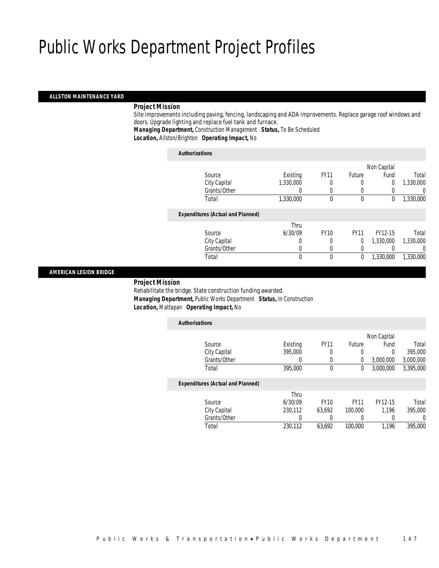#### *ALLSTON MAINTENANCE YARD*

#### *Project Mission*

Site improvements including paving, fencing, landscaping and ADA improvements. Replace garage roof windows and doors. Upgrade lighting and replace fuel tank and furnace.

*Managing Department,* Construction Management *Status,* To Be Scheduled

*Location,* Allston/Brighton *Operating Impact,* No

| <b>Authorizations</b>                    |           |             |             |             |           |
|------------------------------------------|-----------|-------------|-------------|-------------|-----------|
|                                          |           |             |             | Non Capital |           |
| Source                                   | Existing  | <b>FY11</b> | Future      | Fund        | Total     |
| City Capital                             | 1,330,000 |             | 0           | 0           | 1,330,000 |
| Grants/Other                             |           | 0           | $\Omega$    |             | 0         |
| Total                                    | 1,330,000 | $\theta$    | $\mathbf 0$ | 0           | 1,330,000 |
| <b>Expenditures (Actual and Planned)</b> |           |             |             |             |           |
|                                          | Thru      |             |             |             |           |
| Source                                   | 6/30/09   | <b>FY10</b> | <b>FY11</b> | FY12-15     | Total     |
| City Capital                             | 0         | 0           | 0           | 1,330,000   | 1,330,000 |
| Grants/Other                             | 0         | $\Omega$    | $\left($    |             | 0         |
| Total                                    | 0         | $\theta$    | 0           | 1.330.000   | 1.330.000 |
|                                          |           |             |             |             |           |

#### *AMERICAN LEGION BRIDGE*

#### *Project Mission*

Rehabilitate the bridge. State construction funding awarded. *Managing Department,* Public Works Department *Status,* In Construction *Location,* Mattapan *Operating Impact,* No

| <b>Authorizations</b>                    |          |             |             |             |           |
|------------------------------------------|----------|-------------|-------------|-------------|-----------|
|                                          |          |             |             | Non Capital |           |
| Source                                   | Existing | <b>FY11</b> | Future      | Fund        | Total     |
| City Capital                             | 395,000  | 0           | 0           | 0           | 395,000   |
| Grants/Other                             | 0        | 0           | 0           | 3,000,000   | 3,000,000 |
| Total                                    | 395,000  | $\mathbf 0$ | 0           | 3.000.000   | 3,395,000 |
| <b>Expenditures (Actual and Planned)</b> |          |             |             |             |           |
|                                          | Thru     |             |             |             |           |
| Source                                   | 6/30/09  | <b>FY10</b> | <b>FY11</b> | FY12-15     | Total     |
| City Capital                             | 230,112  | 63.692      | 100,000     | 1.196       | 395,000   |
| Grants/Other                             | 0        |             |             | 0           | 0         |
| Total                                    | 230.112  | 63.692      | 100,000     | 1.196       | 395,000   |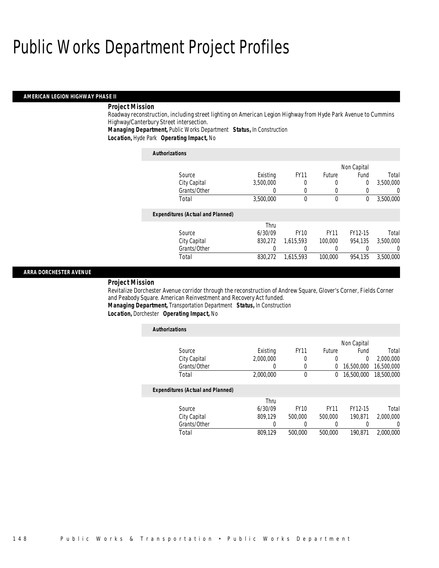#### *AMERICAN LEGION HIGHWAY PHASE II*

### *Project Mission*

Roadway reconstruction, including street lighting on American Legion Highway from Hyde Park Avenue to Cummins Highway/Canterbury Street intersection.

*Managing Department,* Public Works Department *Status,* In Construction

*Location,* Hyde Park *Operating Impact,* No

| <b>Authorizations</b>                    |           |              |             |             |           |
|------------------------------------------|-----------|--------------|-------------|-------------|-----------|
|                                          |           |              |             | Non Capital |           |
| Source                                   | Existing  | <b>FY11</b>  | Future      | Fund        | Total     |
| City Capital                             | 3.500.000 | 0            | 0           | 0           | 3,500,000 |
| Grants/Other                             | 0         | 0            |             |             | 0         |
| Total                                    | 3,500,000 | $\mathbf{0}$ | $\theta$    | 0           | 3,500,000 |
| <b>Expenditures (Actual and Planned)</b> |           |              |             |             |           |
|                                          | Thru      |              |             |             |           |
| Source                                   | 6/30/09   | <b>FY10</b>  | <b>FY11</b> | FY12-15     | Total     |
| City Capital                             | 830.272   | 1,615,593    | 100,000     | 954.135     | 3,500,000 |
| Grants/Other                             |           | 0            |             |             | $\left($  |
| Total                                    | 830.272   | 1.615.593    | 100,000     | 954.135     | 3,500,000 |

#### *ARRA DORCHESTER AVENUE*

#### *Project Mission*

Revitalize Dorchester Avenue corridor through the reconstruction of Andrew Square, Glover's Corner, Fields Corner and Peabody Square. American Reinvestment and Recovery Act funded.

*Managing Department,* Transportation Department *Status,* In Construction

*Location,* Dorchester *Operating Impact,* No

| <b>Authorizations</b>                    |           |                |             |             |            |
|------------------------------------------|-----------|----------------|-------------|-------------|------------|
|                                          |           |                |             | Non Capital |            |
| Source                                   | Existing  | <b>FY11</b>    | Future      | Fund        | Total      |
| City Capital                             | 2,000,000 | 0              | 0           | $\Omega$    | 2,000,000  |
| Grants/Other                             | 0         | $\overline{0}$ | 0           | 16,500,000  | 16,500,000 |
| Total                                    | 2,000,000 | $\mathbf{0}$   | 0           | 16,500,000  | 18,500,000 |
| <b>Expenditures (Actual and Planned)</b> |           |                |             |             |            |
|                                          | Thru      |                |             |             |            |
| Source                                   | 6/30/09   | <b>FY10</b>    | <b>FY11</b> | FY12-15     | Total      |
| City Capital                             | 809.129   | 500,000        | 500,000     | 190.871     | 2.000.000  |
| Grants/Other                             | 0         | 0              |             |             | 0          |
| Total                                    | 809.129   | 500,000        | 500,000     | 190.871     | 2,000,000  |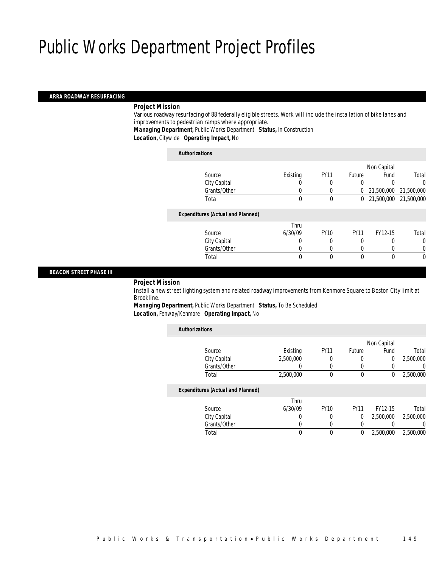#### *ARRA ROADWAY RESURFACING*

#### *Project Mission*

Various roadway resurfacing of 88 federally eligible streets. Work will include the installation of bike lanes and improvements to pedestrian ramps where appropriate.

*Managing Department,* Public Works Department *Status,* In Construction

*Location,* Citywide *Operating Impact,* No

#### *Authorizations*

|                                          |          |             |               | Non Capital           |            |
|------------------------------------------|----------|-------------|---------------|-----------------------|------------|
| Source                                   | Existing | <b>FY11</b> | <b>Future</b> | Fund                  | Total      |
| City Capital                             |          |             |               |                       | 0          |
| Grants/Other                             |          |             | 0             | 21,500,000            | 21,500,000 |
| Total                                    | 0        | 0           | 0             | 21,500,000 21,500,000 |            |
| <b>Expenditures (Actual and Planned)</b> |          |             |               |                       |            |
|                                          | Thru     |             |               |                       |            |
| Source                                   | 6/30/09  | <b>FY10</b> | <b>FY11</b>   | FY12-15               | Total      |
| City Capital                             | 0        |             | 0             |                       | 0          |
| Grants/Other                             |          |             |               |                       |            |
| Total                                    | 0        | 0           | $\Omega$      | 0                     | 0          |
|                                          |          |             |               |                       |            |

#### *BEACON STREET PHASE III*

*Project Mission* 

Install a new street lighting system and related roadway improvements from Kenmore Square to Boston City limit at Brookline.

*Managing Department,* Public Works Department *Status,* To Be Scheduled *Location,* Fenway/Kenmore *Operating Impact,* No

| <b>Authorizations</b>                    |           |             |               |                |           |
|------------------------------------------|-----------|-------------|---------------|----------------|-----------|
|                                          |           |             |               | Non Capital    |           |
| Source                                   | Existing  | <b>FY11</b> | <b>Future</b> | Fund           | Total     |
| City Capital                             | 2,500,000 | 0           | 0             | $\overline{0}$ | 2,500,000 |
| Grants/Other                             | 0         |             |               | 0              |           |
| Total                                    | 2,500,000 | $\Omega$    | $\theta$      | 0              | 2,500,000 |
| <b>Expenditures (Actual and Planned)</b> |           |             |               |                |           |
|                                          | Thru      |             |               |                |           |
| Source                                   | 6/30/09   | <b>FY10</b> | <b>FY11</b>   | FY12-15        | Total     |
| City Capital                             | 0         | 0           | 0             | 2,500,000      | 2,500,000 |
| Grants/Other                             | O         | 0           |               |                | 0         |
| Total                                    |           |             | 0             | 2,500,000      | 2,500,000 |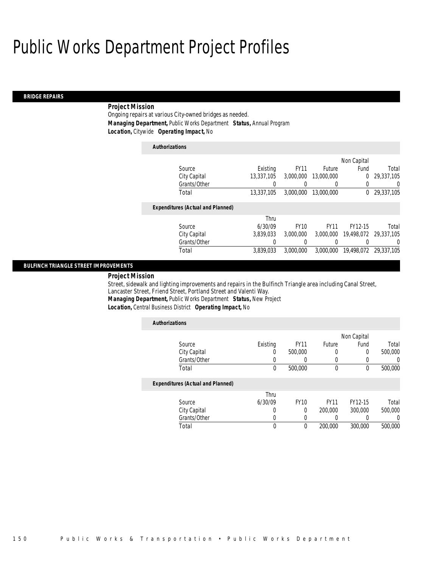#### *BRIDGE REPAIRS*

### *Project Mission*

Ongoing repairs at various City-owned bridges as needed. *Managing Department,* Public Works Department *Status,* Annual Program *Location,* Citywide *Operating Impact,* No

#### *Authorizations*

|                                          |            |             |             | Non Capital |                       |
|------------------------------------------|------------|-------------|-------------|-------------|-----------------------|
| Source                                   | Existing   | <b>FY11</b> | Future      | Fund        | Total                 |
| City Capital                             | 13,337,105 | 3,000,000   | 13,000,000  | 0           | 29,337,105            |
| Grants/Other                             | 0          | 0           |             | 0           | 0                     |
| Total                                    | 13,337,105 | 3,000,000   | 13,000,000  | $^{0}$      | 29,337,105            |
| <b>Expenditures (Actual and Planned)</b> |            |             |             |             |                       |
|                                          | Thru       |             |             |             |                       |
| Source                                   | 6/30/09    | <b>FY10</b> | <b>FY11</b> | FY12-15     | Total                 |
| City Capital                             | 3,839,033  | 3,000,000   | 3,000,000   |             | 19,498,072 29,337,105 |
| Grants/Other                             | 0          | 0           |             |             | $\left( \right)$      |
| Total                                    | 3,839,033  | 3,000,000   | 3,000,000   | 19,498,072  | 29,337,105            |
|                                          |            |             |             |             |                       |

#### *BULFINCH TRIANGLE STREET IMPROVEMENTS*

### *Project Mission*

Street, sidewalk and lighting improvements and repairs in the Bulfinch Triangle area including Canal Street, Lancaster Street, Friend Street, Portland Street and Valenti Way.

*Managing Department,* Public Works Department *Status,* New Project

*Location,* Central Business District *Operating Impact,* No

| <b>Authorizations</b>                    |          |             |                  |             |          |
|------------------------------------------|----------|-------------|------------------|-------------|----------|
|                                          |          |             |                  | Non Capital |          |
| Source                                   | Existing | <b>FY11</b> | Future           | Fund        | Total    |
| City Capital                             | 0        | 500,000     | 0                | $\Omega$    | 500,000  |
| Grants/Other                             | 0        | 0           | 0                |             | $\left($ |
| Total                                    | 0        | 500,000     | $\boldsymbol{0}$ | $\theta$    | 500,000  |
| <b>Expenditures (Actual and Planned)</b> |          |             |                  |             |          |
|                                          | Thru     |             |                  |             |          |
| Source                                   | 6/30/09  | <b>FY10</b> | <b>FY11</b>      | FY12-15     | Total    |
| City Capital                             | 0        | 0           | 200,000          | 300,000     | 500,000  |
| Grants/Other                             | 0        | 0           | 0                |             | $\left($ |
| Total                                    | 0        | 0           | 200,000          | 300,000     | 500,000  |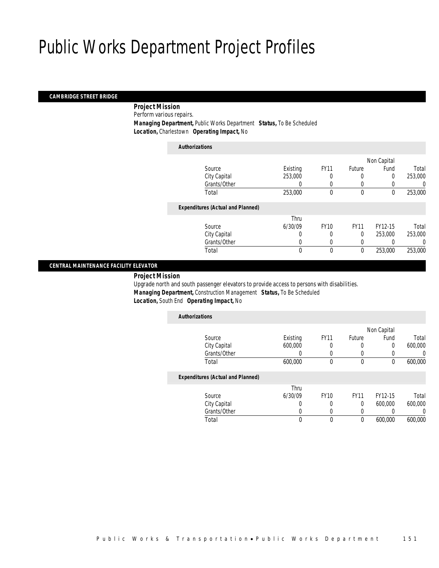#### *CAMBRIDGE STREET BRIDGE*

*Project Mission* 

Perform various repairs.

*Managing Department,* Public Works Department *Status,* To Be Scheduled

*Location,* Charlestown *Operating Impact,* No

| <b>Authorizations</b>                    |          |             |             |             |         |
|------------------------------------------|----------|-------------|-------------|-------------|---------|
|                                          |          |             |             | Non Capital |         |
| Source                                   | Existing | <b>FY11</b> | Future      | Fund        | Total   |
| City Capital                             | 253,000  |             | 0           | $\Omega$    | 253,000 |
| Grants/Other                             | 0        | 0           | $\left($    |             | 0       |
| Total                                    | 253,000  | 0           | $\mathbf 0$ | $\mathbf 0$ | 253,000 |
| <b>Expenditures (Actual and Planned)</b> |          |             |             |             |         |
|                                          | Thru     |             |             |             |         |
| Source                                   | 6/30/09  | <b>FY10</b> | <b>FY11</b> | FY12-15     | Total   |
| City Capital                             | 0        | 0           | $\Omega$    | 253,000     | 253,000 |
| Grants/Other                             | 0        | 0           | 0           |             | 0       |
| Total                                    | 0        | $\theta$    | $\mathbf 0$ | 253,000     | 253,000 |
|                                          |          |             |             |             |         |

#### *CENTRAL MAINTENANCE FACILITY ELEVATOR*

*Project Mission* 

Upgrade north and south passenger elevators to provide access to persons with disabilities. *Managing Department,* Construction Management *Status,* To Be Scheduled *Location,* South End *Operating Impact,* No

| <b>Authorizations</b>                    |          |             |             |             |         |
|------------------------------------------|----------|-------------|-------------|-------------|---------|
|                                          |          |             |             | Non Capital |         |
| Source                                   | Existing | <b>FY11</b> | Future      | Fund        | Total   |
| City Capital                             | 600,000  | 0           | 0           | 0           | 600.000 |
| Grants/Other                             |          | 0           |             |             |         |
| Total                                    | 600,000  | 0           | 0           | 0           | 600,000 |
| <b>Expenditures (Actual and Planned)</b> |          |             |             |             |         |
|                                          | Thru     |             |             |             |         |
| Source                                   | 6/30/09  | <b>FY10</b> | <b>FY11</b> | FY12-15     | Total   |
| City Capital                             |          | 0           | 0           | 600,000     | 600,000 |
| Grants/Other                             |          | 0           | 0           |             |         |
| Total                                    | 0        | 0           | 0           | 600.000     | 600.000 |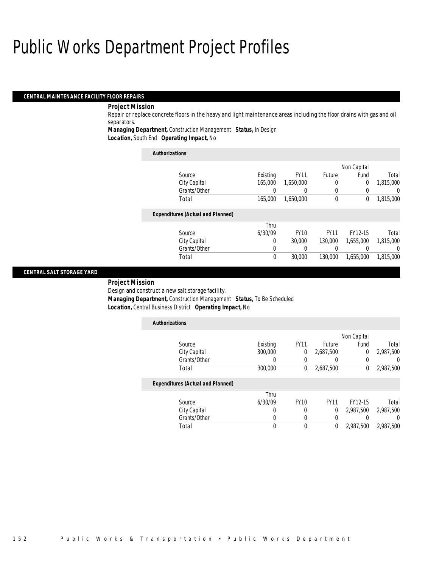#### *CENTRAL MAINTENANCE FACILITY FLOOR REPAIRS*

#### *Project Mission*

Repair or replace concrete floors in the heavy and light maintenance areas including the floor drains with gas and oil separators.

*Managing Department,* Construction Management *Status,* In Design

*Location,* South End *Operating Impact,* No

| <b>Authorizations</b>                    |          |             |             |             |           |
|------------------------------------------|----------|-------------|-------------|-------------|-----------|
|                                          |          |             |             | Non Capital |           |
| Source                                   | Existing | <b>FY11</b> | Future      | Fund        | Total     |
| City Capital                             | 165,000  | 1.650.000   | 0           | 0           | 1,815,000 |
| Grants/Other                             |          | 0           | 0           | 0           | 0         |
| Total                                    | 165,000  | 1.650.000   | $\mathbf 0$ | $\mathbf 0$ | 1,815,000 |
| <b>Expenditures (Actual and Planned)</b> |          |             |             |             |           |
|                                          | Thru     |             |             |             |           |
| Source                                   | 6/30/09  | <b>FY10</b> | <b>FY11</b> | FY12-15     | Total     |
| City Capital                             | 0        | 30,000      | 130,000     | 1.655.000   | 1.815.000 |
| Grants/Other                             | 0        | 0           |             |             | $\left($  |
| Total                                    | 0        | 30,000      | 130,000     | 1.655.000   | 1,815,000 |

#### *CENTRAL SALT STORAGE YARD*

#### *Project Mission* Design and construct a new salt storage facility.

 *Managing Department,* Construction Management *Status,* To Be Scheduled *Location,* Central Business District *Operating Impact,* No

| <b>Authorizations</b>                    |          |             |             |             |           |
|------------------------------------------|----------|-------------|-------------|-------------|-----------|
|                                          |          |             |             | Non Capital |           |
| Source                                   | Existing | <b>FY11</b> | Future      | Fund        | Total     |
| City Capital                             | 300,000  | 0           | 2,687,500   | 0           | 2,987,500 |
| Grants/Other                             |          |             |             |             | U         |
| Total                                    | 300,000  | 0           | 2,687,500   | 0           | 2,987,500 |
| <b>Expenditures (Actual and Planned)</b> |          |             |             |             |           |
|                                          | Thru     |             |             |             |           |
| Source                                   | 6/30/09  | <b>FY10</b> | <b>FY11</b> | FY12-15     | Total     |
| City Capital                             | 0        | 0           | 0           | 2.987.500   | 2,987,500 |
| Grants/Other                             | 0        | 0           | 0           |             | 0         |
| Total                                    | 0        | 0           | 0           | 2.987.500   | 2.987.500 |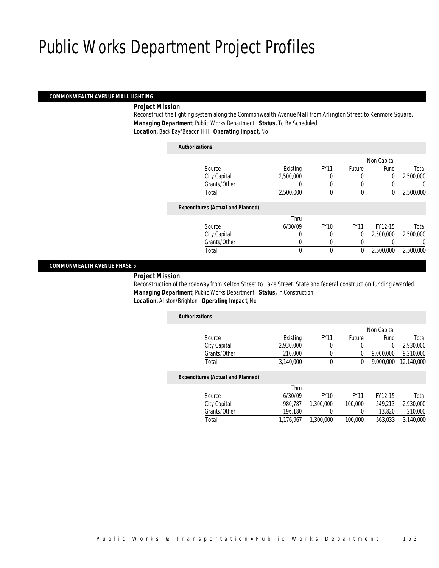*Authorizations*

#### *COMMONWEALTH AVENUE MALL LIGHTING*

#### *Project Mission*

Reconstruct the lighting system along the Commonwealth Avenue Mall from Arlington Street to Kenmore Square. *Managing Department,* Public Works Department *Status,* To Be Scheduled *Location,* Back Bay/Beacon Hill *Operating Impact,* No

| Authorizations                           |              |             |             |             |           |
|------------------------------------------|--------------|-------------|-------------|-------------|-----------|
|                                          |              |             |             | Non Capital |           |
| Source                                   | Existing     | <b>FY11</b> | Future      | Fund        | Total     |
| City Capital                             | 2,500,000    | 0           | $\left($    | 0           | 2,500,000 |
| Grants/Other                             |              |             |             |             | 0         |
| Total                                    | 2,500,000    | $\theta$    | $\mathbf 0$ | 0           | 2,500,000 |
| <b>Expenditures (Actual and Planned)</b> |              |             |             |             |           |
|                                          | Thru         |             |             |             |           |
| Source                                   | 6/30/09      | <b>FY10</b> | <b>FY11</b> | FY12-15     | Total     |
| City Capital                             | 0            | 0           | 0           | 2.500.000   | 2,500,000 |
| Grants/Other                             | 0            | $\left($    | 0           |             | 0         |
| Total                                    | $\mathbf{0}$ | $\theta$    | $\mathbf 0$ | 2.500.000   | 2,500,000 |
|                                          |              |             |             |             |           |

#### *COMMONWEALTH AVENUE PHASE 5*

*Project Mission* 

Reconstruction of the roadway from Kelton Street to Lake Street. State and federal construction funding awarded. *Managing Department,* Public Works Department *Status,* In Construction *Location,* Allston/Brighton *Operating Impact,* No

| <b>Authorizations</b>                    |           |             |               |             |            |
|------------------------------------------|-----------|-------------|---------------|-------------|------------|
|                                          |           |             |               | Non Capital |            |
| Source                                   | Existing  | <b>FY11</b> | <b>Future</b> | Fund        | Total      |
| City Capital                             | 2,930,000 | 0           | 0             | $\Omega$    | 2,930,000  |
| Grants/Other                             | 210,000   |             | 0             | 9,000,000   | 9,210,000  |
| Total                                    | 3.140.000 | 0           | 0             | 9,000,000   | 12,140,000 |
| <b>Expenditures (Actual and Planned)</b> |           |             |               |             |            |
|                                          | Thru      |             |               |             |            |

| Total     |
|-----------|
| 2,930,000 |
| 210,000   |
| 3,140,000 |
|           |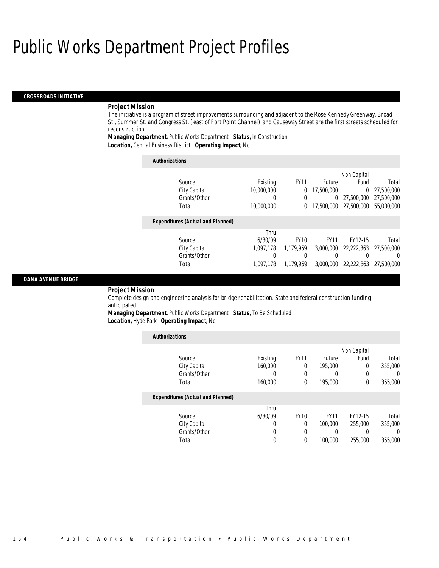#### *CROSSROADS INITIATIVE*

#### *Project Mission*

The initiative is a program of street improvements surrounding and adjacent to the Rose Kennedy Greenway. Broad St., Summer St. and Congress St. (east of Fort Point Channel) and Causeway Street are the first streets scheduled for reconstruction.

*Managing Department,* Public Works Department *Status,* In Construction *Location,* Central Business District *Operating Impact,* No

| <b>Authorizations</b>                    |            |             |               |             |            |
|------------------------------------------|------------|-------------|---------------|-------------|------------|
|                                          |            |             |               | Non Capital |            |
| Source                                   | Existing   | <b>FY11</b> | <b>Future</b> | Fund        | Total      |
| City Capital                             | 10,000,000 | 0           | 17,500,000    | $\Omega$    | 27,500,000 |
| Grants/Other                             | 0          | 0           | 0             | 27.500.000  | 27,500,000 |
| Total                                    | 10,000,000 | 0           | 17,500,000    | 27,500,000  | 55,000,000 |
| <b>Expenditures (Actual and Planned)</b> |            |             |               |             |            |
|                                          | Thru       |             |               |             |            |
| Source                                   | 6/30/09    | <b>FY10</b> | <b>FY11</b>   | FY12-15     | Total      |
| City Capital                             | 1.097.178  | 1.179.959   | 3,000,000     | 22,222,863  | 27,500,000 |
| Grants/Other                             | 0          | 0           |               |             | $\Omega$   |
| Total                                    | 1.097.178  | 1.179.959   | 3,000,000     | 22.222.863  | 27,500,000 |

#### *DANA AVENUE BRIDGE*

*Project Mission* 

Complete design and engineering analysis for bridge rehabilitation. State and federal construction funding anticipated.

*Managing Department,* Public Works Department *Status,* To Be Scheduled *Location,* Hyde Park *Operating Impact,* No

*Authorizations*

| <b>Authorizations</b>                    |                  |             |                  |             |                  |
|------------------------------------------|------------------|-------------|------------------|-------------|------------------|
|                                          |                  |             |                  | Non Capital |                  |
| Source                                   | Existing         | <b>FY11</b> | <b>Future</b>    | Fund        | Total            |
| City Capital                             | 160,000          | 0           | 195,000          | 0           | 355,000          |
| Grants/Other                             | $\left( \right)$ | $\left($    | $\left( \right)$ | 0           | $\left( \right)$ |
| Total                                    | 160,000          | 0           | 195,000          | 0           | 355,000          |
| <b>Expenditures (Actual and Planned)</b> |                  |             |                  |             |                  |
|                                          | Thru             |             |                  |             |                  |
| Source                                   | 6/30/09          | <b>FY10</b> | <b>FY11</b>      | FY12-15     | Total            |
| City Capital                             | 0                | 0           | 100,000          | 255,000     | 355,000          |
| Grants/Other                             | 0                | $\left($    | 0                |             | $\Omega$         |
| Total                                    | 0                | $\theta$    | 100,000          | 255,000     | 355,000          |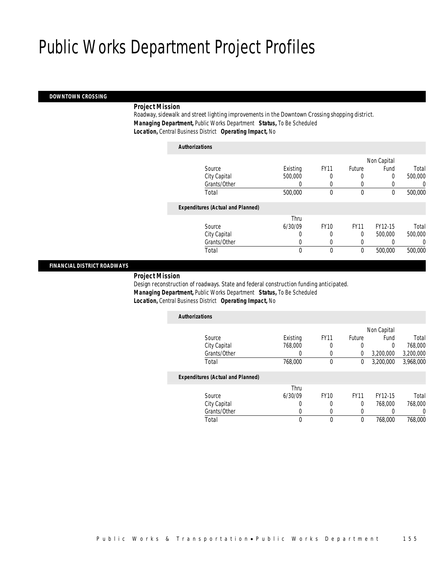*Authorizations*

#### *DOWNTOWN CROSSING*

#### *Project Mission*

Roadway, sidewalk and street lighting improvements in the Downtown Crossing shopping district. *Managing Department,* Public Works Department *Status,* To Be Scheduled *Location,* Central Business District *Operating Impact,* No

| Authorizations                           |          |             |             |             |         |
|------------------------------------------|----------|-------------|-------------|-------------|---------|
|                                          |          |             |             | Non Capital |         |
| Source                                   | Existing | <b>FY11</b> | Future      | Fund        | Total   |
| City Capital                             | 500,000  | 0           | 0           | 0           | 500,000 |
| Grants/Other                             | 0        | 0           |             |             | 0       |
| Total                                    | 500,000  | $\theta$    | $\theta$    | 0           | 500,000 |
| <b>Expenditures (Actual and Planned)</b> |          |             |             |             |         |
|                                          | Thru     |             |             |             |         |
| Source                                   | 6/30/09  | <b>FY10</b> | <b>FY11</b> | FY12-15     | Total   |
| City Capital                             | 0        | 0           | 0           | 500,000     | 500,000 |
| Grants/Other                             | 0        |             |             |             | 0       |
| Total                                    | 0        | $\theta$    | 0           | 500,000     | 500,000 |
|                                          |          |             |             |             |         |

#### *FINANCIAL DISTRICT ROADWAYS*

*Project Mission* 

Design reconstruction of roadways. State and federal construction funding anticipated. *Managing Department,* Public Works Department *Status,* To Be Scheduled *Location,* Central Business District *Operating Impact,* No

| <b>Authorizations</b>                    |          |             |             |             |           |
|------------------------------------------|----------|-------------|-------------|-------------|-----------|
|                                          |          |             |             | Non Capital |           |
| Source                                   | Existing | <b>FY11</b> | Future      | Fund        | Total     |
| City Capital                             | 768,000  | 0           | 0           | 0           | 768,000   |
| Grants/Other                             | 0        |             | 0           | 3,200,000   | 3,200,000 |
| Total                                    | 768,000  | 0           | 0           | 3,200,000   | 3,968,000 |
| <b>Expenditures (Actual and Planned)</b> |          |             |             |             |           |
|                                          | Thru     |             |             |             |           |
| Source                                   | 6/30/09  | <b>FY10</b> | <b>FY11</b> | FY12-15     | Total     |
| City Capital                             | 0        | 0           | $\theta$    | 768,000     | 768,000   |
| Grants/Other                             | 0        | 0           | 0           |             | 0         |
| Total                                    | 0        | 0           | $\theta$    | 768,000     | 768,000   |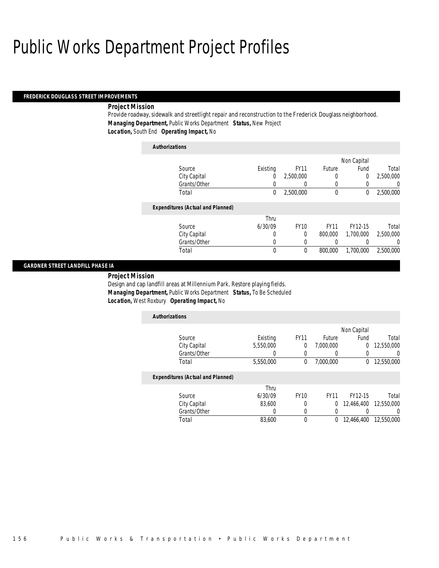#### *FREDERICK DOUGLASS STREET IMPROVEMENTS*

#### *Project Mission*

Provide roadway, sidewalk and streetlight repair and reconstruction to the Frederick Douglass neighborhood. *Managing Department,* Public Works Department *Status,* New Project *Location,* South End *Operating Impact,* No

### *Authorizations* Source **Existing** FY11 Future Non Capital Fund Total City Capital 0 2,500,000 0 0 2,500,000 Grants/Other 0 0 0 0 0 0 Total 0 2,500,000 0 0 2,500,000*Expenditures (Actual and Planned)* Source Thru 6/30/09 FY10 FY11 FY12-15 Total City Capital 0 0 800,000 1,700,000 2,500,000 Grants/Other 0 0 0 0 0 0 Total 0 0 800,000 1,700,000 2,500,000

#### *GARDNER STREET LANDFILL PHASE IA*

*Project Mission* 

Design and cap landfill areas at Millennium Park. Restore playing fields. *Managing Department,* Public Works Department *Status,* To Be Scheduled *Location,* West Roxbury *Operating Impact,* No

| <b>Authorizations</b>                    |           |             |             |                |            |
|------------------------------------------|-----------|-------------|-------------|----------------|------------|
|                                          |           |             |             | Non Capital    |            |
| Source                                   | Existing  | <b>FY11</b> | Future      | Fund           | Total      |
| City Capital                             | 5,550,000 | 0           | 7,000,000   | $\overline{0}$ | 12,550,000 |
| Grants/Other                             |           | 0           | 0           |                |            |
| Total                                    | 5,550,000 | 0           | 7,000,000   | 0              | 12,550,000 |
| <b>Expenditures (Actual and Planned)</b> |           |             |             |                |            |
|                                          | Thru      |             |             |                |            |
| Source                                   | 6/30/09   | <b>FY10</b> | <b>FY11</b> | FY12-15        | Total      |
| City Capital                             | 83,600    | 0           | 0           | 12,466,400     | 12,550,000 |
| Grants/Other                             |           | 0           | 0           |                |            |

Total 83,600 0 0 12,466,400 12,550,000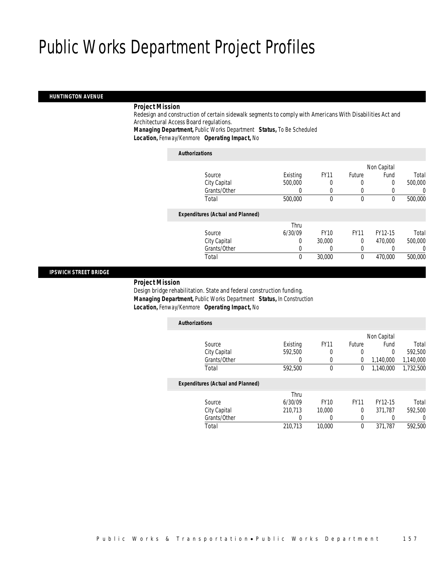#### *HUNTINGTON AVENUE*

#### *Project Mission*

Redesign and construction of certain sidewalk segments to comply with Americans With Disabilities Act and Architectural Access Board regulations.

*Managing Department,* Public Works Department *Status,* To Be Scheduled

*Location,* Fenway/Kenmore *Operating Impact,* No

#### *Authorizations*

|                                          |          |             |             | Non Capital |         |
|------------------------------------------|----------|-------------|-------------|-------------|---------|
| Source                                   | Existing | <b>FY11</b> | Future      | Fund        | Total   |
| City Capital                             | 500,000  |             |             | 0           | 500,000 |
| Grants/Other                             |          |             |             |             | 0       |
| Total                                    | 500,000  | $\theta$    | $\mathbf 0$ | 0           | 500,000 |
| <b>Expenditures (Actual and Planned)</b> |          |             |             |             |         |
|                                          | Thru     |             |             |             |         |
| Source                                   | 6/30/09  | <b>FY10</b> | <b>FY11</b> | FY12-15     | Total   |
| City Capital                             | 0        | 30,000      | $\Omega$    | 470,000     | 500,000 |
| Grants/Other                             |          | 0           | 0           |             | 0       |
| Total                                    | 0        | 30,000      | 0           | 470,000     | 500,000 |
|                                          |          |             |             |             |         |

#### *IPSWICH STREET BRIDGE*

*Project Mission* 

Design bridge rehabilitation. State and federal construction funding. *Managing Department,* Public Works Department *Status,* In Construction *Location,* Fenway/Kenmore *Operating Impact,* No

| Existing | <b>FY11</b> | Future      | Fund      | Total       |
|----------|-------------|-------------|-----------|-------------|
| 592,500  | 0           | 0           | 0         | 592,500     |
|          | 0           | 0           | 1,140,000 | 1,140,000   |
| 592,500  | $\mathbf 0$ | 0           | 1,140,000 | 1,732,500   |
|          |             |             |           |             |
| Thru     |             |             |           |             |
| 6/30/09  | <b>FY10</b> | <b>FY11</b> | FY12-15   | Total       |
| 210.713  | 10,000      | 0           | 371.787   | 592,500     |
|          |             | 0           |           | $\left($    |
| 210.713  | 10,000      | $\theta$    | 371,787   | 592,500     |
|          |             |             |           | Non Capital |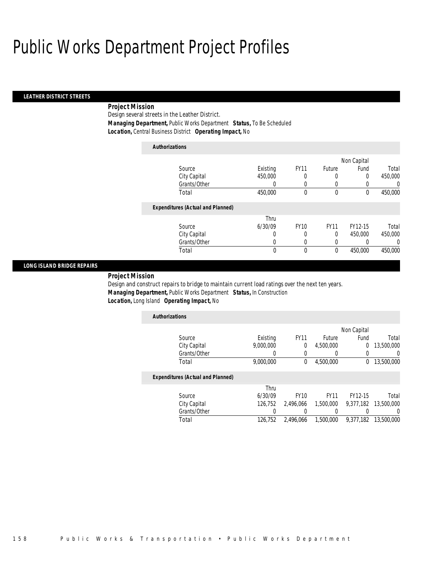#### *LEATHER DISTRICT STREETS*

### *Project Mission*

Design several streets in the Leather District. *Managing Department,* Public Works Department *Status,* To Be Scheduled *Location,* Central Business District *Operating Impact,* No

| <b>Authorizations</b>                    |          |             |             |             |                  |
|------------------------------------------|----------|-------------|-------------|-------------|------------------|
|                                          |          |             |             | Non Capital |                  |
| Source                                   | Existing | <b>FY11</b> | Future      | Fund        | Total            |
| City Capital                             | 450,000  | 0           | 0           | $\Omega$    | 450,000          |
| Grants/Other                             | 0        | 0           | 0           | 0           | $\left( \right)$ |
| Total                                    | 450,000  | 0           | $\mathbf 0$ | 0           | 450,000          |
| <b>Expenditures (Actual and Planned)</b> |          |             |             |             |                  |
|                                          | Thru     |             |             |             |                  |
| Source                                   | 6/30/09  | <b>FY10</b> | <b>FY11</b> | FY12-15     | Total            |
| City Capital                             | 0        | 0           | 0           | 450,000     | 450,000          |
| Grants/Other                             | 0        | 0           | 0           | 0           | $\left($         |
| Total                                    | 0        | 0           | $\mathbf 0$ | 450,000     | 450,000          |

#### *LONG ISLAND BRIDGE REPAIRS*

*Project Mission* 

Design and construct repairs to bridge to maintain current load ratings over the next ten years. *Managing Department,* Public Works Department *Status,* In Construction *Location,* Long Island *Operating Impact,* No

| <b>Authorizations</b> |           |             |           |             |            |
|-----------------------|-----------|-------------|-----------|-------------|------------|
|                       |           |             |           | Non Capital |            |
| Source                | Existing  | <b>FY11</b> | Future    | Fund        | Total      |
| City Capital          | 9,000,000 |             | 4,500,000 |             | 13,500,000 |
| Grants/Other          |           |             |           |             |            |
| Total                 | 9,000,000 |             | 4,500,000 |             | 13,500,000 |

#### *Expenditures (Actual and Planned)*

|              | Thru    |             |           |                      |       |
|--------------|---------|-------------|-----------|----------------------|-------|
| Source       | 6/30/09 | <b>FY10</b> | FY11      | FY12-15              | Total |
| City Capital | 126.752 | 2.496.066   | 1,500,000 | 9,377,182 13,500,000 |       |
| Grants/Other |         |             |           |                      |       |
| Total        | 126.752 | 2.496.066   | 1,500,000 | 9,377,182 13,500,000 |       |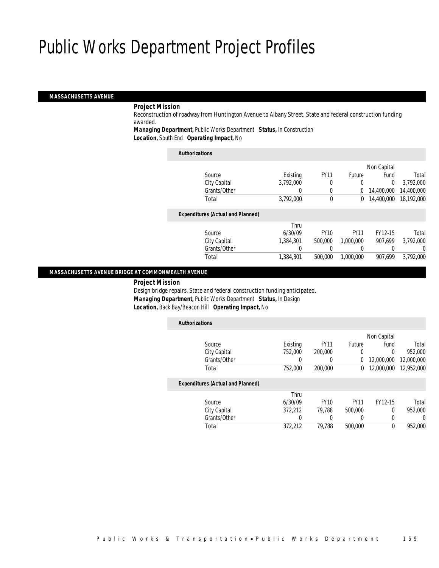#### *MASSACHUSETTS AVENUE*

#### *Project Mission*

Reconstruction of roadway from Huntington Avenue to Albany Street. State and federal construction funding awarded.

*Managing Department,* Public Works Department *Status,* In Construction

*Location,* South End *Operating Impact,* No

| <b>Authorizations</b>                    |           |             |              |             |            |
|------------------------------------------|-----------|-------------|--------------|-------------|------------|
|                                          |           |             |              | Non Capital |            |
| Source                                   | Existing  | <b>FY11</b> | Future       | Fund        | Total      |
| City Capital                             | 3.792.000 | 0           | 0            | $\Omega$    | 3.792.000  |
| Grants/Other                             | 0         | 0           | 0            | 14,400,000  | 14,400,000 |
| Total                                    | 3,792,000 | $\theta$    | $\mathbf{0}$ | 14,400,000  | 18,192,000 |
| <b>Expenditures (Actual and Planned)</b> |           |             |              |             |            |
|                                          | Thru      |             |              |             |            |
| Source                                   | 6/30/09   | <b>FY10</b> | <b>FY11</b>  | FY12-15     | Total      |
| City Capital                             | 1,384,301 | 500,000     | 1.000.000    | 907.699     | 3,792,000  |
| Grants/Other                             |           |             |              |             | 0          |
| Total                                    | 1,384,301 | 500,000     | 1.000.000    | 907.699     | 3.792.000  |
|                                          |           |             |              |             |            |

#### *MASSACHUSETTS AVENUE BRIDGE AT COMMONWEALTH AVENUE*

*Project Mission* 

Design bridge repairs. State and federal construction funding anticipated. *Managing Department,* Public Works Department *Status,* In Design *Location,* Back Bay/Beacon Hill *Operating Impact,* No

| <b>Authorizations</b>                    |          |             |             |             |            |
|------------------------------------------|----------|-------------|-------------|-------------|------------|
|                                          |          |             |             | Non Capital |            |
| Source                                   | Existing | <b>FY11</b> | Future      | Fund        | Total      |
| City Capital                             | 752,000  | 200,000     | 0           | 0           | 952.000    |
| Grants/Other                             | 0        | 0           | 0           | 12,000,000  | 12,000,000 |
| Total                                    | 752,000  | 200,000     | 0           | 12,000,000  | 12.952.000 |
| <b>Expenditures (Actual and Planned)</b> |          |             |             |             |            |
|                                          | Thru     |             |             |             |            |
| Source                                   | 6/30/09  | <b>FY10</b> | <b>FY11</b> | FY12-15     | Total      |
| City Capital                             | 372.212  | 79.788      | 500,000     | 0           | 952.000    |
| Grants/Other                             | 0        | 0           | 0           | 0           | 0          |
| Total                                    | 372.212  | 79.788      | 500.000     | 0           | 952.000    |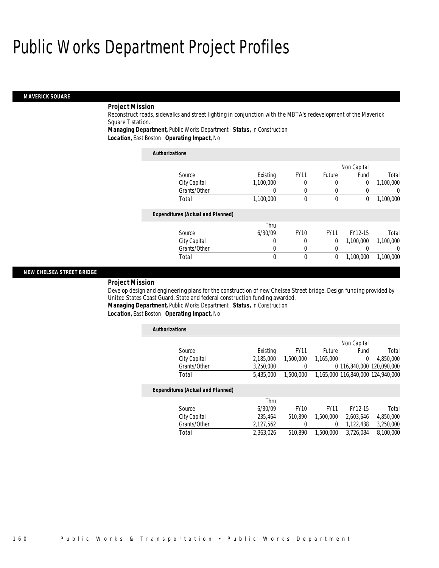#### *MAVERICK SQUARE*

### *Project Mission*

Reconstruct roads, sidewalks and street lighting in conjunction with the MBTA's redevelopment of the Maverick Square T station.

*Managing Department,* Public Works Department *Status,* In Construction

*Location,* East Boston *Operating Impact,* No

| <b>Authorizations</b>                    |                  |             |             |                |           |
|------------------------------------------|------------------|-------------|-------------|----------------|-----------|
|                                          |                  |             |             | Non Capital    |           |
| Source                                   | Existing         | <b>FY11</b> | Future      | Fund           | Total     |
| City Capital                             | 1,100,000        | 0           | 0           | $\overline{0}$ | 1,100,000 |
| Grants/Other                             | 0                | $\left($    | 0           |                | $\left($  |
| Total                                    | 1,100,000        | 0           | $\theta$    | $\Omega$       | 1,100,000 |
| <b>Expenditures (Actual and Planned)</b> |                  |             |             |                |           |
|                                          | Thru             |             |             |                |           |
| Source                                   | 6/30/09          | <b>FY10</b> | <b>FY11</b> | FY12-15        | Total     |
| City Capital                             | 0                | 0           | 0           | 1.100.000      | 1.100.000 |
| Grants/Other                             | $\left( \right)$ | $\left($    | 0           |                | $\Omega$  |
| Total                                    | 0                | $\Omega$    | 0           | 1.100.000      | 1.100.000 |

#### *NEW CHELSEA STREET BRIDGE*

#### *Project Mission*

Develop design and engineering plans for the construction of new Chelsea Street bridge. Design funding provided by United States Coast Guard. State and federal construction funding awarded. *Managing Department,* Public Works Department *Status,* In Construction

*Location,* East Boston *Operating Impact,* No

| <b>Authorizations</b>                    |           |             |               |                           |                                   |
|------------------------------------------|-----------|-------------|---------------|---------------------------|-----------------------------------|
|                                          |           |             |               | Non Capital               |                                   |
| Source                                   | Existing  | <b>FY11</b> | <b>Future</b> | Fund                      | Total                             |
| City Capital                             | 2,185,000 | 1,500,000   | 1.165.000     | $\theta$                  | 4,850,000                         |
| Grants/Other                             | 3.250.000 | 0           |               | 0 116.840.000 120.090.000 |                                   |
| Total                                    | 5,435,000 | 1,500,000   |               |                           | 1.165.000 116.840.000 124.940.000 |
| <b>Expenditures (Actual and Planned)</b> |           |             |               |                           |                                   |
|                                          | Thru      |             |               |                           |                                   |
| Source                                   | 6/30/09   | <b>FY10</b> | <b>FY11</b>   | FY12-15                   | Total                             |
| City Capital                             | 235.464   | 510.890     | 1.500.000     | 2,603,646                 | 4,850,000                         |
| Grants/Other                             | 2,127,562 | $\Omega$    | $\Omega$      | 1,122,438                 | 3,250,000                         |
| Total                                    | 2.363.026 | 510.890     | 1,500,000     | 3,726,084                 | 8.100.000                         |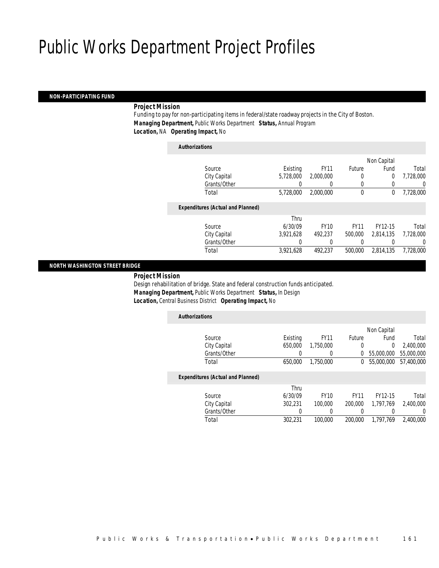#### *NON-PARTICIPATING FUND*

#### *Project Mission*

Funding to pay for non-participating items in federal/state roadway projects in the City of Boston. *Managing Department,* Public Works Department *Status,* Annual Program *Location,* NA *Operating Impact,* No

*Authorizations*

|                                          |           |             |             | Non Capital    |           |
|------------------------------------------|-----------|-------------|-------------|----------------|-----------|
| Source                                   | Existing  | <b>FY11</b> | Future      | Fund           | Total     |
| City Capital                             | 5,728,000 | 2,000,000   |             | $\overline{0}$ | 7,728,000 |
| Grants/Other                             | 0         |             |             | 0              | 0         |
| Total                                    | 5,728,000 | 2,000,000   | $\mathbf 0$ | 0              | 7,728,000 |
|                                          |           |             |             |                |           |
| <b>Expenditures (Actual and Planned)</b> |           |             |             |                |           |
|                                          | Thru      |             |             |                |           |
| Source                                   | 6/30/09   | <b>FY10</b> | <b>FY11</b> | FY12-15        | Total     |
| City Capital                             | 3.921.628 | 492.237     | 500,000     | 2.814.135      | 7,728,000 |
| Grants/Other                             |           |             |             |                | 0         |
| Total                                    | 3,921,628 | 492.237     | 500,000     | 2,814,135      | 7,728,000 |
|                                          |           |             |             |                |           |

#### *NORTH WASHINGTON STREET BRIDGE*

*Project Mission* 

Design rehabilitation of bridge. State and federal construction funds anticipated. *Managing Department,* Public Works Department *Status,* In Design *Location,* Central Business District *Operating Impact,* No

| <b>Authorizations</b>                    |          |             |             |             |            |
|------------------------------------------|----------|-------------|-------------|-------------|------------|
|                                          |          |             |             | Non Capital |            |
| Source                                   | Existing | <b>FY11</b> | Future      | Fund        | Total      |
| City Capital                             | 650,000  | 1,750,000   | 0           | 0           | 2,400,000  |
| Grants/Other                             |          |             | 0           | 55,000,000  | 55,000,000 |
| Total                                    | 650,000  | 1,750,000   | 0           | 55,000,000  | 57,400,000 |
| <b>Expenditures (Actual and Planned)</b> |          |             |             |             |            |
|                                          | Thru     |             |             |             |            |
| Source                                   | 6/30/09  | <b>FY10</b> | <b>FY11</b> | FY12-15     | Total      |
| City Capital                             | 302.231  | 100,000     | 200,000     | 1.797.769   | 2,400,000  |
| Grants/Other                             |          |             |             |             | 0          |

Total 302,231 100,000 200,000 1,797,769 2,400,000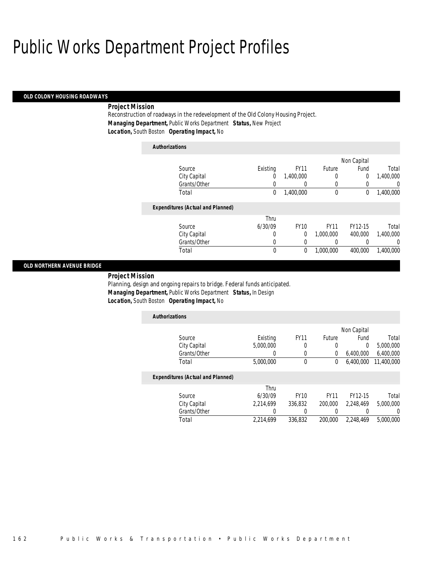#### *OLD COLONY HOUSING ROADWAYS*

#### *Project Mission*

Reconstruction of roadways in the redevelopment of the Old Colony Housing Project. *Managing Department,* Public Works Department *Status,* New Project *Location,* South Boston *Operating Impact,* No

### *Authorizations*

|           | Non Capital |             |                  |          |                                          |
|-----------|-------------|-------------|------------------|----------|------------------------------------------|
| Total     | Fund        | Future      | <b>FY11</b>      | Existing | Source                                   |
| 1,400,000 | 0           | 0           | 1,400,000        | 0        | City Capital                             |
| $\Omega$  |             | 0           | $\left( \right)$ | 0        | Grants/Other                             |
| 1,400,000 | 0           | 0           | 1,400,000        | 0        | Total                                    |
|           |             |             |                  |          | <b>Expenditures (Actual and Planned)</b> |
|           |             |             |                  | Thru     |                                          |
| Total     | FY12-15     | <b>FY11</b> | <b>FY10</b>      | 6/30/09  | Source                                   |
| 1,400,000 | 400,000     | 1.000.000   | $\Omega$         | 0        | City Capital                             |
| $\Omega$  |             | 0           | 0                | 0        | Grants/Other                             |
| 1,400,000 | 400,000     | 1,000,000   | 0                | 0        | Total                                    |

#### *OLD NORTHERN AVENUE BRIDGE*

*Project Mission* 

Planning, design and ongoing repairs to bridge. Federal funds anticipated. *Managing Department,* Public Works Department *Status,* In Design *Location,* South Boston *Operating Impact,* No

| <b>Authorizations</b>             |           |             |        |             |            |
|-----------------------------------|-----------|-------------|--------|-------------|------------|
|                                   |           |             |        | Non Capital |            |
| Source                            | Existing  | <b>FY11</b> | Future | Fund        | Total      |
| City Capital                      | 5,000,000 |             |        | 0           | 5,000,000  |
| Grants/Other                      |           |             |        | 6.400.000   | 6,400,000  |
| Total                             | 5,000,000 |             | 0      | 6,400,000   | 11,400,000 |
| Expanditurea (Actual and Diannad) |           |             |        |             |            |

#### *Expenditures (Actual and Planned)*

|              | Thru      |             |         |           |           |
|--------------|-----------|-------------|---------|-----------|-----------|
| Source       | 6/30/09   | <b>FY10</b> | FY11    | FY12-15   | Total     |
| City Capital | 2.214.699 | 336.832     | 200,000 | 2.248.469 | 5,000,000 |
| Grants/Other |           |             |         |           |           |
| Total        | 2.214.699 | 336.832     | 200,000 | 2.248.469 | 5,000,000 |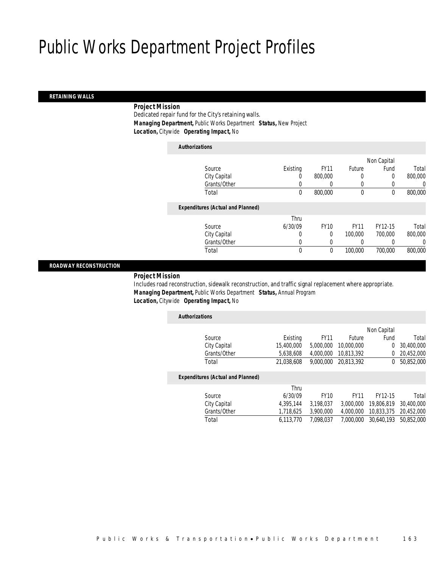#### *RETAINING WALLS*

#### *Project Mission*

Dedicated repair fund for the City's retaining walls. *Managing Department,* Public Works Department *Status,* New Project *Location,* Citywide *Operating Impact,* No

| <b>Authorizations</b>                    |          |             |             |             |         |
|------------------------------------------|----------|-------------|-------------|-------------|---------|
|                                          |          |             |             | Non Capital |         |
| Source                                   | Existing | <b>FY11</b> | Future      | Fund        | Total   |
| City Capital                             | 0        | 800,000     | 0           | 0           | 800,000 |
| Grants/Other                             |          | 0           | 0           | 0           |         |
| Total                                    | $\theta$ | 800,000     | 0           | 0           | 800,000 |
| <b>Expenditures (Actual and Planned)</b> |          |             |             |             |         |
|                                          | Thru     |             |             |             |         |
| Source                                   | 6/30/09  | <b>FY10</b> | <b>FY11</b> | FY12-15     | Total   |
| City Capital                             | 0        | $\Omega$    | 100,000     | 700,000     | 800,000 |
| Grants/Other                             | $\Omega$ | 0           | 0           |             |         |
| Total                                    | $\theta$ | 0           | 100,000     | 700,000     | 800,000 |
|                                          |          |             |             |             |         |

#### *ROADWAY RECONSTRUCTION*

#### *Project Mission*

Includes road reconstruction, sidewalk reconstruction, and traffic signal replacement where appropriate. *Managing Department,* Public Works Department *Status,* Annual Program *Location,* Citywide *Operating Impact,* No

| <b>Authorizations</b>                    |            |             |               |             |            |
|------------------------------------------|------------|-------------|---------------|-------------|------------|
|                                          |            |             |               | Non Capital |            |
| Source                                   | Existing   | <b>FY11</b> | <b>Future</b> | Fund        | Total      |
| City Capital                             | 15,400,000 | 5,000,000   | 10,000,000    | $\Omega$    | 30,400,000 |
| Grants/Other                             | 5,638,608  | 4,000,000   | 10,813,392    |             | 20,452,000 |
| Total                                    | 21,038,608 | 9,000,000   | 20.813.392    | $^{0}$      | 50,852,000 |
| <b>Expenditures (Actual and Planned)</b> |            |             |               |             |            |
|                                          | Thru       |             |               |             |            |
| Source                                   | 6/30/09    | <b>FY10</b> | FY11          | FY12-15     | Total      |

City Capital 4,395,144 3,198,037 3,000,000 19,806,819 30,400,000<br>Grants/Other 1,718,625 3,900,000 4,000,000 10,833,375 20,452,000

Total 6,113,770 7,098,037 7,000,000 30,640,193 50,852,000

Grants/Other 1,718,625 3,900,000 4,000,000 10,833,375 20,452,000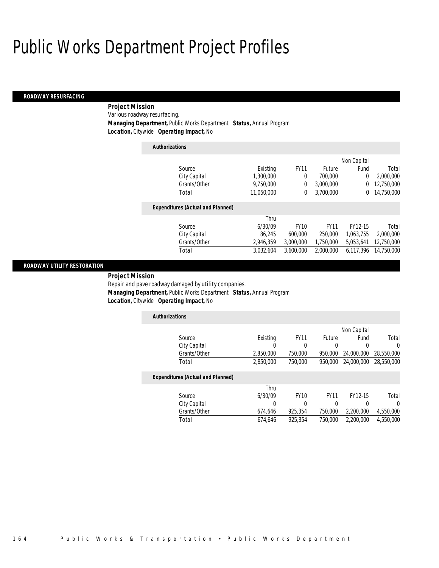#### *ROADWAY RESURFACING*

 *Project Mission* Various roadway resurfacing. *Managing Department,* Public Works Department *Status,* Annual Program *Location,* Citywide *Operating Impact,* No

*Authorizations*

|                                          |            |             |             | Non Capital |            |
|------------------------------------------|------------|-------------|-------------|-------------|------------|
| Source                                   | Existing   | <b>FY11</b> | Future      | Fund        | Total      |
| City Capital                             | 1,300,000  | 0           | 700,000     | 0           | 2,000,000  |
| Grants/Other                             | 9,750,000  | 0           | 3,000,000   | 0           | 12,750,000 |
| Total                                    | 11,050,000 | 0           | 3.700.000   | 0           | 14,750,000 |
| <b>Expenditures (Actual and Planned)</b> |            |             |             |             |            |
|                                          | Thru       |             |             |             |            |
| Source                                   | 6/30/09    | <b>FY10</b> | <b>FY11</b> | FY12-15     | Total      |
| City Capital                             | 86.245     | 600,000     | 250,000     | 1.063.755   | 2,000,000  |
| Grants/Other                             | 2,946,359  | 3,000,000   | 1,750,000   | 5,053,641   | 12,750,000 |
| Total                                    | 3,032,604  | 3,600,000   | 2,000,000   | 6,117,396   | 14,750,000 |
|                                          |            |             |             |             |            |

#### *ROADWAY UTILITY RESTORATION*

*Project Mission* 

Repair and pave roadway damaged by utility companies. *Managing Department,* Public Works Department *Status,* Annual Program

*Location,* Citywide *Operating Impact,* No

| <b>Authorizations</b> |           |             |         |                       |       |
|-----------------------|-----------|-------------|---------|-----------------------|-------|
|                       |           |             |         | Non Capital           |       |
| Source                | Existing  | <b>FY11</b> | Future  | Fund                  | Total |
| City Capital          |           |             |         |                       |       |
| Grants/Other          | 2.850,000 | 750,000     | 950.000 | 24,000,000 28,550,000 |       |
| Total                 | 2,850,000 | 750.000     | 950,000 | 24,000,000 28,550,000 |       |

#### *Expenditures (Actual and Planned)*

|              | Thru    |         |         |           |           |
|--------------|---------|---------|---------|-----------|-----------|
| Source       | 6/30/09 | FY10    | FY11    | FY12-15   | Total     |
| City Capital |         |         |         |           |           |
| Grants/Other | 674.646 | 925.354 | 750.000 | 2.200.000 | 4,550,000 |
| Total        | 674.646 | 925.354 | 750.000 | 2,200,000 | 4.550.000 |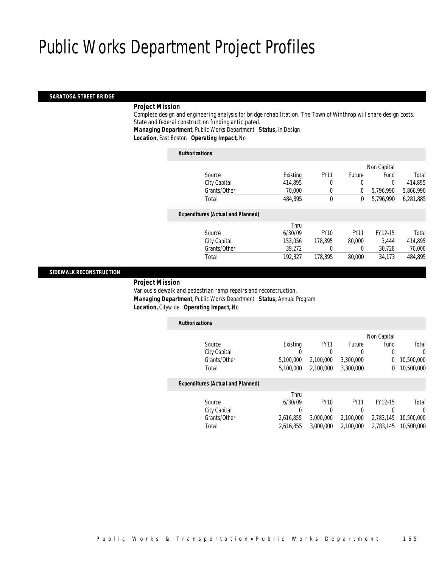#### *SARATOGA STREET BRIDGE*

#### *Project Mission*

Complete design and engineering analysis for bridge rehabilitation. The Town of Winthrop will share design costs. State and federal construction funding anticipated.

*Managing Department,* Public Works Department *Status,* In Design

*Location,* East Boston *Operating Impact,* No

#### *Authorizations*

|                                          |          |             |             | Non Capital |           |
|------------------------------------------|----------|-------------|-------------|-------------|-----------|
| Source                                   | Existing | <b>FY11</b> | Future      | Fund        | Total     |
| City Capital                             | 414,895  | 0           | 0           | 0           | 414,895   |
| Grants/Other                             | 70,000   | 0           | 0           | 5,796,990   | 5,866,990 |
| Total                                    | 484,895  | 0           | 0           | 5,796,990   | 6,281,885 |
| <b>Expenditures (Actual and Planned)</b> |          |             |             |             |           |
|                                          | Thru     |             |             |             |           |
| Source                                   | 6/30/09  | <b>FY10</b> | <b>FY11</b> | FY12-15     | Total     |
| City Capital                             | 153,056  | 178.395     | 80,000      | 3.444       | 414,895   |
| Grants/Other                             | 39,272   | 0           | 0           | 30,728      | 70,000    |
| Total                                    | 192,327  | 178.395     | 80,000      | 34.173      | 484,895   |
|                                          |          |             |             |             |           |

#### *SIDEWALK RECONSTRUCTION*

#### *Project Mission*

Various sidewalk and pedestrian ramp repairs and reconstruction. *Managing Department,* Public Works Department *Status,* Annual Program *Location,* Citywide *Operating Impact,* No

| <b>Authorizations</b>                    |           |             |             |             |            |
|------------------------------------------|-----------|-------------|-------------|-------------|------------|
|                                          |           |             |             | Non Capital |            |
| Source                                   | Existing  | <b>FY11</b> | Future      | Fund        | Total      |
| City Capital                             | 0         | 0           | 0           | 0           | $\Omega$   |
| Grants/Other                             | 5,100,000 | 2,100,000   | 3,300,000   | 0           | 10,500,000 |
| Total                                    | 5,100,000 | 2.100.000   | 3,300,000   | 0           | 10,500,000 |
| <b>Expenditures (Actual and Planned)</b> |           |             |             |             |            |
|                                          | Thru      |             |             |             |            |
| Source                                   | 6/30/09   | <b>FY10</b> | <b>FY11</b> | FY12-15     | Total      |
| City Capital                             | 0         | 0           | 0           | 0           | 0          |
| Grants/Other                             | 2,616,855 | 3,000,000   | 2,100,000   | 2,783,145   | 10,500,000 |
| Total                                    | 2.616.855 | 3,000,000   | 2.100.000   | 2.783.145   | 10,500,000 |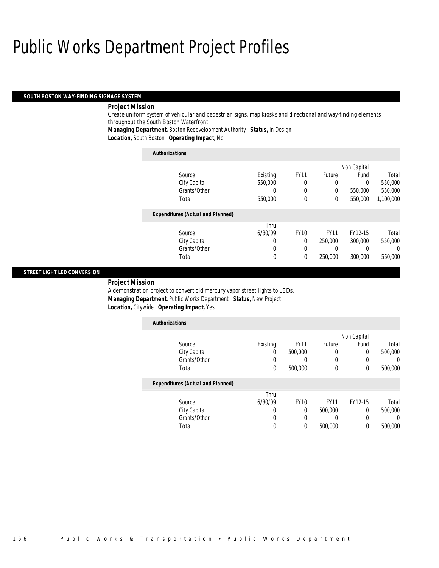#### *SOUTH BOSTON WAY-FINDING SIGNAGE SYSTEM*

#### *Project Mission*

Create uniform system of vehicular and pedestrian signs, map kiosks and directional and way-finding elements throughout the South Boston Waterfront.

*Managing Department,* Boston Redevelopment Authority *Status,* In Design

*Location,* South Boston *Operating Impact,* No

| <b>Authorizations</b>                    |          |              |             |             |           |
|------------------------------------------|----------|--------------|-------------|-------------|-----------|
|                                          |          |              |             | Non Capital |           |
| Source                                   | Existing | <b>FY11</b>  | Future      | Fund        | Total     |
| City Capital                             | 550,000  | 0            | 0           | $\Omega$    | 550,000   |
| Grants/Other                             | 0        | 0            | 0           | 550,000     | 550,000   |
| Total                                    | 550,000  | $\mathbf{0}$ | $\theta$    | 550,000     | 1,100,000 |
| <b>Expenditures (Actual and Planned)</b> |          |              |             |             |           |
|                                          | Thru     |              |             |             |           |
| Source                                   | 6/30/09  | <b>FY10</b>  | <b>FY11</b> | FY12-15     | Total     |
| City Capital                             | 0        | $\theta$     | 250,000     | 300,000     | 550,000   |
| Grants/Other                             | 0        | 0            |             |             | 0         |
| Total                                    | 0        | $\Omega$     | 250,000     | 300,000     | 550,000   |

#### *STREET LIGHT LED CONVERSION*

#### *Project Mission*

A demonstration project to convert old mercury vapor street lights to LEDs. *Managing Department,* Public Works Department *Status,* New Project *Location,* Citywide *Operating Impact,* Yes

| <b>Authorizations</b>                    |          |                  |               |             |          |
|------------------------------------------|----------|------------------|---------------|-------------|----------|
|                                          |          |                  |               | Non Capital |          |
| Source                                   | Existing | <b>FY11</b>      | <b>Future</b> | Fund        | Total    |
| City Capital                             | U        | 500,000          | 0             | 0           | 500,000  |
| Grants/Other                             | 0        | $\left( \right)$ | 0             |             | $\Omega$ |
| Total                                    | $\theta$ | 500,000          | $\theta$      | $\Omega$    | 500,000  |
| <b>Expenditures (Actual and Planned)</b> |          |                  |               |             |          |
|                                          | Thru     |                  |               |             |          |
| Source                                   | 6/30/09  | <b>FY10</b>      | <b>FY11</b>   | FY12-15     | Total    |
| City Capital                             | 0        | 0                | 500,000       | $\Omega$    | 500,000  |
| Grants/Other                             |          |                  | 0             |             | $\Omega$ |
| Total                                    | 0        | 0                | 500,000       | 0           | 500,000  |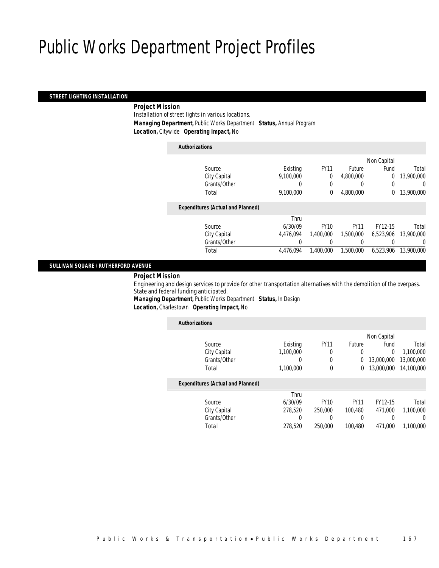#### *STREET LIGHTING INSTALLATION*

### *Project Mission*

Installation of street lights in various locations. *Managing Department,* Public Works Department *Status,* Annual Program *Location,* Citywide *Operating Impact,* No

| <b>Authorizations</b>                    |           |              |               |             |            |
|------------------------------------------|-----------|--------------|---------------|-------------|------------|
|                                          |           |              |               | Non Capital |            |
| Source                                   | Existing  | <b>FY11</b>  | <b>Future</b> | Fund        | Total      |
| City Capital                             | 9,100,000 | 0            | 4,800,000     | $\theta$    | 13,900,000 |
| Grants/Other                             | 0         | 0            | 0             | 0           |            |
| Total                                    | 9,100,000 | $\mathbf{0}$ | 4,800,000     | 0           | 13,900,000 |
| <b>Expenditures (Actual and Planned)</b> |           |              |               |             |            |
|                                          | Thru      |              |               |             |            |
| Source                                   | 6/30/09   | <b>FY10</b>  | <b>FY11</b>   | FY12-15     | Total      |
| City Capital                             | 4.476.094 | 1.400.000    | 1,500,000     | 6.523.906   | 13,900,000 |
| Grants/Other                             |           | 0            | 0             | 0           |            |
| Total                                    | 4.476.094 | 1,400,000    | 1,500,000     | 6.523.906   | 13,900,000 |

#### *SULLIVAN SQUARE / RUTHERFORD AVENUE*

*Project Mission* 

Engineering and design services to provide for other transportation alternatives with the demolition of the overpass. State and federal funding anticipated.

*Managing Department,* Public Works Department *Status,* In Design *Location,* Charlestown *Operating Impact,* No

| <b>Authorizations</b>                    |           |             |             |             |            |
|------------------------------------------|-----------|-------------|-------------|-------------|------------|
|                                          |           |             |             | Non Capital |            |
| Source                                   | Existing  | <b>FY11</b> | Future      | Fund        | Total      |
| City Capital                             | 1.100.000 | 0           | 0           | 0           | 1,100,000  |
| Grants/Other                             | 0         | 0           | 0           | 13,000,000  | 13,000,000 |
| Total                                    | 1.100.000 | 0           | 0           | 13,000,000  | 14,100,000 |
| <b>Expenditures (Actual and Planned)</b> |           |             |             |             |            |
|                                          | Thru      |             |             |             |            |
| Source                                   | 6/30/09   | <b>FY10</b> | <b>FY11</b> | FY12-15     | Total      |
| City Capital                             | 278,520   | 250,000     | 100.480     | 471.000     | 1.100.000  |
| Grants/Other                             | 0         | 0           | 0           |             | 0          |
| Total                                    | 278,520   | 250,000     | 100.480     | 471.000     | 1.100.000  |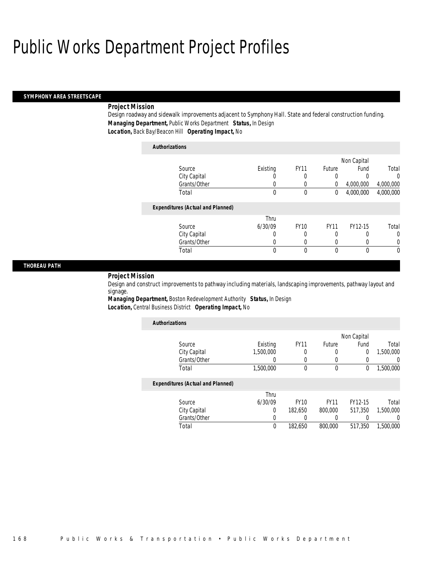#### *SYMPHONY AREA STREETSCAPE*

#### *Project Mission*

Design roadway and sidewalk improvements adjacent to Symphony Hall. State and federal construction funding. *Managing Department,* Public Works Department *Status,* In Design *Location,* Back Bay/Beacon Hill *Operating Impact,* No

### *Authorizations*

|                                          |          |             |               | Non Capital |           |
|------------------------------------------|----------|-------------|---------------|-------------|-----------|
| Source                                   | Existing | <b>FY11</b> | <b>Future</b> | Fund        | Total     |
| City Capital                             |          | 0           | 0             |             | $\Omega$  |
| Grants/Other                             |          |             | 0             | 4,000,000   | 4,000,000 |
| Total                                    | 0        | 0           | 0             | 4,000,000   | 4,000,000 |
| <b>Expenditures (Actual and Planned)</b> |          |             |               |             |           |
|                                          | Thru     |             |               |             |           |
| Source                                   | 6/30/09  | <b>FY10</b> | <b>FY11</b>   | FY12-15     | Total     |
| City Capital                             |          | 0           | 0             |             | $\Omega$  |
| Grants/Other                             |          |             |               |             |           |
| Total                                    | 0        | 0           | 0             |             | $\theta$  |

#### *THOREAU PATH*

#### *Project Mission*

Design and construct improvements to pathway including materials, landscaping improvements, pathway layout and signage.

*Managing Department,* Boston Redevelopment Authority *Status,* In Design *Location,* Central Business District *Operating Impact,* No

| <b>Authorizations</b>                    |           |             |             |             |                  |
|------------------------------------------|-----------|-------------|-------------|-------------|------------------|
|                                          |           |             |             | Non Capital |                  |
| Source                                   | Existing  | <b>FY11</b> | Future      | Fund        | Total            |
| City Capital                             | 1,500,000 | 0           | 0           | 0           | 1,500,000        |
| Grants/Other                             |           | $\left($    | 0           | 0           | 0                |
| Total                                    | 1,500,000 | $\theta$    | $\mathbf 0$ | 0           | 1,500,000        |
| <b>Expenditures (Actual and Planned)</b> |           |             |             |             |                  |
|                                          | Thru      |             |             |             |                  |
| Source                                   | 6/30/09   | <b>FY10</b> | <b>FY11</b> | FY12-15     | Total            |
| City Capital                             | 0         | 182.650     | 800,000     | 517.350     | 1,500,000        |
| Grants/Other                             |           |             |             |             | $\left( \right)$ |
| Total                                    | 0         | 182,650     | 800,000     | 517.350     | 1,500,000        |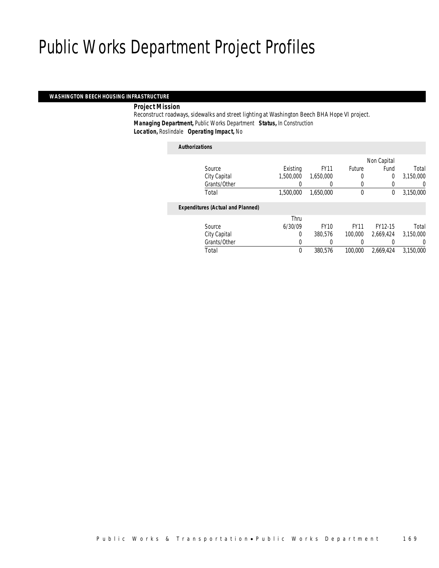#### *WASHINGTON BEECH HOUSING INFRASTRUCTURE*

#### *Project Mission*

Reconstruct roadways, sidewalks and street lighting at Washington Beech BHA Hope VI project. *Managing Department,* Public Works Department *Status,* In Construction *Location,* Roslindale *Operating Impact,* No

#### *Authorizations*

|                                          |           |             |             | Non Capital    |           |
|------------------------------------------|-----------|-------------|-------------|----------------|-----------|
| Source                                   | Existing  | <b>FY11</b> | Future      | Fund           | Total     |
| City Capital                             | 1,500,000 | 1.650.000   | 0           | $\overline{0}$ | 3,150,000 |
| Grants/Other                             | 0         | 0           |             | 0              | 0         |
| Total                                    | 1,500,000 | 1,650,000   | $\mathbf 0$ | 0              | 3,150,000 |
| <b>Expenditures (Actual and Planned)</b> |           |             |             |                |           |
|                                          | Thru      |             |             |                |           |
| Source                                   | 6/30/09   | <b>FY10</b> | <b>FY11</b> | FY12-15        | Total     |
| City Capital                             | 0         | 380.576     | 100,000     | 2,669,424      | 3,150,000 |
| Grants/Other                             | 0         |             |             |                | 0         |
| Total                                    | 0         | 380.576     | 100,000     | 2,669,424      | 3,150,000 |
|                                          |           |             |             |                |           |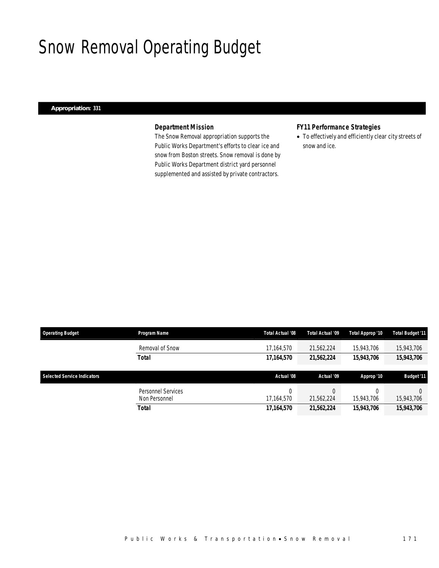### Snow Removal Operating Budget

#### *Appropriation: 331*

#### *Department Mission*

The Snow Removal appropriation supports the Public Works Department's efforts to clear ice and snow from Boston streets. Snow removal is done by Public Works Department district yard personnel supplemented and assisted by private contractors.

### *FY11 Performance Strategies*

• To effectively and efficiently clear city streets of snow and ice.

| <b>Operating Budget</b>            | <b>Program Name</b> | Total Actual '08 | Total Actual '09 | Total Approp '10 | <b>Total Budget '11</b> |
|------------------------------------|---------------------|------------------|------------------|------------------|-------------------------|
|                                    | Removal of Snow     | 17,164,570       | 21,562,224       | 15,943,706       | 15,943,706              |
|                                    | <b>Total</b>        | 17,164,570       | 21,562,224       | 15,943,706       | 15,943,706              |
|                                    |                     |                  |                  |                  |                         |
|                                    |                     |                  |                  |                  |                         |
| <b>Selected Service Indicators</b> |                     | Actual '08       | Actual '09       | Approp '10       | <b>Budget '11</b>       |
|                                    | Personnel Services  |                  |                  |                  |                         |
|                                    | Non Personnel       | 17,164,570       | 21,562,224       | 15,943,706       | 15,943,706              |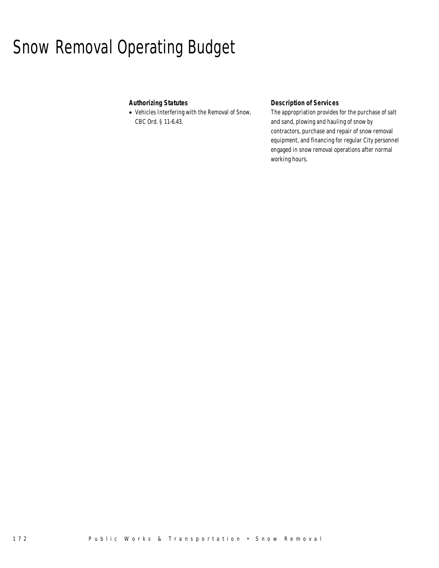# Snow Removal Operating Budget

### *Authorizing Statutes*

• Vehicles Interfering with the Removal of Snow, CBC Ord. § 11-6.43.

### *Description of Services*

The appropriation provides for the purchase of salt and sand, plowing and hauling of snow by contractors, purchase and repair of snow removal equipment, and financing for regular City personnel engaged in snow removal operations after normal working hours.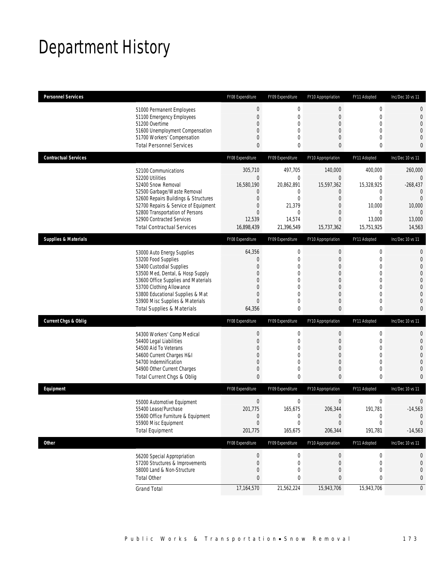# Department History

| <b>Personnel Services</b>             | FY08 Expenditure | FY09 Expenditure | FY10 Appropriation | FY11 Adopted     | Inc/Dec 10 vs 11 |
|---------------------------------------|------------------|------------------|--------------------|------------------|------------------|
| 51000 Permanent Employees             | 0                | $\mathbf 0$      | $\boldsymbol{0}$   | $\boldsymbol{0}$ | 0                |
| 51100 Emergency Employees             | $\overline{0}$   | $\overline{0}$   | $\theta$           | $\mathbf{0}$     | 0                |
| 51200 Overtime                        | $\mathbf{0}$     | $\overline{0}$   | $\mathbf 0$        | $\mathbf 0$      | 0                |
| 51600 Unemployment Compensation       | 0                | 0                | $\theta$           | $\overline{0}$   | 0                |
| 51700 Workers' Compensation           | $\mathbf{0}$     | 0                | $\theta$           | $\overline{0}$   | 0                |
| <b>Total Personnel Services</b>       | $\mathbf{0}$     | 0                | 0                  | $\bf{0}$         | 0                |
|                                       |                  |                  |                    |                  |                  |
| <b>Contractual Services</b>           | FY08 Expenditure | FY09 Expenditure | FY10 Appropriation | FY11 Adopted     | Inc/Dec 10 vs 11 |
| 52100 Communications                  | 305,710          | 497,705          | 140,000            | 400,000          | 260,000          |
| 52200 Utilities                       | $\mathbf 0$      | $\mathbf 0$      | $\bf 0$            | 0                | 0                |
| 52400 Snow Removal                    | 16,580,190       | 20,862,891       | 15,597,362         | 15,328,925       | $-268,437$       |
| 52500 Garbage/Waste Removal           | 0                | 0                | $\theta$           | $\mathbf 0$      | $\overline{0}$   |
| 52600 Repairs Buildings & Structures  | $\mathbf{0}$     | 0                | $\theta$           | $\mathbf{0}$     | $\overline{0}$   |
| 52700 Repairs & Service of Equipment  | $\mathbf 0$      | 21,379           | $\overline{0}$     | 10,000           | 10,000           |
| 52800 Transportation of Persons       | $\overline{0}$   | $\mathbf{0}$     | $\theta$           | 0                | $\mathbf{0}$     |
| 52900 Contracted Services             | 12,539           | 14,574           | $\theta$           | 13,000           | 13,000           |
| <b>Total Contractual Services</b>     | 16,898,439       | 21,396,549       | 15,737,362         | 15,751,925       | 14,563           |
| <b>Supplies &amp; Materials</b>       |                  |                  |                    |                  | Inc/Dec 10 vs 11 |
|                                       | FY08 Expenditure | FY09 Expenditure | FY10 Appropriation | FY11 Adopted     |                  |
| 53000 Auto Energy Supplies            | 64,356           | $\mathbf 0$      | $\mathbf 0$        | $\boldsymbol{0}$ | 0                |
| 53200 Food Supplies                   | 0                | 0                | $\theta$           | $\mathbf{0}$     | $\mathbf 0$      |
| 53400 Custodial Supplies              | $\Omega$         | 0                | $\theta$           | $\mathbf 0$      | 0                |
| 53500 Med, Dental, & Hosp Supply      | 0                | $\overline{0}$   | $\mathbf 0$        | $\mathbf{0}$     | 0                |
| 53600 Office Supplies and Materials   | $\Omega$         | $\theta$         | $\theta$           | $\mathbf 0$      | 0                |
| 53700 Clothing Allowance              | $\Omega$         | $\theta$         | $\theta$           | $\mathbf{0}$     | 0                |
| 53800 Educational Supplies & Mat      | 0                | $\overline{0}$   | $\overline{0}$     | $\overline{0}$   | 0                |
| 53900 Misc Supplies & Materials       | $\mathbf{0}$     | $\mathbf{0}$     | $\theta$           | $\mathbf{0}$     | 0                |
| <b>Total Supplies &amp; Materials</b> | 64,356           | 0                | $\bf{0}$           | $\bf{0}$         | 0                |
| <b>Current Chgs &amp; Oblig</b>       | FY08 Expenditure | FY09 Expenditure | FY10 Appropriation | FY11 Adopted     | Inc/Dec 10 vs 11 |
| 54300 Workers' Comp Medical           | $\boldsymbol{0}$ | $\mathbf 0$      | $\boldsymbol{0}$   | $\boldsymbol{0}$ | 0                |
| 54400 Legal Liabilities               | $\mathbf 0$      | $\mathbf 0$      | $\mathbf 0$        | $\mathbf{0}$     | $\mathbf 0$      |
| 54500 Aid To Veterans                 | 0                | 0                | $\theta$           | $\overline{0}$   | 0                |
| 54600 Current Charges H&I             | 0                | $\overline{0}$   | $\mathbf 0$        | $\mathbf{0}$     | 0                |
| 54700 Indemnification                 | $\mathbf{0}$     | 0                | $\theta$           | $\overline{0}$   | 0                |
| 54900 Other Current Charges           | $\mathbf 0$      | 0                | $\theta$           | $\mathbf 0$      | 0                |
| Total Current Chgs & Oblig            | 0                | 0                | $\overline{0}$     | $\mathbf{0}$     | 0                |
| Equipment                             | FY08 Expenditure | FY09 Expenditure | FY10 Appropriation | FY11 Adopted     | Inc/Dec 10 vs 11 |
| 55000 Automotive Equipment            | $\mathbf 0$      | $\mathbf 0$      | $\boldsymbol{0}$   | $\boldsymbol{0}$ | 0                |
| 55400 Lease/Purchase                  | 201,775          | 165,675          | 206,344            | 191,781          | $-14,563$        |
| 55600 Office Furniture & Equipment    | $\mathbf 0$      | $\boldsymbol{0}$ | $\theta$           | $\boldsymbol{0}$ | $\theta$         |
| 55900 Misc Equipment                  | $\mathbf 0$      | $\boldsymbol{0}$ | $\boldsymbol{0}$   | 0                | 0                |
| <b>Total Equipment</b>                | 201,775          | 165,675          | 206,344            | 191,781          | $-14,563$        |
| Other                                 | FY08 Expenditure | FY09 Expenditure | FY10 Appropriation | FY11 Adopted     | Inc/Dec 10 vs 11 |
| 56200 Special Appropriation           | 0                | $\boldsymbol{0}$ | $\theta$           | 0                | 0                |
| 57200 Structures & Improvements       | 0                | $\mathbf 0$      | $\theta$           | $\mathbf 0$      | 0                |
| 58000 Land & Non-Structure            | $\mathbf 0$      | 0                | $\theta$           | $\mathbf 0$      | 0                |
| <b>Total Other</b>                    | 0                | 0                | $\bf{0}$           | 0                | 0                |
| <b>Grand Total</b>                    | 17,164,570       | 21,562,224       | 15,943,706         | 15,943,706       | $\overline{0}$   |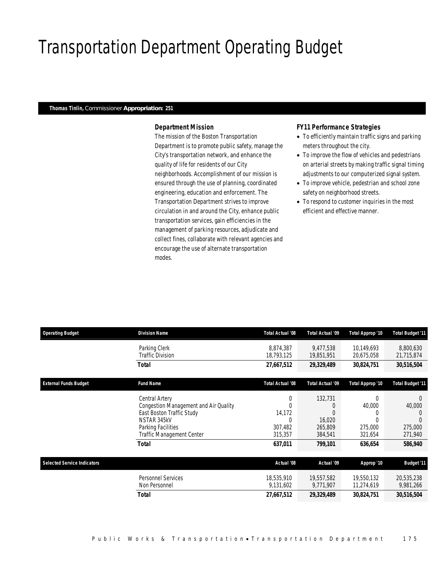# Transportation Department Operating Budget

#### *Thomas Tinlin, Commissioner Appropriation: 251*

#### *Department Mission*

The mission of the Boston Transportation Department is to promote public safety, manage the City's transportation network, and enhance the quality of life for residents of our City neighborhoods. Accomplishment of our mission is ensured through the use of planning, coordinated engineering, education and enforcement. The Transportation Department strives to improve circulation in and around the City, enhance public transportation services, gain efficiencies in the management of parking resources, adjudicate and collect fines, collaborate with relevant agencies and encourage the use of alternate transportation modes.

#### *FY11 Performance Strategies*

- To efficiently maintain traffic signs and parking meters throughout the city.
- To improve the flow of vehicles and pedestrians on arterial streets by making traffic signal timing adjustments to our computerized signal system.
- To improve vehicle, pedestrian and school zone safety on neighborhood streets.
- To respond to customer inquiries in the most efficient and effective manner.

| <b>Operating Budget</b>            | <b>Division Name</b>                                                                                                                                            | Total Actual '08                                         | Total Actual '09                                   | Total Approp '10                                    | Total Budget '11                                    |
|------------------------------------|-----------------------------------------------------------------------------------------------------------------------------------------------------------------|----------------------------------------------------------|----------------------------------------------------|-----------------------------------------------------|-----------------------------------------------------|
|                                    | Parking Clerk<br>Traffic Division                                                                                                                               | 8,874,387<br>18,793,125                                  | 9.477.538<br>19,851,951                            | 10,149,693<br>20,675,058                            | 8,800,630<br>21,715,874                             |
|                                    | Total                                                                                                                                                           | 27,667,512                                               | 29,329,489                                         | 30,824,751                                          | 30,516,504                                          |
| <b>External Funds Budget</b>       | <b>Fund Name</b>                                                                                                                                                | Total Actual '08                                         | Total Actual '09                                   | Total Approp '10                                    | Total Budget '11                                    |
|                                    | Central Artery<br>Congestion Management and Air Quality<br>East Boston Traffic Study<br>NSTAR 345kV<br>Parking Facilities<br>Traffic Management Center<br>Total | 0<br>14,172<br>$\Omega$<br>307,482<br>315,357<br>637,011 | 132,731<br>16,020<br>265,809<br>384,541<br>799,101 | $\Omega$<br>40,000<br>275,000<br>321,654<br>636,654 | $\Omega$<br>40,000<br>275,000<br>271,940<br>586,940 |
| <b>Selected Service Indicators</b> |                                                                                                                                                                 | Actual '08                                               | Actual '09                                         | Approp '10                                          | <b>Budget '11</b>                                   |
|                                    | <b>Personnel Services</b><br>Non Personnel                                                                                                                      | 18,535,910<br>9,131,602                                  | 19,557,582<br>9,771,907                            | 19,550,132<br>11,274,619                            | 20,535,238<br>9,981,266                             |
|                                    | <b>Total</b>                                                                                                                                                    | 27,667,512                                               | 29,329,489                                         | 30,824,751                                          | 30,516,504                                          |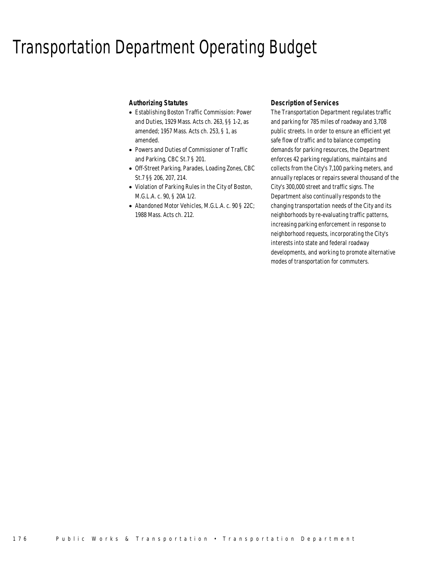### Transportation Department Operating Budget

#### *Authorizing Statutes*

- Establishing Boston Traffic Commission: Power and Duties, 1929 Mass. Acts ch. 263, §§ 1-2, as amended; 1957 Mass. Acts ch. 253, § 1, as amended.
- Powers and Duties of Commissioner of Traffic and Parking, CBC St.7 § 201.
- Off-Street Parking, Parades, Loading Zones, CBC St.7 §§ 206, 207, 214.
- Violation of Parking Rules in the City of Boston, M.G.L.A. c. 90, § 20A 1/2.
- Abandoned Motor Vehicles, M.G.L.A. c. 90 § 22C; 1988 Mass. Acts ch. 212.

#### *Description of Services*

The Transportation Department regulates traffic and parking for 785 miles of roadway and 3,708 public streets. In order to ensure an efficient yet safe flow of traffic and to balance competing demands for parking resources, the Department enforces 42 parking regulations, maintains and collects from the City's 7,100 parking meters, and annually replaces or repairs several thousand of the City's 300,000 street and traffic signs. The Department also continually responds to the changing transportation needs of the City and its neighborhoods by re-evaluating traffic patterns, increasing parking enforcement in response to neighborhood requests, incorporating the City's interests into state and federal roadway developments, and working to promote alternative modes of transportation for commuters.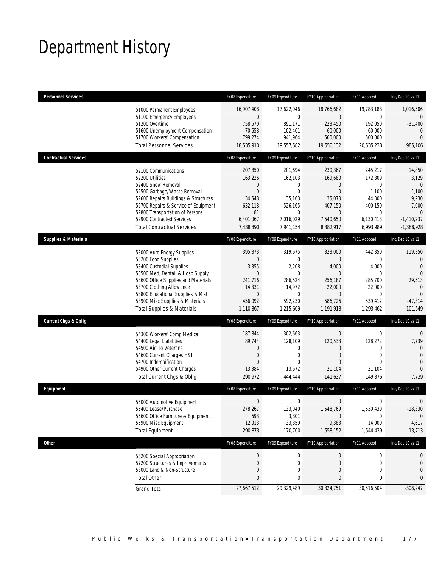# Department History

| <b>Personnel Services</b>       |                                                                                                                                                                                                                                                                                           | FY08 Expenditure                                                                               | FY09 Expenditure                                                                                              | FY10 Appropriation                                                                                                     | FY11 Adopted                                                                                                | Inc/Dec 10 vs 11                                                                                                     |
|---------------------------------|-------------------------------------------------------------------------------------------------------------------------------------------------------------------------------------------------------------------------------------------------------------------------------------------|------------------------------------------------------------------------------------------------|---------------------------------------------------------------------------------------------------------------|------------------------------------------------------------------------------------------------------------------------|-------------------------------------------------------------------------------------------------------------|----------------------------------------------------------------------------------------------------------------------|
|                                 | 51000 Permanent Employees<br>51100 Emergency Employees<br>51200 Overtime<br>51600 Unemployment Compensation<br>51700 Workers' Compensation<br><b>Total Personnel Services</b>                                                                                                             | 16,907,408<br>0<br>758,570<br>70,658<br>799,274<br>18,535,910                                  | 17,622,046<br>$\mathbf 0$<br>891,171<br>102,401<br>941,964<br>19,557,582                                      | 18,766,682<br>$\mathbf 0$<br>223,450<br>60,000<br>500,000<br>19,550,132                                                | 19,783,188<br>0<br>192,050<br>60,000<br>500,000<br>20,535,238                                               | 1,016,506<br>0<br>$-31,400$<br>$\mathbf{0}$<br>$\overline{0}$<br>985,106                                             |
| <b>Contractual Services</b>     |                                                                                                                                                                                                                                                                                           | FY08 Expenditure                                                                               | FY09 Expenditure                                                                                              | FY10 Appropriation                                                                                                     | FY11 Adopted                                                                                                | Inc/Dec 10 vs 11                                                                                                     |
|                                 | 52100 Communications<br>52200 Utilities<br>52400 Snow Removal<br>52500 Garbage/Waste Removal<br>52600 Repairs Buildings & Structures<br>52700 Repairs & Service of Equipment<br>52800 Transportation of Persons<br>52900 Contracted Services<br><b>Total Contractual Services</b>         | 207,850<br>163,226<br>0<br>$\overline{0}$<br>34,548<br>632,118<br>81<br>6,401,067<br>7,438,890 | 201,694<br>162,103<br>0<br>$\overline{0}$<br>35,163<br>526,165<br>$\mathbf{0}$<br>7,016,029<br>7,941,154      | 230,367<br>169,680<br>0<br>$\mathbf{0}$<br>35,070<br>407,150<br>$\theta$<br>7,540,650<br>8,382,917                     | 245,217<br>172,809<br>$\mathbf 0$<br>1,100<br>44,300<br>400,150<br>$\mathbf 0$<br>6,130,413<br>6,993,989    | 14,850<br>3,129<br>$\overline{0}$<br>1,100<br>9,230<br>$-7,000$<br>$\mathbf{0}$<br>$-1,410,237$<br>$-1,388,928$      |
| <b>Supplies &amp; Materials</b> |                                                                                                                                                                                                                                                                                           | FY08 Expenditure                                                                               | FY09 Expenditure                                                                                              | FY10 Appropriation                                                                                                     | FY11 Adopted                                                                                                | Inc/Dec 10 vs 11                                                                                                     |
|                                 | 53000 Auto Energy Supplies<br>53200 Food Supplies<br>53400 Custodial Supplies<br>53500 Med, Dental, & Hosp Supply<br>53600 Office Supplies and Materials<br>53700 Clothing Allowance<br>53800 Educational Supplies & Mat<br>53900 Misc Supplies & Materials<br>Total Supplies & Materials | 395,373<br>0<br>3,355<br>0<br>241,716<br>14,331<br>0<br>456,092<br>1,110,867                   | 319,675<br>$\overline{0}$<br>2,208<br>$\mathbf 0$<br>286,524<br>14,972<br>$\mathbf 0$<br>592,230<br>1,215,609 | 323,000<br>$\mathbf{0}$<br>4,000<br>$\theta$<br>256,187<br>22,000<br>$\theta$<br>586,726<br>1,191,913                  | 442,350<br>$\mathbf 0$<br>4,000<br>$\mathbf 0$<br>285,700<br>22,000<br>$\mathbf 0$<br>539,412<br>1,293,462  | 119,350<br>$\mathbf 0$<br>$\overline{0}$<br>$\overline{0}$<br>29,513<br>$\Omega$<br>$\Omega$<br>$-47,314$<br>101,549 |
| <b>Current Chgs &amp; Oblig</b> | 54300 Workers' Comp Medical<br>54400 Legal Liabilities<br>54500 Aid To Veterans<br>54600 Current Charges H&I<br>54700 Indemnification<br>54900 Other Current Charges<br>Total Current Chgs & Oblig                                                                                        | FY08 Expenditure<br>187,844<br>89,744<br>0<br>0<br>$\Omega$<br>13,384<br>290,972               | FY09 Expenditure<br>302,663<br>128,109<br>0<br>0<br>$\theta$<br>13,672<br>444,444                             | FY10 Appropriation<br>$\boldsymbol{0}$<br>120,533<br>$\overline{0}$<br>$\overline{0}$<br>$\Omega$<br>21,104<br>141,637 | FY11 Adopted<br>$\boldsymbol{0}$<br>128,272<br>$\mathbf{0}$<br>$\mathbf 0$<br>$\Omega$<br>21,104<br>149,376 | Inc/Dec 10 vs 11<br>$\mathbf 0$<br>7,739<br>$\overline{0}$<br>$\mathbf{0}$<br>$\overline{0}$<br>$\Omega$<br>7,739    |
| Equipment                       |                                                                                                                                                                                                                                                                                           | FY08 Expenditure                                                                               | FY09 Expenditure                                                                                              | FY10 Appropriation                                                                                                     | FY11 Adopted                                                                                                | Inc/Dec 10 vs 11                                                                                                     |
|                                 | 55000 Automotive Equipment<br>55400 Lease/Purchase<br>55600 Office Furniture & Equipment<br>55900 Misc Equipment<br><b>Total Equipment</b>                                                                                                                                                | $\boldsymbol{0}$<br>278,267<br>593<br>12,013<br>290,873                                        | $\boldsymbol{0}$<br>133,040<br>3,801<br>33,859<br>170,700                                                     | $\mathbf 0$<br>1,548,769<br>$\mathbf 0$<br>9,383<br>1,558,152                                                          | $\mathbf 0$<br>1,530,439<br>$\mathbf 0$<br>14,000<br>1,544,439                                              | $\mathbf 0$<br>$-18,330$<br>$\theta$<br>4,617<br>$-13,713$                                                           |
| Other                           |                                                                                                                                                                                                                                                                                           | FY08 Expenditure                                                                               | FY09 Expenditure                                                                                              | FY10 Appropriation                                                                                                     | FY11 Adopted                                                                                                | Inc/Dec 10 vs 11                                                                                                     |
|                                 | 56200 Special Appropriation<br>57200 Structures & Improvements<br>58000 Land & Non-Structure<br><b>Total Other</b>                                                                                                                                                                        | $\boldsymbol{0}$<br>0<br>0<br>0                                                                | 0<br>$\mathbf 0$<br>0<br>0                                                                                    | $\overline{0}$<br>$\mathbf 0$<br>$\overline{0}$<br>0                                                                   | $\boldsymbol{0}$<br>$\mathbf 0$<br>$\mathbf 0$<br>0                                                         | 0<br>$\mathbf 0$<br>0<br>0                                                                                           |
|                                 | <b>Grand Total</b>                                                                                                                                                                                                                                                                        | 27,667,512                                                                                     | 29,329,489                                                                                                    | 30,824,751                                                                                                             | 30,516,504                                                                                                  | $-308,247$                                                                                                           |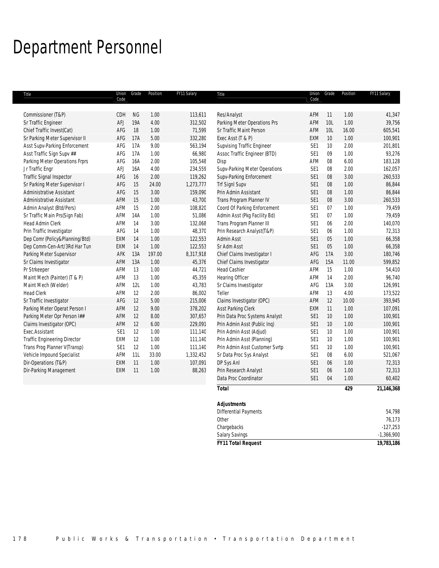# Department Personnel

| Title                               | Union<br>Code   | Grade     | Position | FY11 Salary | Title                          | Union<br>Code   | Grade | Position | FY11 Salary |
|-------------------------------------|-----------------|-----------|----------|-------------|--------------------------------|-----------------|-------|----------|-------------|
|                                     |                 |           |          |             |                                |                 |       |          |             |
| Commissioner (T&P)                  | CDH             | <b>NG</b> | 1.00     | 113,611     | Res/Analyst                    | AFM             | 11    | 1.00     | 41,347      |
| Sr Traffic Engineer                 | AFJ             | 19A       | 4.00     | 312,502     | Parking Meter Operations Prs   | AFM             | 10L   | 1.00     | 39,756      |
| Chief Traffic Invest(Cat)           | AFG             | 18        | 1.00     | 71,599      | Sr Traffic Maint Person        | AFM             | 10L   | 16.00    | 605,541     |
| Sr Parking Meter Supervisor II      | AFG             | 17A       | 5.00     | 332,280     | Exec Asst (T & P)              | <b>EXM</b>      | 10    | 1.00     | 100,901     |
| Asst Supv-Parking Enforcement       | AFG             | 17A       | 9.00     | 563,194     | Supvising Traffic Engineer     | SE <sub>1</sub> | 10    | 2.00     | 201,801     |
| Asst Traffic Sign Supv ##           | AFG             | 17A       | 1.00     | 66,980      | Assoc Traffic Engineer (BTD)   | SE <sub>1</sub> | 09    | 1.00     | 93,276      |
| Parking Meter Operations Frprs      | AFG             | 16A       | 2.00     | 105,548     | Disp                           | AFM             | 08    | 6.00     | 183,128     |
| Jr Traffic Engr                     | AFJ             | 16A       | 4.00     | 234,559     | Supv-Parking Meter Operations  | SE <sub>1</sub> | 08    | 2.00     | 162,057     |
| Traffic Signal Inspector            | AFG             | 16        | 2.00     | 119,262     | Supv-Parking Enforcement       | SE <sub>1</sub> | 08    | 3.00     | 260,533     |
| Sr Parking Meter Supervisor I       | AFG             | 15        | 24.00    | 1,273,777   | <b>Trf SignI Supv</b>          | SE <sub>1</sub> | 08    | 1.00     | 86,844      |
| <b>Administrative Assistant</b>     | AFG             | 15        | 3.00     | 159,090     | Prin Admin Assistant           | SE <sub>1</sub> | 08    | 1.00     | 86,844      |
| <b>Administrative Assistant</b>     | AFM             | 15        | 1.00     | 43,700      | Trans Program Planner IV       | SE <sub>1</sub> | 08    | 3.00     | 260,533     |
| Admin Analyst (Btd/Pers)            | AFM             | 15        | 2.00     | 108,820     | Coord Of Parking Enforcement   | SE <sub>1</sub> | 07    | 1.00     | 79,459      |
| Sr Traffic Main Prs(Sign Fab)       | AFM             | 14A       | 1.00     | 51,086      | Admin Asst (Pkg Facility Bd)   | SE <sub>1</sub> | 07    | 1.00     | 79.459      |
| Head Admin Clerk                    | AFM             | 14        | 3.00     | 132,068     | Trans Program Planner III      | SE <sub>1</sub> | 06    | 2.00     | 140,070     |
| Prin Traffic Investigator           | AFG             | 14        | 1.00     | 48,370      | Prin Research Analyst(T&P)     | SE <sub>1</sub> | 06    | 1.00     | 72,313      |
| Dep Comr (Policy&Planning/Btd)      | EXM             | 14        | 1.00     | 122,553     | Admin Asst                     | SE <sub>1</sub> | 05    | 1.00     | 66,358      |
| Dep Comm-Cen-Art/3Rd Har Tun        | EXM             | 14        | 1.00     | 122,553     | Sr Adm Asst                    | SE <sub>1</sub> | 05    | 1.00     | 66,358      |
| Parking Meter Supervisor            | AFK             | 13A       | 197.00   | 8,317,918   | Chief Claims Investigator I    | AFG             | 17A   | 3.00     | 180,746     |
| Sr Claims Investigator              | AFM             | 13A       | 1.00     | 45,376      | Chief Claims Investigator      | AFG             | 15A   | 11.00    | 599,852     |
| Pr Strkeeper                        | AFM             | 13        | 1.00     | 44,721      | <b>Head Cashier</b>            | AFM             | 15    | 1.00     | 54,410      |
| Maint Mech (Painter) (T & P)        | AFM             | 13        | 1.00     | 45,359      | <b>Hearing Officer</b>         | AFM             | 14    | 2.00     | 96,740      |
| Maint Mech (Welder)                 | AFM             | 12L       | 1.00     | 43,783      | Sr Claims Investigator         | AFG             | 13A   | 3.00     | 126,991     |
| <b>Head Clerk</b>                   | <b>AFM</b>      | 12        | 2.00     | 86,002      | Teller                         | AFM             | 13    | 4.00     | 173,522     |
| Sr Traffic Investigator             | AFG             | 12        | 5.00     | 215,006     | Claims Investigator (OPC)      | AFM             | 12    | 10.00    | 393,945     |
| Parking Meter Operat Person I       | AFM             | 12        | 9.00     | 378,202     | Asst Parking Clerk             | EXM             | 11    | 1.00     | 107,091     |
| Parking Meter Opr Person I##        | AFM             | 12        | 8.00     | 307,657     | Prin Data Proc Systems Analyst | SE <sub>1</sub> | 10    | 1.00     | 100,901     |
| Claims Investigator (OPC)           | AFM             | 12        | 6.00     | 229,091     | Prin Admin Asst (Public Inq)   | SE <sub>1</sub> | 10    | 1.00     | 100,901     |
| Exec.Assistant                      | SE <sub>1</sub> | 12        | 1.00     | 111,140     | Prin Admin Asst (Adjud)        | SE <sub>1</sub> | 10    | 1.00     | 100,901     |
| <b>Traffic Engineering Director</b> | EXM             | 12        | 1.00     | 111,140     | Prin Admin Asst (Planning)     | SE <sub>1</sub> | 10    | 1.00     | 100,901     |
| Trans Prog Planner V(Transp)        | SE <sub>1</sub> | 12        | 1.00     | 111,140     | Prin Admin Asst Customer Svrtp | SE <sub>1</sub> | 10    | 1.00     | 100,901     |
| Vehicle Impound Specialist          | AFM             | 11L       | 33.00    | 1,332,452   | Sr Data Proc Sys Analyst       | SE <sub>1</sub> | 08    | 6.00     | 521,067     |
| Dir-Operations (T&P)                | EXM             | 11        | 1.00     | 107,091     | DP Sys Anl                     | SE <sub>1</sub> | 06    | 1.00     | 72,313      |
| Dir-Parking Management              | EXM             | 11        | 1.00     | 88,263      | Prin Research Analyst          | SE <sub>1</sub> | 06    | 1.00     | 72,313      |
|                                     |                 |           |          |             | Data Proc Coordinator          | SE <sub>1</sub> | 04    | 1.00     | 60,402      |
|                                     |                 |           |          |             | <b>Total</b>                   |                 |       | 429      | 21,146,368  |
|                                     |                 |           |          |             | <b>Adjustments</b>             |                 |       |          |             |
|                                     |                 |           |          |             |                                |                 |       |          |             |

| <b>FY11 Total Request</b>    | 19,783,186   |
|------------------------------|--------------|
| <b>Salary Savings</b>        | $-1,366,900$ |
| Chargebacks                  | $-127,253$   |
| Other                        | 76,173       |
| <b>Differential Payments</b> | 54,798       |
| <b>Adjustments</b>           |              |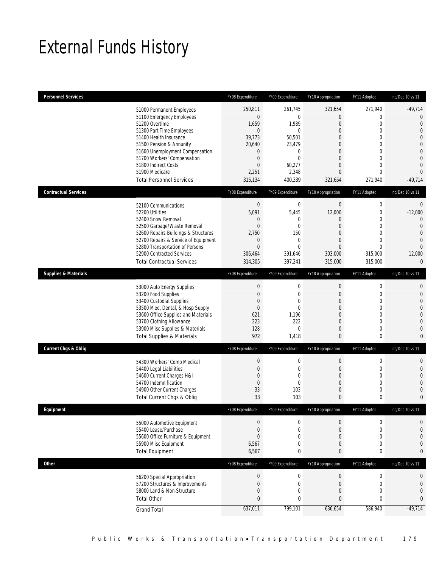# External Funds History

| <b>Personnel Services</b>                                               | FY08 Expenditure             | FY09 Expenditure        | FY10 Appropriation           | FY11 Adopted                 | Inc/Dec 10 vs 11                 |
|-------------------------------------------------------------------------|------------------------------|-------------------------|------------------------------|------------------------------|----------------------------------|
| 51000 Permanent Employees                                               | 250,811                      | 261,745                 | 321,654                      | 271,940                      | $-49,714$                        |
| 51100 Emergency Employees                                               | $\mathbf{0}$                 | $\mathbf 0$             | 0                            | 0                            | $\mathbf 0$                      |
| 51200 Overtime                                                          | 1,659                        | 1,989                   | $\mathbf{0}$                 | $\mathbf{0}$                 | $\mathbf{0}$                     |
| 51300 Part Time Employees<br>51400 Health Insurance                     | $\mathbf{0}$<br>39,773       | $\mathbf 0$<br>50,501   | $\mathbf{0}$<br>$\mathbf{0}$ | $\mathbf{0}$<br>$\mathbf{0}$ | $\overline{0}$<br>$\overline{0}$ |
| 51500 Pension & Annunity                                                | 20,640                       | 23,479                  | $\mathbf{0}$                 | $\mathbf{0}$                 | $\mathbf{0}$                     |
| 51600 Unemployment Compensation                                         | $\mathbf{0}$                 | 0                       | $\mathbf{0}$                 | $\mathbf{0}$                 | $\mathbf{0}$                     |
| 51700 Workers' Compensation                                             | $\mathbf 0$                  | $\mathbf 0$             | $\mathbf{0}$                 | $\mathbf{0}$                 | $\overline{0}$                   |
| 51800 Indirect Costs<br>51900 Medicare                                  | $\overline{0}$<br>2,251      | 60,277<br>2,348         | $\mathbf{0}$<br>$\mathbf{0}$ | $\mathbf{0}$<br>$\mathbf{0}$ | $\overline{0}$<br>$\overline{0}$ |
| <b>Total Personnel Services</b>                                         | 315,134                      | 400,339                 | 321,654                      | 271,940                      | $-49,714$                        |
| <b>Contractual Services</b>                                             | FY08 Expenditure             | FY09 Expenditure        | FY10 Appropriation           | FY11 Adopted                 | Inc/Dec 10 vs 11                 |
|                                                                         |                              |                         |                              |                              |                                  |
| 52100 Communications<br>52200 Utilities                                 | $\bf 0$<br>5,091             | 0<br>5,445              | $\boldsymbol{0}$<br>12,000   | $\mathbf 0$<br>$\mathbf 0$   | $\mathbf 0$<br>$-12,000$         |
| 52400 Snow Removal                                                      | 0                            | 0                       | $\mathbf{0}$                 | $\mathbf{0}$                 | $\overline{0}$                   |
| 52500 Garbage/Waste Removal                                             | 0                            | 0                       | $\mathbf{0}$                 | $\mathbf 0$                  | $\overline{0}$                   |
| 52600 Repairs Buildings & Structures                                    | 2,750                        | 150                     | $\mathbf{0}$                 | $\mathbf{0}$                 | $\mathbf 0$                      |
| 52700 Repairs & Service of Equipment<br>52800 Transportation of Persons | $\mathbf{0}$<br>$\mathbf{0}$ | 0<br>$\mathbf{0}$       | $\mathbf{0}$<br>$\mathbf{0}$ | $\mathbf{0}$<br>$\mathbf{0}$ | $\overline{0}$<br>$\overline{0}$ |
| 52900 Contracted Services                                               | 306,464                      | 391,646                 | 303,000                      | 315,000                      | 12,000                           |
| <b>Total Contractual Services</b>                                       | 314,305                      | 397,241                 | 315,000                      | 315,000                      | $\mathbf{0}$                     |
| <b>Supplies &amp; Materials</b>                                         | FY08 Expenditure             | FY09 Expenditure        | FY10 Appropriation           | FY11 Adopted                 | Inc/Dec 10 vs 11                 |
|                                                                         | $\boldsymbol{0}$             | 0                       | $\boldsymbol{0}$             | $\mathbf 0$                  | $\mathbf{0}$                     |
| 53000 Auto Energy Supplies<br>53200 Food Supplies                       | 0                            | 0                       | $\mathbf{0}$                 | $\mathbf 0$                  | $\mathbf{0}$                     |
| 53400 Custodial Supplies                                                | $\mathbf 0$                  | $\mathbf{0}$            | $\mathbf{0}$                 | $\mathbf{0}$                 | $\overline{0}$                   |
| 53500 Med, Dental, & Hosp Supply                                        | $\mathbf 0$                  | $\mathbf 0$             | $\mathbf{0}$                 | $\mathbf 0$                  | $\mathbf{0}$                     |
| 53600 Office Supplies and Materials<br>53700 Clothing Allowance         | 621<br>223                   | 1,196<br>222            | $\mathbf{0}$<br>$\mathbf{0}$ | $\mathbf{0}$<br>$\mathbf{0}$ | $\mathbf 0$<br>$\overline{0}$    |
| 53900 Misc Supplies & Materials                                         | 128                          | $\mathbf{0}$            | $\theta$                     | $\mathbf{0}$                 | $\mathbf{0}$                     |
| <b>Total Supplies &amp; Materials</b>                                   | 972                          | 1,418                   | $\bf{0}$                     | 0                            | $\mathbf{0}$                     |
| <b>Current Chgs &amp; Oblig</b>                                         | FY08 Expenditure             | FY09 Expenditure        | FY10 Appropriation           | FY11 Adopted                 | Inc/Dec 10 vs 11                 |
|                                                                         | $\boldsymbol{0}$             | 0                       | 0                            | $\mathbf 0$                  | $\mathbf 0$                      |
| 54300 Workers' Comp Medical<br>54400 Legal Liabilities                  | 0                            | 0                       | $\mathbf{0}$                 | $\mathbf 0$                  | $\mathbf{0}$                     |
| 54600 Current Charges H&I                                               | $\overline{0}$               | 0                       | $\mathbf{0}$                 | $\mathbf{0}$                 | $\mathbf{0}$                     |
| 54700 Indemnification                                                   | $\mathbf{0}$                 | $\mathbf{0}$            | $\mathbf{0}$                 | $\mathbf{0}$                 | $\overline{0}$                   |
| 54900 Other Current Charges<br>Total Current Chgs & Oblig               | 33<br>33                     | 103                     | 0                            | $\mathbf 0$                  | $\mathbf{0}$                     |
|                                                                         |                              | 103                     | $\mathbf{0}$                 | $\mathbf{0}$                 | $\mathbf{0}$                     |
| <b>Fauinment</b>                                                        | FY08 Expenditure             | <b>FY09 Expenditure</b> | FY10 Appropriation           | FY11 Adopted                 | Inc/Dec 10 ys 11                 |
| 55000 Automotive Equipment                                              | 0                            | 0                       | 0                            | 0                            | $\mathbf 0$                      |
| 55400 Lease/Purchase                                                    | $\mathbf 0$                  | 0                       | $\boldsymbol{0}$             | $\mathbf{0}$                 | $\mathbf{0}$                     |
| 55600 Office Furniture & Equipment<br>55900 Misc Equipment              | $\mathbf 0$<br>6,567         | 0<br>0                  | 0<br>0                       | 0<br>0                       | $\mathbf 0$<br>$\mathbf 0$       |
| <b>Total Equipment</b>                                                  | 6,567                        | 0                       | 0                            | 0                            | $\mathbf{0}$                     |
| <b>Other</b>                                                            | FY08 Expenditure             | FY09 Expenditure        | FY10 Appropriation           | FY11 Adopted                 | Inc/Dec 10 vs 11                 |
| 56200 Special Appropriation                                             | $\boldsymbol{0}$             | $\boldsymbol{0}$        | $\boldsymbol{0}$             | $\boldsymbol{0}$             | $\mathbf 0$                      |
| 57200 Structures & Improvements                                         | $\mathbf 0$                  | $\boldsymbol{0}$        | $\mathbf{0}$                 | $\mathbf 0$                  | $\mathbf 0$                      |
| 58000 Land & Non-Structure                                              | $\mathbf 0$                  | $\mathbf 0$             | 0                            | $\mathbf 0$                  | $\mathbf 0$                      |
| <b>Total Other</b>                                                      | 0                            | 0                       | $\bf 0$                      | $\bf{0}$                     | $\mathbf{0}$                     |
| <b>Grand Total</b>                                                      | 637,011                      | 799,101                 | 636,654                      | 586,940                      | $-49,714$                        |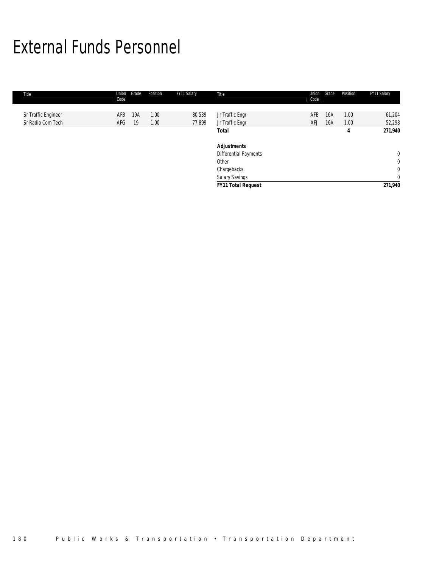# External Funds Personnel

| Title               | Union<br>Code | Grade | Position | FY11 Salary | Title                        | Union<br>Code | Grade | Position | FY11 Salary  |
|---------------------|---------------|-------|----------|-------------|------------------------------|---------------|-------|----------|--------------|
|                     |               |       |          |             |                              |               |       |          |              |
| Sr Traffic Engineer | AFB           | 19A   | 1.00     | 80,539      | Jr Traffic Engr              | AFB           | 16A   | 1.00     | 61,204       |
| Sr Radio Com Tech   | AFG           | -19   | 1.00     | 77,899      | Jr Traffic Engr              | AFJ           | 16A   | 1.00     | 52,298       |
|                     |               |       |          |             | Total                        |               |       | 4        | 271,940      |
|                     |               |       |          |             | <b>Adjustments</b>           |               |       |          |              |
|                     |               |       |          |             | <b>Differential Payments</b> |               |       |          | $\mathbf 0$  |
|                     |               |       |          |             | Other                        |               |       |          | $\mathbf 0$  |
|                     |               |       |          |             | Chargebacks                  |               |       |          | $\mathbf{0}$ |
|                     |               |       |          |             | Salary Savings               |               |       |          | $\mathbf{0}$ |
|                     |               |       |          |             | <b>FY11 Total Request</b>    |               |       |          | 271,940      |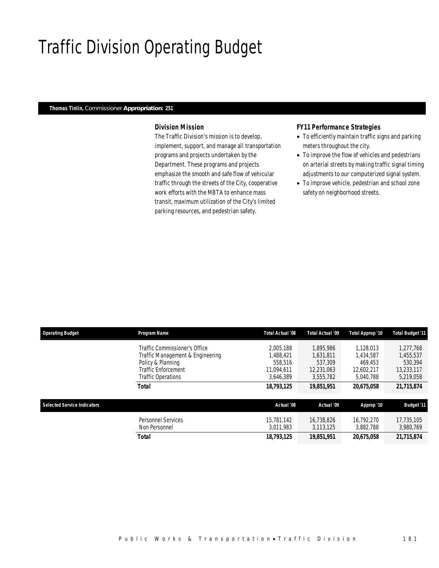### Traffic Division Operating Budget

#### *Thomas Tinlin, Commissioner Appropriation: 251*

#### *Division Mission*

The Traffic Division's mission is to develop, implement, support, and manage all transportation programs and projects undertaken by the Department. These programs and projects emphasize the smooth and safe flow of vehicular traffic through the streets of the City, cooperative work efforts with the MBTA to enhance mass transit, maximum utilization of the City's limited parking resources, and pedestrian safety.

#### *FY11 Performance Strategies*

- To efficiently maintain traffic signs and parking meters throughout the city.
- To improve the flow of vehicles and pedestrians on arterial streets by making traffic signal timing adjustments to our computerized signal system.
- To improve vehicle, pedestrian and school zone safety on neighborhood streets.

| <b>Operating Budget</b>            | <b>Program Name</b>              | Total Actual '08 | Total Actual '09 | Total Approp '10 | <b>Total Budget '11</b> |
|------------------------------------|----------------------------------|------------------|------------------|------------------|-------------------------|
|                                    | Traffic Commissioner's Office    | 2.005.188        | 1.895.986        | 1.128.013        | 1.277.768               |
|                                    | Traffic Management & Engineering | .488.421         | 1.631.811        | 1.434.587        | 1,455,537               |
|                                    | Policy & Planning                | 558,516          | 537,309          | 469.453          | 530.394                 |
|                                    | Traffic Enforcement              | 11.094.611       | 12.231.063       | 12.602.217       | 13.233.117              |
|                                    | Traffic Operations               | 3,646,389        | 3,555,782        | 5.040.788        | 5,219,058               |
|                                    | Total                            | 18,793,125       | 19,851,951       | 20,675,058       | 21,715,874              |
| <b>Selected Service Indicators</b> |                                  | Actual '08       | Actual '09       | Approp '10       | <b>Budget '11</b>       |
|                                    |                                  |                  |                  |                  |                         |
|                                    | Personnel Services               | 15,781,142       | 16.738.826       | 16.792.270       | 17,735,105              |
|                                    | Non Personnel                    | 3.011.983        | 3.113.125        | 3.882.788        | 3,980,769               |
|                                    | Total                            | 18,793,125       | 19.851.951       | 20,675,058       | 21.715.874              |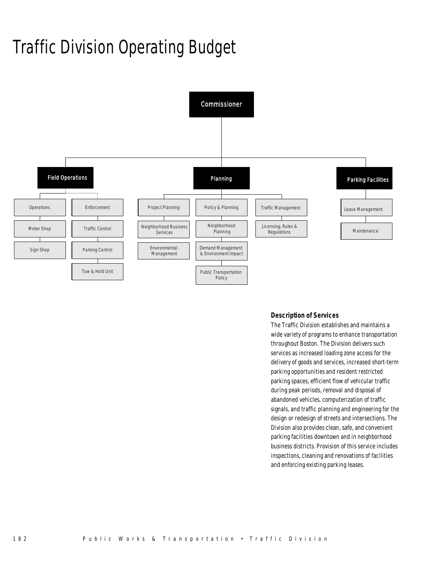# Traffic Division Operating Budget



### *Description of Services*

The Traffic Division establishes and maintains a wide variety of programs to enhance transportation throughout Boston. The Division delivers such services as increased loading zone access for the delivery of goods and services, increased short-term parking opportunities and resident restricted parking spaces, efficient flow of vehicular traffic during peak periods, removal and disposal of abandoned vehicles, computerization of traffic signals, and traffic planning and engineering for the design or redesign of streets and intersections. The Division also provides clean, safe, and convenient parking facilities downtown and in neighborhood business districts. Provision of this service includes inspections, cleaning and renovations of facilities and enforcing existing parking leases.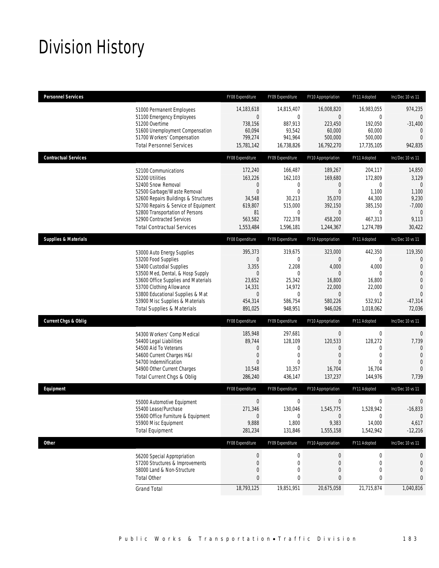# Division History

| <b>Personnel Services</b>                                                                                                                                                                                                                                                                            | FY08 Expenditure                                                                                        | FY09 Expenditure                                                                                         | FY10 Appropriation                                                                                         | FY11 Adopted                                                                                              | Inc/Dec 10 vs 11                                                                                                         |
|------------------------------------------------------------------------------------------------------------------------------------------------------------------------------------------------------------------------------------------------------------------------------------------------------|---------------------------------------------------------------------------------------------------------|----------------------------------------------------------------------------------------------------------|------------------------------------------------------------------------------------------------------------|-----------------------------------------------------------------------------------------------------------|--------------------------------------------------------------------------------------------------------------------------|
| 51000 Permanent Employees<br>51100 Emergency Employees<br>51200 Overtime<br>51600 Unemployment Compensation<br>51700 Workers' Compensation<br><b>Total Personnel Services</b>                                                                                                                        | 14,183,618<br>$\mathbf 0$<br>738,156<br>60,094<br>799,274<br>15,781,142                                 | 14,815,407<br>0<br>887,913<br>93,542<br>941,964<br>16,738,826                                            | 16,008,820<br>0<br>223,450<br>60,000<br>500,000<br>16,792,270                                              | 16,983,055<br>$\mathbf 0$<br>192,050<br>60,000<br>500,000<br>17,735,105                                   | 974,235<br>0<br>$-31,400$<br>$\mathbf{0}$<br>$\overline{0}$<br>942,835                                                   |
| <b>Contractual Services</b>                                                                                                                                                                                                                                                                          | FY08 Expenditure                                                                                        | FY09 Expenditure                                                                                         | FY10 Appropriation                                                                                         | FY11 Adopted                                                                                              | Inc/Dec 10 vs 11                                                                                                         |
| 52100 Communications<br>52200 Utilities<br>52400 Snow Removal<br>52500 Garbage/Waste Removal<br>52600 Repairs Buildings & Structures<br>52700 Repairs & Service of Equipment<br>52800 Transportation of Persons<br>52900 Contracted Services<br><b>Total Contractual Services</b>                    | 172,240<br>163,226<br>0<br>$\overline{0}$<br>34,548<br>619,807<br>81<br>563,582<br>1,553,484            | 166,487<br>162,103<br>0<br>$\overline{0}$<br>30,213<br>515,000<br>$\mathbf 0$<br>722,378<br>1,596,181    | 189,267<br>169,680<br>$\mathbf 0$<br>$\mathbf{0}$<br>35,070<br>392,150<br>$\theta$<br>458,200<br>1,244,367 | 204,117<br>172,809<br>$\mathbf 0$<br>1,100<br>44,300<br>385,150<br>0<br>467,313<br>1,274,789              | 14,850<br>3,129<br>$\mathbf{0}$<br>1,100<br>9,230<br>$-7,000$<br>0<br>9,113<br>30,422                                    |
| <b>Supplies &amp; Materials</b>                                                                                                                                                                                                                                                                      | FY08 Expenditure                                                                                        | FY09 Expenditure                                                                                         | FY10 Appropriation                                                                                         | FY11 Adopted                                                                                              | Inc/Dec 10 vs 11                                                                                                         |
| 53000 Auto Energy Supplies<br>53200 Food Supplies<br>53400 Custodial Supplies<br>53500 Med, Dental, & Hosp Supply<br>53600 Office Supplies and Materials<br>53700 Clothing Allowance<br>53800 Educational Supplies & Mat<br>53900 Misc Supplies & Materials<br><b>Total Supplies &amp; Materials</b> | 395,373<br>$\mathbf 0$<br>3,355<br>$\mathbf 0$<br>23,652<br>14,331<br>$\mathbf 0$<br>454,314<br>891,025 | 319,675<br>$\mathbf{0}$<br>2,208<br>$\mathbf 0$<br>25,342<br>14,972<br>$\mathbf 0$<br>586,754<br>948,951 | 323,000<br>$\mathbf{0}$<br>4,000<br>$\theta$<br>16,800<br>22,000<br>$\theta$<br>580,226<br>946,026         | 442,350<br>$\mathbf 0$<br>4,000<br>$\mathbf 0$<br>16,800<br>22,000<br>$\mathbf 0$<br>532,912<br>1,018,062 | 119,350<br>0<br>$\mathbf{0}$<br>$\overline{0}$<br>$\mathbf 0$<br>$\overline{0}$<br>$\overline{0}$<br>$-47,314$<br>72,036 |
| <b>Current Chgs &amp; Oblig</b>                                                                                                                                                                                                                                                                      | FY08 Expenditure                                                                                        | FY09 Expenditure                                                                                         | FY10 Appropriation                                                                                         | FY11 Adopted                                                                                              | Inc/Dec 10 vs 11                                                                                                         |
| 54300 Workers' Comp Medical<br>54400 Legal Liabilities<br>54500 Aid To Veterans<br>54600 Current Charges H&I<br>54700 Indemnification<br>54900 Other Current Charges<br>Total Current Chgs & Oblig                                                                                                   | 185,948<br>89,744<br>0<br>0<br>$\Omega$<br>10,548<br>286,240                                            | 297,681<br>128,109<br>0<br>0<br>$\theta$<br>10,357<br>436,147                                            | $\boldsymbol{0}$<br>120,533<br>0<br>$\overline{0}$<br>$\Omega$<br>16,704<br>137,237                        | $\boldsymbol{0}$<br>128,272<br>$\mathbf{0}$<br>$\mathbf 0$<br>$\Omega$<br>16,704<br>144,976               | $\overline{0}$<br>7,739<br>$\mathbf{0}$<br>$\mathbf{0}$<br>$\overline{0}$<br>$\Omega$<br>7,739                           |
| Equipment                                                                                                                                                                                                                                                                                            | FY08 Expenditure                                                                                        | FY09 Expenditure                                                                                         | FY10 Appropriation                                                                                         | FY11 Adopted                                                                                              | Inc/Dec 10 vs 11                                                                                                         |
| 55000 Automotive Equipment<br>55400 Lease/Purchase<br>55600 Office Furniture & Equipment<br>55900 Misc Equipment<br><b>Total Equipment</b>                                                                                                                                                           | $\mathbf 0$<br>271,346<br>$\mathbf 0$<br>9,888<br>281,234                                               | $\mathbf 0$<br>130,046<br>$\boldsymbol{0}$<br>1,800<br>131,846                                           | $\boldsymbol{0}$<br>1,545,775<br>$\mathbf 0$<br>9,383<br>1,555,158                                         | $\mathbf 0$<br>1,528,942<br>0<br>14,000<br>1,542,942                                                      | $\mathbf 0$<br>$-16,833$<br>$\mathbf{0}$<br>4,617<br>$-12,216$                                                           |
| Other                                                                                                                                                                                                                                                                                                | FY08 Expenditure                                                                                        | FY09 Expenditure                                                                                         | FY10 Appropriation                                                                                         | FY11 Adopted                                                                                              | Inc/Dec 10 vs 11                                                                                                         |
| 56200 Special Appropriation<br>57200 Structures & Improvements<br>58000 Land & Non-Structure<br><b>Total Other</b>                                                                                                                                                                                   | $\pmb{0}$<br>0<br>0<br>0                                                                                | $\boldsymbol{0}$<br>$\mathbf 0$<br>0<br>0                                                                | $\boldsymbol{0}$<br>0<br>$\overline{0}$<br>0                                                               | 0<br>$\mathbf 0$<br>$\mathbf 0$<br>0                                                                      | 0<br>0<br>0<br>0                                                                                                         |
| <b>Grand Total</b>                                                                                                                                                                                                                                                                                   | 18,793,125                                                                                              | 19,851,951                                                                                               | 20,675,058                                                                                                 | 21,715,874                                                                                                | 1,040,816                                                                                                                |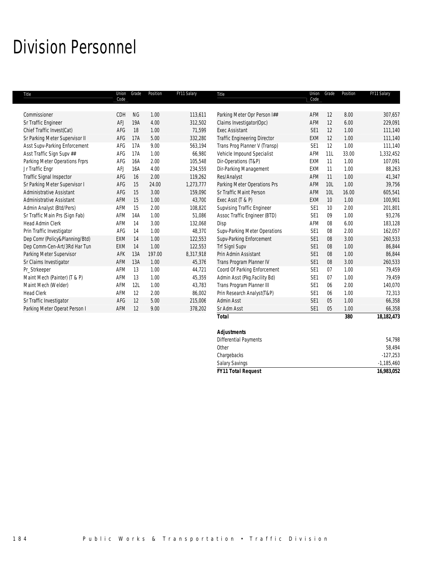### Division Personnel

| Title                                            | Union<br>Code | Grade     | Position     | FY11 Salary       | Title                                             | Union<br>Code          | Grade      | Position     | FY11 Salary        |
|--------------------------------------------------|---------------|-----------|--------------|-------------------|---------------------------------------------------|------------------------|------------|--------------|--------------------|
|                                                  |               |           |              |                   |                                                   |                        |            |              |                    |
| Commissioner                                     | CDH           | <b>NG</b> | 1.00         | 113,611           | Parking Meter Opr Person I##                      | AFM                    | 12         | 8.00         | 307,657            |
| Sr Traffic Engineer<br>Chief Traffic Invest(Cat) | AFJ<br>AFG    | 19A<br>18 | 4.00<br>1.00 | 312,502<br>71,599 | Claims Investigator(Opc)<br><b>Exec Assistant</b> | AFM<br>SE <sub>1</sub> | 12<br>12   | 6.00<br>1.00 | 229,091<br>111,140 |
|                                                  |               |           |              |                   |                                                   |                        |            |              | 111,140            |
| Sr Parking Meter Supervisor II                   | AFG           | 17A       | 5.00         | 332,280           | <b>Traffic Engineering Director</b>               | EXM                    | 12         | 1.00         |                    |
| Asst Supv-Parking Enforcement                    | AFG           | 17A       | 9.00         | 563,194           | Trans Prog Planner V (Transp)                     | SE <sub>1</sub>        | 12         | 1.00         | 111,140            |
| Asst Traffic Sign Supv ##                        | AFG           | 17A       | 1.00         | 66,980            | Vehicle Impound Specialist                        | AFM                    | 11L        | 33.00        | 1,332,452          |
| Parking Meter Operations Frprs                   | AFG           | 16A       | 2.00         | 105,548           | Dir-Operations (T&P)                              | EXM                    | 11         | 1.00         | 107,091            |
| Jr Traffic Engr                                  | <b>AFJ</b>    | 16A       | 4.00         | 234,559           | Dir-Parking Management                            | EXM                    | 11         | 1.00         | 88,263             |
| Traffic Signal Inspector                         | AFG           | 16        | 2.00         | 119,262           | Res/Analyst                                       | AFM                    | 11         | 1.00         | 41,347             |
| Sr Parking Meter Supervisor I                    | AFG           | 15        | 24.00        | 1,273,777         | Parking Meter Operations Prs                      | AFM                    | <b>10L</b> | 1.00         | 39,756             |
| <b>Administrative Assistant</b>                  | AFG           | 15        | 3.00         | 159,090           | Sr Traffic Maint Person                           | AFM                    | 10L        | 16.00        | 605,541            |
| <b>Administrative Assistant</b>                  | AFM           | 15        | 1.00         | 43,700            | Exec Asst (T & P)                                 | EXM                    | 10         | 1.00         | 100,901            |
| Admin Analyst (Btd/Pers)                         | <b>AFM</b>    | 15        | 2.00         | 108,820           | <b>Supvising Traffic Engineer</b>                 | SE <sub>1</sub>        | 10         | 2.00         | 201,801            |
| Sr Traffic Main Prs (Sign Fab)                   | <b>AFM</b>    | 14A       | 1.00         | 51.086            | Assoc Traffic Engineer (BTD)                      | SE <sub>1</sub>        | 09         | 1.00         | 93,276             |
| <b>Head Admin Clerk</b>                          | AFM           | 14        | 3.00         | 132,068           | Disp                                              | AFM                    | 08         | 6.00         | 183,128            |
| Prin Traffic Investigator                        | AFG           | 14        | 1.00         | 48,370            | Supv-Parking Meter Operations                     | SE <sub>1</sub>        | 08         | 2.00         | 162,057            |
| Dep Comr (Policy&Planning/Btd)                   | EXM           | 14        | 1.00         | 122,553           | Supv-Parking Enforcement                          | SE1                    | 08         | 3.00         | 260,533            |
| Dep Comm-Cen-Art/3Rd Har Tun                     | EXM           | 14        | 1.00         | 122,553           | <b>Trf SignI Supv</b>                             | SE <sub>1</sub>        | 08         | 1.00         | 86,844             |
| Parking Meter Supervisor                         | AFK           | 13A       | 197.00       | 8,317,918         | Prin Admin Assistant                              | SE <sub>1</sub>        | 08         | 1.00         | 86,844             |
| Sr Claims Investigator                           | AFM           | 13A       | 1.00         | 45,376            | Trans Program Planner IV                          | SE <sub>1</sub>        | 08         | 3.00         | 260,533            |
| Pr_Strkeeper                                     | <b>AFM</b>    | 13        | 1.00         | 44,721            | Coord Of Parking Enforcement                      | SE <sub>1</sub>        | 07         | 1.00         | 79,459             |
| Maint Mech (Painter) (T & P)                     | <b>AFM</b>    | 13        | 1.00         | 45,359            | Admin Asst (Pkg.Facility Bd)                      | SE <sub>1</sub>        | 07         | 1.00         | 79.459             |
| Maint Mech (Welder)                              | AFM           | 12L       | 1.00         | 43,783            | Trans Program Planner III                         | SE <sub>1</sub>        | 06         | 2.00         | 140,070            |
| <b>Head Clerk</b>                                | <b>AFM</b>    | 12        | 2.00         | 86,002            | Prin Research Analyst(T&P)                        | SE <sub>1</sub>        | 06         | 1.00         | 72,313             |
| Sr Traffic Investigator                          | AFG           | 12        | 5.00         | 215,006           | <b>Admin Asst</b>                                 | SE <sub>1</sub>        | 05         | 1.00         | 66,358             |
| Parking Meter Operat Person I                    | <b>AFM</b>    | 12        | 9.00         | 378,202           | Sr Adm Asst                                       | SE <sub>1</sub>        | 05         | 1.00         | 66,358             |
|                                                  |               |           |              |                   | <b>Total</b>                                      |                        |            | 380          | 18, 182, 473       |

| 16,983,052   |
|--------------|
| $-1,185,460$ |
| $-127,253$   |
| 58,494       |
| 54,798       |
|              |
|              |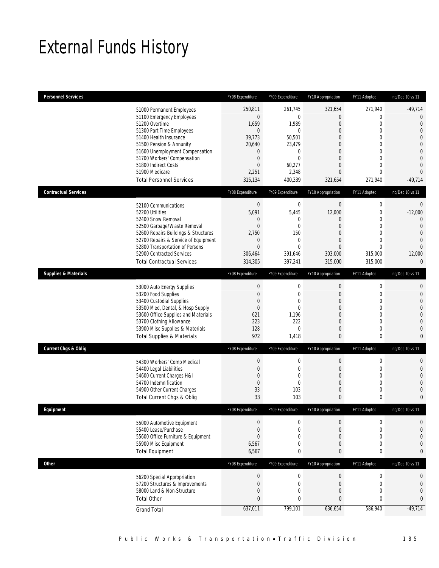# External Funds History

| Personnel Services                                             | FY08 Expenditure                 | FY09 Expenditure       | FY10 Appropriation              | FY11 Adopted                   | Inc/Dec 10 vs 11                 |
|----------------------------------------------------------------|----------------------------------|------------------------|---------------------------------|--------------------------------|----------------------------------|
| 51000 Permanent Employees                                      | 250,811                          | 261.745                | 321,654                         | 271,940                        | $-49,714$                        |
| 51100 Emergency Employees                                      | $\mathbf{0}$                     | $\mathbf 0$            | $\overline{0}$                  | 0                              | $\mathbf{0}$                     |
| 51200 Overtime                                                 | 1,659                            | 1,989                  | $\boldsymbol{0}$                | $\mathbf 0$                    | $\overline{0}$                   |
| 51300 Part Time Employees<br>51400 Health Insurance            | $\overline{0}$<br>39,773         | $\mathbf{0}$<br>50,501 | 0<br>$\Omega$                   | 0<br>$\theta$                  | $\overline{0}$<br>$\Omega$       |
| 51500 Pension & Annunity                                       | 20,640                           | 23,479                 | 0                               | 0                              | $\overline{0}$                   |
| 51600 Unemployment Compensation                                | $\mathbf{0}$                     | 0                      | 0                               | $\theta$                       | $\overline{0}$                   |
| 51700 Workers' Compensation                                    | $\mathbf{0}$                     | $\mathbf 0$            | $\theta$                        | $\overline{0}$                 | $\Omega$                         |
| 51800 Indirect Costs<br>51900 Medicare                         | $\mathbf{0}$                     | 60,277                 | 0<br>$\overline{0}$             | $\mathbf{0}$<br>$\overline{0}$ | $\overline{0}$<br>$\overline{0}$ |
| <b>Total Personnel Services</b>                                | 2,251<br>315,134                 | 2,348<br>400,339       | 321,654                         | 271,940                        | $-49,714$                        |
|                                                                |                                  |                        |                                 |                                |                                  |
| <b>Contractual Services</b>                                    | FY08 Expenditure                 | FY09 Expenditure       | FY10 Appropriation              | FY11 Adopted                   | Inc/Dec 10 vs 11                 |
| 52100 Communications                                           | $\boldsymbol{0}$                 | $\boldsymbol{0}$       | $\boldsymbol{0}$                | $\boldsymbol{0}$               | $\mathbf 0$                      |
| 52200 Utilities<br>52400 Snow Removal                          | 5,091<br>$\mathbf 0$             | 5,445<br>0             | 12,000<br>$\theta$              | 0<br>$\Omega$                  | $-12,000$<br>$\Omega$            |
| 52500 Garbage/Waste Removal                                    | $\mathbf{0}$                     | $\mathbf 0$            | $\theta$                        | 0                              | $\overline{0}$                   |
| 52600 Repairs Buildings & Structures                           | 2,750                            | 150                    | 0                               | $\Omega$                       | $\overline{0}$                   |
| 52700 Repairs & Service of Equipment                           | $\mathbf 0$                      | $\mathbf 0$            | $\theta$                        | $\overline{0}$                 | $\Omega$                         |
| 52800 Transportation of Persons                                | $\overline{0}$                   | $\mathbf 0$            | $\mathbf{0}$                    | $\theta$                       | $\overline{0}$                   |
| 52900 Contracted Services<br><b>Total Contractual Services</b> | 306,464<br>314,305               | 391,646<br>397,241     | 303,000<br>315,000              | 315,000<br>315,000             | 12,000<br>$\mathbf 0$            |
| <b>Supplies &amp; Materials</b>                                | FY08 Expenditure                 | FY09 Expenditure       | FY10 Appropriation              | FY11 Adopted                   | Inc/Dec 10 vs 11                 |
|                                                                |                                  |                        |                                 |                                |                                  |
| 53000 Auto Energy Supplies<br>53200 Food Supplies              | $\boldsymbol{0}$<br>$\mathbf{0}$ | $\boldsymbol{0}$<br>0  | $\boldsymbol{0}$<br>$\mathbf 0$ | $\mathbf 0$<br>0               | $\mathbf{0}$<br>$\mathbf{0}$     |
| 53400 Custodial Supplies                                       | $\mathbf{0}$                     | 0                      | 0                               | $\Omega$                       | $\overline{0}$                   |
| 53500 Med, Dental, & Hosp Supply                               | $\mathbf{0}$                     | 0                      | 0                               | $\overline{0}$                 | $\overline{0}$                   |
| 53600 Office Supplies and Materials                            | 621                              | 1,196                  | $\Omega$                        | 0                              | $\overline{0}$                   |
| 53700 Clothing Allowance<br>53900 Misc Supplies & Materials    | 223<br>128                       | 222<br>0               | $\theta$<br>0                   | $\overline{0}$<br>0            | $\Omega$<br>$\overline{0}$       |
| <b>Total Supplies &amp; Materials</b>                          | 972                              | 1,418                  | $\mathbf{0}$                    | 0                              | $\mathbf{0}$                     |
| <b>Current Chgs &amp; Oblig</b>                                | FY08 Expenditure                 | FY09 Expenditure       | FY10 Appropriation              | FY11 Adopted                   | Inc/Dec 10 vs 11                 |
|                                                                |                                  |                        |                                 |                                |                                  |
| 54300 Workers' Comp Medical                                    | $\mathbf 0$                      | 0                      | $\boldsymbol{0}$                | 0                              | $\theta$<br>$\overline{0}$       |
| 54400 Legal Liabilities<br>54600 Current Charges H&I           | $\mathbf{0}$<br>$\overline{0}$   | 0<br>0                 | $\theta$<br>$\theta$            | 0<br>$\overline{0}$            | $\overline{0}$                   |
| 54700 Indemnification                                          | $\mathbf{0}$                     | $\mathbf 0$            | $\theta$                        | 0                              | $\bigcap$                        |
| 54900 Other Current Charges                                    | 33                               | 103                    | 0                               | 0                              | $\left($                         |
| Total Current Chgs & Oblig                                     | 33                               | 103                    | $\mathbf{0}$                    | 0                              | $\mathbf 0$                      |
|                                                                |                                  |                        |                                 |                                |                                  |
| Eauipment                                                      | FY08 Expenditure                 | FY09 Expenditure       | FY10 Appropriation              | FY11 Adopted                   | Inc/Dec 10 vs 11                 |
| 55000 Automotive Equipment                                     | $\mathbf 0$                      | 0                      | $\mathbf 0$                     | 0                              | $\mathbf 0$                      |
| 55400 Lease/Purchase                                           | $\mathbf{0}$                     | 0                      | $\overline{0}$                  | 0                              | $\overline{0}$                   |
| 55600 Office Furniture & Equipment                             | $\boldsymbol{0}$                 | 0                      | $\mathbf 0$                     | 0                              | $\overline{0}$                   |
| 55900 Misc Equipment                                           | 6,567                            | 0                      | $\mathbf 0$                     | 0                              | $\mathbf 0$                      |
| <b>Total Equipment</b>                                         | 6,567                            | 0                      | $\mathbf{0}$                    | 0                              | $\mathbf{0}$                     |
| <b>Other</b>                                                   | FY08 Expenditure                 | FY09 Expenditure       | FY10 Appropriation              | FY11 Adopted                   | Inc/Dec 10 vs 11                 |
| 56200 Special Appropriation                                    | $\boldsymbol{0}$                 | $\boldsymbol{0}$       | $\boldsymbol{0}$                | $\boldsymbol{0}$               | $\mathbf{0}$                     |
| 57200 Structures & Improvements                                | $\mathbf{0}$                     | $\boldsymbol{0}$       | $\boldsymbol{0}$                | $\mathbf 0$                    | $\overline{0}$                   |
| 58000 Land & Non-Structure<br><b>Total Other</b>               | $\mathbf 0$<br>$\mathbf{0}$      | 0<br>0                 | $\overline{0}$<br>$\mathbf{0}$  | $\overline{0}$<br>0            | $\mathbf{0}$<br>$\mathbf{0}$     |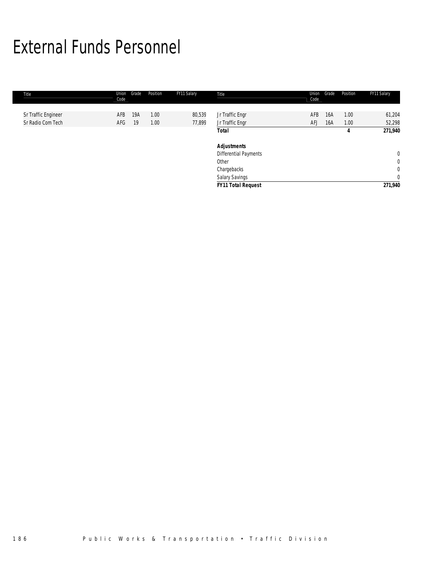# External Funds Personnel

| Title               | Union<br>Code | Grade | Position | FY11 Salary | Title                        | Union<br>Code | Grade | Position | FY11 Salary  |
|---------------------|---------------|-------|----------|-------------|------------------------------|---------------|-------|----------|--------------|
|                     |               |       |          |             |                              |               |       |          |              |
| Sr Traffic Engineer | AFB           | 19A   | 1.00     | 80,539      | Jr Traffic Engr              | AFB           | 16A   | 1.00     | 61,204       |
| Sr Radio Com Tech   | AFG           | -19   | 1.00     | 77,899      | Jr Traffic Engr              | AFJ           | 16A   | 1.00     | 52,298       |
|                     |               |       |          |             | Total                        |               |       | 4        | 271,940      |
|                     |               |       |          |             | <b>Adjustments</b>           |               |       |          |              |
|                     |               |       |          |             | <b>Differential Payments</b> |               |       |          | $\mathbf 0$  |
|                     |               |       |          |             | Other                        |               |       |          | $\mathbf 0$  |
|                     |               |       |          |             | Chargebacks                  |               |       |          | $\mathbf{0}$ |
|                     |               |       |          |             | Salary Savings               |               |       |          | $\mathbf{0}$ |
|                     |               |       |          |             | <b>FY11 Total Request</b>    |               |       |          | 271,940      |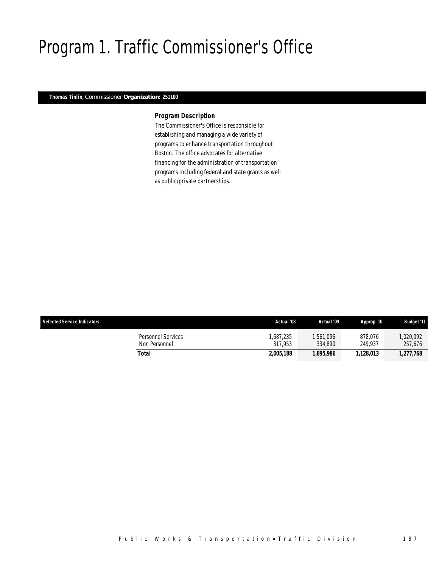# Program 1. Traffic Commissioner's Office

### *Thomas Tinlin, Commissioner Organization: 251100*

 $\overline{\phantom{a}}$ 

### *Program Description*

The Commissioner's Office is responsible for establishing and managing a wide variety of programs to enhance transportation throughout Boston. The office advocates for alternative financing for the administration of transportation programs including federal and state grants as well as public/private partnerships.

| <b>Selected Service Indicators</b>  | Actual '08          | Actual '09           | Approp '10         | <b>Budget '11</b>   |
|-------------------------------------|---------------------|----------------------|--------------------|---------------------|
| Personnel Services<br>Non Personnel | .687.235<br>317.953 | 1.561.096<br>334,890 | 878.076<br>249.937 | ,020,092<br>257,676 |
| Total                               | 2,005,188           | 1.895.986            | 1.128.013          | 1.277.768           |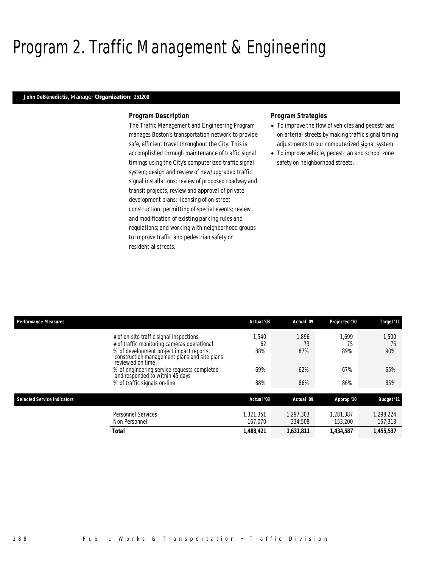# Program 2. Traffic Management & Engineering

### *John DeBenedictis, Manager Organization: 251200*

### *Program Description*

The Traffic Management and Engineering Program manages Boston's transportation network to provide safe, efficient travel throughout the City. This is accomplished through maintenance of traffic signal timings using the City's computerized traffic signal system; design and review of new/upgraded traffic signal installations; review of proposed roadway and transit projects, review and approval of private development plans; licensing of on-street construction; permitting of special events; review and modification of existing parking rules and regulations; and working with neighborhood groups to improve traffic and pedestrian safety on residential streets.

### *Program Strategies*

- To improve the flow of vehicles and pedestrians on arterial streets by making traffic signal timing adjustments to our computerized signal system.
- To improve vehicle, pedestrian and school zone safety on neighborhood streets.

| <b>Performance Measures</b>        |                                                                                                              | Actual '08 | Actual '09 | Projected '10 | Target '11        |
|------------------------------------|--------------------------------------------------------------------------------------------------------------|------------|------------|---------------|-------------------|
|                                    | # of on-site traffic signal inspections                                                                      | .540       | 1.896      | 1.699         | 1.500             |
|                                    | # of traffic monitoring cameras operational                                                                  | 62         | 73         | 75            | 75                |
|                                    | % of development project impact reports,<br>construction management plans and site plans<br>reviewed on time | 88%        | 87%        | 89%           | 90%               |
|                                    | % of engineering service requests completed<br>and responded to within 45 days                               | 69%        | 62%        | 67%           | 65%               |
|                                    | % of traffic signals on-line                                                                                 | 88%        | 86%        | 86%           | 85%               |
| <b>Selected Service Indicators</b> |                                                                                                              | Actual '08 | Actual '09 | Approp '10    | <b>Budget '11</b> |
|                                    | Personnel Services                                                                                           | 1.321.351  | 1.297.303  | 1.281.387     | 1.298.224         |
|                                    | Non Personnel                                                                                                | 167.070    | 334,508    | 153,200       | 157,313           |
|                                    | <b>Total</b>                                                                                                 | 1,488,421  | 1,631,811  | 1,434,587     | 1,455,537         |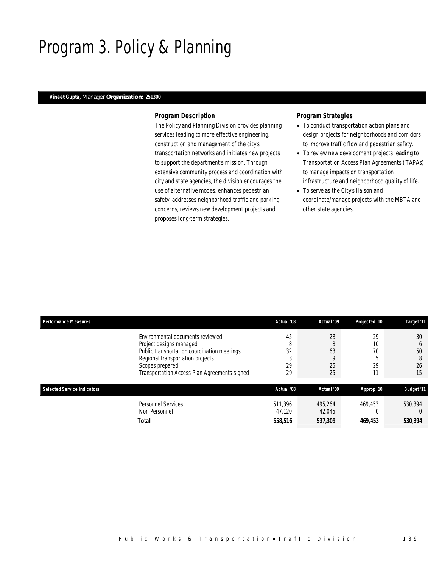# Program 3. Policy & Planning

### *Vineet Gupta, Manager Organization: 251300*

### *Program Description*

The Policy and Planning Division provides planning services leading to more effective engineering, construction and management of the city's transportation networks and initiates new projects to support the department's mission. Through extensive community process and coordination with city and state agencies, the division encourages the use of alternative modes, enhances pedestrian safety, addresses neighborhood traffic and parking concerns, reviews new development projects and proposes long-term strategies.

## *Program Strategies*

- To conduct transportation action plans and design projects for neighborhoods and corridors to improve traffic flow and pedestrian safety.
- To review new development projects leading to Transportation Access Plan Agreements (TAPAs) to manage impacts on transportation infrastructure and neighborhood quality of life.
- To serve as the City's liaison and coordinate/manage projects with the MBTA and other state agencies.

| <b>Performance Measures</b> |                                                                                                                                                                                                                   | Actual '08                            | Actual '09                     | Projected '10        | Target '11                                |
|-----------------------------|-------------------------------------------------------------------------------------------------------------------------------------------------------------------------------------------------------------------|---------------------------------------|--------------------------------|----------------------|-------------------------------------------|
|                             | Environmental documents reviewed<br>Project designs managed<br>Public transportation coordination meetings<br>Regional transportation projects<br>Scopes prepared<br>Transportation Access Plan Agreements signed | 45<br>$\Omega$<br>O<br>32<br>29<br>29 | 28<br>8<br>63<br>O<br>25<br>25 | 29<br>10<br>70<br>29 | 30<br><sub>0</sub><br>50<br>8<br>26<br>15 |
| Selected Service Indicators |                                                                                                                                                                                                                   | Actual '08                            | Actual '09                     | Approp '10           | <b>Budget '11</b>                         |
|                             | <b>Personnel Services</b><br>Non Personnel                                                                                                                                                                        | 511,396<br>47.120                     | 495.264<br>42.045              | 469.453              | 530.394                                   |
|                             | Total                                                                                                                                                                                                             | 558,516                               | 537,309                        | 469.453              | 530,394                                   |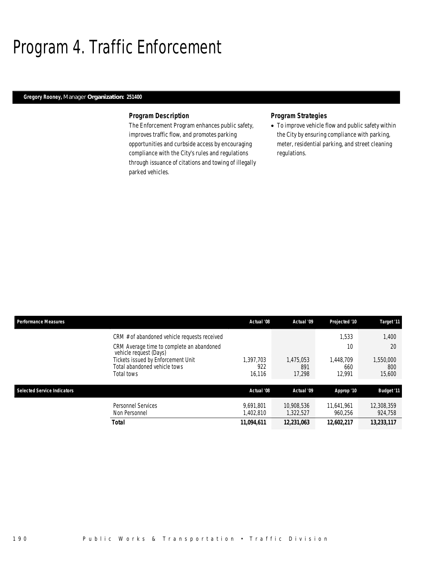# Program 4. Traffic Enforcement

## *Gregory Rooney, Manager Organization: 251400*

### *Program Description*

The Enforcement Program enhances public safety, improves traffic flow, and promotes parking opportunities and curbside access by encouraging compliance with the City's rules and regulations through issuance of citations and towing of illegally parked vehicles.

## *Program Strategies*

• To improve vehicle flow and public safety within the City by ensuring compliance with parking, meter, residential parking, and street cleaning regulations.

| <b>Performance Measures</b> |                                                                                  | Actual '08                 | Actual '09                 | Projected '10              | Target '11                 |
|-----------------------------|----------------------------------------------------------------------------------|----------------------------|----------------------------|----------------------------|----------------------------|
|                             | CRM # of abandoned vehicle requests received                                     |                            |                            | 1.533                      | 1,400                      |
|                             | CRM Average time to complete an abandoned<br>vehicle request (Days)              |                            |                            | 10                         | 20                         |
|                             | Tickets issued by Enforcement Unit<br>Total abandoned vehicle tows<br>Total tows | 1.397.703<br>922<br>16,116 | 1.475.053<br>891<br>17.298 | 1.448.709<br>660<br>12.991 | 1,550,000<br>800<br>15,600 |
| Selected Service Indicators |                                                                                  | Actual '08                 | Actual '09                 | Approp '10                 | <b>Budget '11</b>          |
|                             | <b>Personnel Services</b><br>Non Personnel                                       | 9.691.801<br>1,402,810     | 10.908.536<br>1,322,527    | 11,641,961<br>960,256      | 12,308,359<br>924,758      |
|                             | Total                                                                            | 11.094.611                 | 12.231.063                 | 12.602.217                 | 13.233.117                 |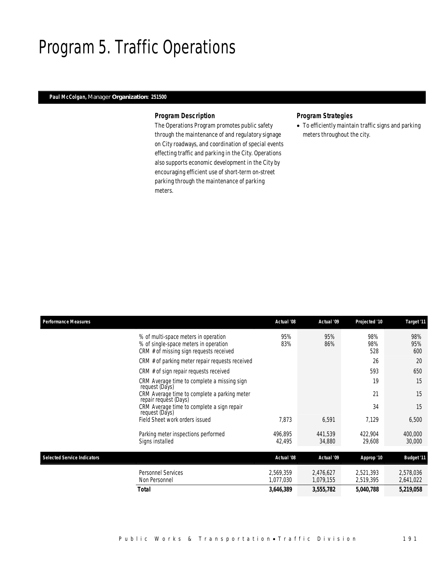# Program 5. Traffic Operations

## *Paul McColgan, Manager Organization: 251500*

### *Program Description*

The Operations Program promotes public safety through the maintenance of and regulatory signage on City roadways, and coordination of special events effecting traffic and parking in the City. Operations also supports economic development in the City by encouraging efficient use of short-term on-street parking through the maintenance of parking meters.

## *Program Strategies*

• To efficiently maintain traffic signs and parking meters throughout the city.

| <b>Performance Measures</b>        |                                                                                                                          | Actual '08             | Actual '09             | Projected '10          | Target '11             |
|------------------------------------|--------------------------------------------------------------------------------------------------------------------------|------------------------|------------------------|------------------------|------------------------|
|                                    | % of multi-space meters in operation<br>% of single-space meters in operation<br>CRM # of missing sign requests received | 95%<br>83%             | 95%<br>86%             | 98%<br>98%<br>528      | 98%<br>95%<br>600      |
|                                    | CRM # of parking meter repair requests received                                                                          |                        |                        | 26                     | 20                     |
|                                    | CRM # of sign repair requests received                                                                                   |                        |                        | 593                    | 650                    |
|                                    | CRM Average time to complete a missing sign<br>request (Days)                                                            |                        |                        | 19                     | 15                     |
|                                    | CRM Average time to complete a parking meter<br>repair request (Days)                                                    |                        |                        | 21                     | 15                     |
|                                    | CRM Average time to complete a sign repair<br>request (Days)                                                             |                        |                        | 34                     | 15                     |
|                                    | Field Sheet work orders issued                                                                                           | 7.873                  | 6.591                  | 7.129                  | 6,500                  |
|                                    | Parking meter inspections performed<br>Signs installed                                                                   | 496.895<br>42,495      | 441,539<br>34,880      | 422,904<br>29,608      | 400,000<br>30,000      |
|                                    |                                                                                                                          |                        |                        |                        |                        |
| <b>Selected Service Indicators</b> |                                                                                                                          | Actual '08             | Actual '09             | Approp '10             | <b>Budget '11</b>      |
|                                    | <b>Personnel Services</b><br>Non Personnel                                                                               | 2,569,359<br>1,077,030 | 2,476,627<br>1,079,155 | 2,521,393<br>2,519,395 | 2,578,036<br>2,641,022 |
|                                    | <b>Total</b>                                                                                                             | 3,646,389              | 3,555,782              | 5,040,788              | 5,219,058              |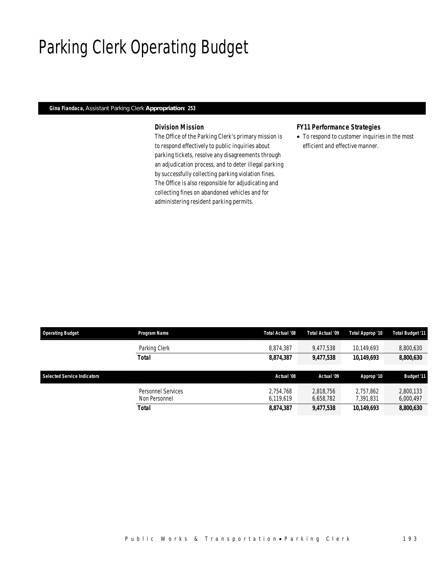# Parking Clerk Operating Budget

## *Gina Fiandaca, Assistant Parking Clerk Appropriation: 253*

## *Division Mission*

The Office of the Parking Clerk's primary mission is to respond effectively to public inquiries about parking tickets, resolve any disagreements through an adjudication process, and to deter illegal parking by successfully collecting parking violation fines. The Office is also responsible for adjudicating and collecting fines on abandoned vehicles and for administering resident parking permits.

## *FY11 Performance Strategies*

• To respond to customer inquiries in the most efficient and effective manner.

| <b>Operating Budget</b>            | Program Name       | Total Actual '08 | Total Actual '09 | Total Approp '10 | <b>Total Budget '11</b> |
|------------------------------------|--------------------|------------------|------------------|------------------|-------------------------|
|                                    | Parking Clerk      | 8.874.387        | 9.477.538        | 10.149.693       | 8,800,630               |
|                                    | <b>Total</b>       | 8,874,387        | 9,477,538        | 10,149,693       | 8,800,630               |
|                                    |                    |                  |                  |                  |                         |
|                                    |                    |                  |                  |                  |                         |
| <b>Selected Service Indicators</b> |                    | Actual '08       | Actual '09       | Approp '10       | <b>Budget '11</b>       |
|                                    | Personnel Services | 2.754.768        | 2.818.756        | 2.757.862        | 2,800,133               |
|                                    | Non Personnel      | 6.119.619        | 6,658,782        | 7,391,831        | 6,000,497               |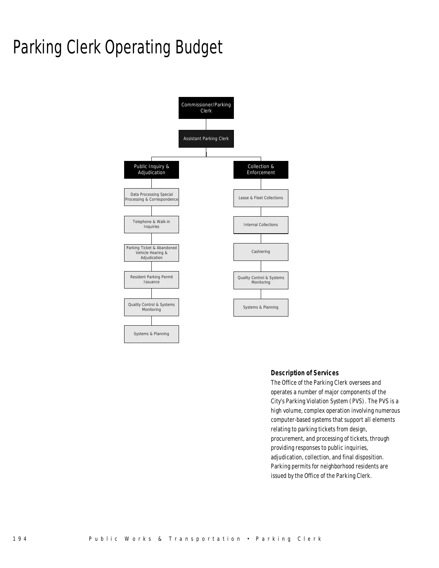# Parking Clerk Operating Budget



### *Description of Services*

The Office of the Parking Clerk oversees and operates a number of major components of the City's Parking Violation System (PVS). The PVS is a high volume, complex operation involving numerous computer-based systems that support all elements relating to parking tickets from design, procurement, and processing of tickets, through providing responses to public inquiries, adjudication, collection, and final disposition. Parking permits for neighborhood residents are issued by the Office of the Parking Clerk.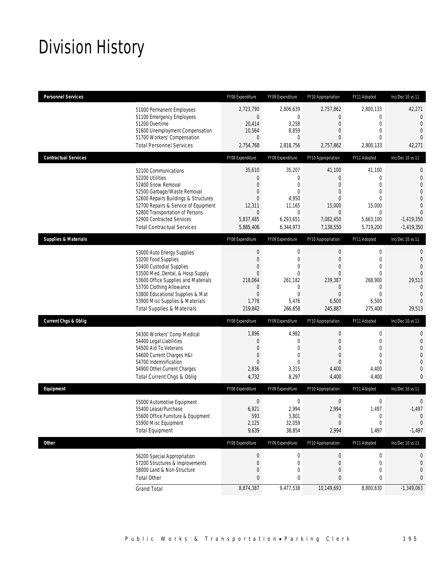# Division History

| <b>Personnel Services</b>       |                                                                                                                                                                                                                                                                                                      | FY08 Expenditure                                                                                                    | FY09 Expenditure                                                                                                | FY10 Appropriation                                                                                                | FY11 Adopted                                                                                                   | Inc/Dec 10 vs 11                                                                                                                                |
|---------------------------------|------------------------------------------------------------------------------------------------------------------------------------------------------------------------------------------------------------------------------------------------------------------------------------------------------|---------------------------------------------------------------------------------------------------------------------|-----------------------------------------------------------------------------------------------------------------|-------------------------------------------------------------------------------------------------------------------|----------------------------------------------------------------------------------------------------------------|-------------------------------------------------------------------------------------------------------------------------------------------------|
|                                 | 51000 Permanent Employees<br>51100 Emergency Employees<br>51200 Overtime<br>51600 Unemployment Compensation<br>51700 Workers' Compensation<br><b>Total Personnel Services</b>                                                                                                                        | 2,723,790<br>$\boldsymbol{0}$<br>20,414<br>10,564<br>$\mathbf{0}$<br>2,754,768                                      | 2,806,639<br>$\mathbf 0$<br>3,258<br>8,859<br>$\mathbf 0$<br>2,818,756                                          | 2,757,862<br>0<br>$\overline{0}$<br>$\mathbf{0}$<br>0<br>2,757,862                                                | 2,800,133<br>0<br>$\mathbf 0$<br>$\mathbf{0}$<br>$\mathbf{0}$<br>2,800,133                                     | 42,271<br>$\overline{0}$<br>$\mathbf{0}$<br>$\mathbf{0}$<br>$\overline{0}$<br>42,271                                                            |
|                                 |                                                                                                                                                                                                                                                                                                      |                                                                                                                     |                                                                                                                 |                                                                                                                   |                                                                                                                |                                                                                                                                                 |
| <b>Contractual Services</b>     |                                                                                                                                                                                                                                                                                                      | FY08 Expenditure                                                                                                    | FY09 Expenditure                                                                                                | FY10 Appropriation                                                                                                | FY11 Adopted                                                                                                   | Inc/Dec 10 vs 11                                                                                                                                |
|                                 | 52100 Communications<br>52200 Utilities<br>52400 Snow Removal<br>52500 Garbage/Waste Removal<br>52600 Repairs Buildings & Structures<br>52700 Repairs & Service of Equipment<br>52800 Transportation of Persons<br>52900 Contracted Services<br><b>Total Contractual Services</b>                    | 35,610<br>$\boldsymbol{0}$<br>0<br>0<br>$\overline{0}$<br>12,311<br>$\mathbf 0$<br>5,837,485<br>5,885,406           | 35,207<br>$\mathbf 0$<br>$\mathbf 0$<br>$\mathbf 0$<br>4,950<br>11,165<br>$\mathbf 0$<br>6,293,651<br>6,344,973 | 41,100<br>$\overline{0}$<br>0<br>0<br>$\overline{0}$<br>15,000<br>$\theta$<br>7,082,450<br>7,138,550              | 41,100<br>$\mathbf{0}$<br>$\mathbf 0$<br>$\mathbf 0$<br>$\theta$<br>15,000<br>0<br>5,663,100<br>5,719,200      | $\mathbf{0}$<br>$\mathbf 0$<br>$\overline{0}$<br>$\overline{0}$<br>$\overline{0}$<br>$\Omega$<br>$\overline{0}$<br>$-1,419,350$<br>$-1,419,350$ |
| <b>Supplies &amp; Materials</b> |                                                                                                                                                                                                                                                                                                      | FY08 Expenditure                                                                                                    | FY09 Expenditure                                                                                                | FY10 Appropriation                                                                                                | FY11 Adopted                                                                                                   | Inc/Dec 10 vs 11                                                                                                                                |
|                                 | 53000 Auto Energy Supplies<br>53200 Food Supplies<br>53400 Custodial Supplies<br>53500 Med, Dental, & Hosp Supply<br>53600 Office Supplies and Materials<br>53700 Clothing Allowance<br>53800 Educational Supplies & Mat<br>53900 Misc Supplies & Materials<br><b>Total Supplies &amp; Materials</b> | $\boldsymbol{0}$<br>$\boldsymbol{0}$<br>0<br>$\overline{0}$<br>218.064<br>0<br>$\boldsymbol{0}$<br>1,778<br>219,842 | 0<br>$\mathbf 0$<br>$\overline{0}$<br>$\mathbf{0}$<br>261,182<br>0<br>$\mathbf{0}$<br>5,476<br>266,658          | $\boldsymbol{0}$<br>$\boldsymbol{0}$<br>0<br>$\overline{0}$<br>239,387<br>0<br>$\overline{0}$<br>6,500<br>245,887 | $\mathbf 0$<br>$\mathbf 0$<br>$\mathbf{0}$<br>$\mathbf{0}$<br>268,900<br>0<br>$\mathbf{0}$<br>6,500<br>275,400 | $\mathbf{0}$<br>$\mathbf{0}$<br>$\overline{0}$<br>$\overline{0}$<br>29,513<br>$\overline{0}$<br>$\overline{0}$<br>$\Omega$<br>29,513            |
| <b>Current Chgs &amp; Oblig</b> |                                                                                                                                                                                                                                                                                                      | FY08 Expenditure                                                                                                    | FY09 Expenditure                                                                                                | FY10 Appropriation                                                                                                | FY11 Adopted                                                                                                   | Inc/Dec 10 vs 11                                                                                                                                |
|                                 | 54300 Workers' Comp Medical<br>54400 Legal Liabilities<br>54500 Aid To Veterans<br>54600 Current Charges H&I<br>54700 Indemnification<br>54900 Other Current Charges<br>Total Current Chgs & Oblig                                                                                                   | 1,896<br>$\mathbf 0$<br>$\mathbf{0}$<br>0<br>$\overline{0}$<br>2,836<br>4,732                                       | 4,982<br>$\mathbf 0$<br>$\mathbf{0}$<br>$\mathbf 0$<br>$\mathbf{0}$<br>3,315<br>8,297                           | $\boldsymbol{0}$<br>$\overline{0}$<br>$\overline{0}$<br>$\mathbf{0}$<br>$\overline{0}$<br>4,400<br>4,400          | $\mathbf 0$<br>$\mathbf 0$<br>$\mathbf{0}$<br>$\overline{0}$<br>$\Omega$<br>4,400<br>4,400                     | $\mathbf{0}$<br>$\mathbf 0$<br>$\overline{0}$<br>$\overline{0}$<br>$\overline{0}$<br>$\overline{0}$<br>$\mathbf{0}$                             |
| Equipment                       |                                                                                                                                                                                                                                                                                                      | FY08 Expenditure                                                                                                    | FY09 Expenditure                                                                                                | FY10 Appropriation                                                                                                | FY11 Adopted                                                                                                   | Inc/Dec 10 vs 11                                                                                                                                |
|                                 | 55000 Automotive Equipment<br>55400 Lease/Purchase<br>55600 Office Furniture & Equipment<br>55900 Misc Equipment<br><b>Total Equipment</b>                                                                                                                                                           | $\mathbf 0$<br>6,921<br>593<br>2,125<br>9,639                                                                       | 0<br>2,994<br>3,801<br>32,059<br>38,854                                                                         | $\mathbf 0$<br>2,994<br>0<br>$\overline{0}$<br>2,994                                                              | $\boldsymbol{0}$<br>1,497<br>$\boldsymbol{0}$<br>0<br>1,497                                                    | $\mathbf 0$<br>$-1,497$<br>$\mathbf 0$<br>$\theta$<br>$-1,497$                                                                                  |
| <b>Other</b>                    |                                                                                                                                                                                                                                                                                                      | FY08 Expenditure                                                                                                    | FY09 Expenditure                                                                                                | FY10 Appropriation                                                                                                | FY11 Adopted                                                                                                   | Inc/Dec 10 vs 11                                                                                                                                |
|                                 | 56200 Special Appropriation<br>57200 Structures & Improvements<br>58000 Land & Non-Structure<br><b>Total Other</b>                                                                                                                                                                                   | $\boldsymbol{0}$<br>$\boldsymbol{0}$<br>$\mathbf 0$<br>$\pmb{0}$                                                    | $\bf{0}$<br>$\boldsymbol{0}$<br>0<br>0                                                                          | $\boldsymbol{0}$<br>$\theta$<br>$\mathbf 0$<br>0                                                                  | 0<br>0<br>$\mathbf 0$<br>0                                                                                     | 0<br>$\theta$<br>0<br>0                                                                                                                         |
|                                 | <b>Grand Total</b>                                                                                                                                                                                                                                                                                   | 8,874,387                                                                                                           | 9,477,538                                                                                                       | 10,149,693                                                                                                        | 8,800,630                                                                                                      | $-1,349,063$                                                                                                                                    |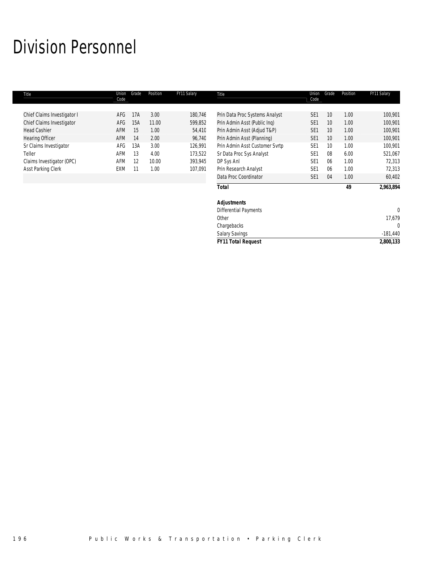# Division Personnel

| Title                       | Union<br>Code | Grade | Position | FY11 Salary | Title                          | Union<br>Code   | Grade           | Position | FY11 Salary |
|-----------------------------|---------------|-------|----------|-------------|--------------------------------|-----------------|-----------------|----------|-------------|
|                             |               |       |          |             |                                |                 |                 |          |             |
| Chief Claims Investigator I | AFG           | 17A   | 3.00     | 180,746     | Prin Data Proc Systems Analyst | SE <sub>1</sub> | 10              | 1.00     | 100,901     |
| Chief Claims Investigator   | AFG           | 15A   | 11.00    | 599,852     | Prin Admin Asst (Public Ing)   | SE <sub>1</sub> | 10              | 1.00     | 100,901     |
| <b>Head Cashier</b>         | AFM           | 15    | 1.00     | 54,410      | Prin Admin Asst (Adjud T&P)    | SE <sub>1</sub> | 10              | 1.00     | 100,901     |
| <b>Hearing Officer</b>      | AFM           | 14    | 2.00     | 96,740      | Prin Admin Asst (Planning)     | SE <sub>1</sub> | 10 <sup>°</sup> | 1.00     | 100,901     |
| Sr Claims Investigator      | AFG           | 13A   | 3.00     | 126,991     | Prin Admin Asst Customer Svrtp | SE <sub>1</sub> | 10              | 1.00     | 100,901     |
| Teller                      | AFM           | 13    | 4.00     | 173,522     | Sr Data Proc Sys Analyst       | SE <sub>1</sub> | 08              | 6.00     | 521,067     |
| Claims Investigator (OPC)   | AFM           | 12    | 10.00    | 393,945     | DP Sys Anl                     | SE <sub>1</sub> | 06              | 1.00     | 72,313      |
| Asst Parking Clerk          | EXM           |       | 1.00     | 107,091     | Prin Research Analyst          | SE <sub>1</sub> | 06              | 1.00     | 72,313      |
|                             |               |       |          |             | Data Proc Coordinator          | SE <sub>1</sub> | 04              | 1.00     | 60,402      |
|                             |               |       |          |             | <b>Total</b>                   |                 |                 | 49       | 2,963,894   |
|                             |               |       |          |             | <b>Adjustments</b>             |                 |                 |          |             |
|                             |               |       |          |             | <b>Differential Payments</b>   |                 |                 |          | $\Omega$    |
|                             |               |       |          |             | Other                          |                 |                 |          | 17,679      |
|                             |               |       |          |             | Chargebacks                    |                 |                 |          |             |

Salary Savings -181,440 *FY11 Total Request 2,800,133*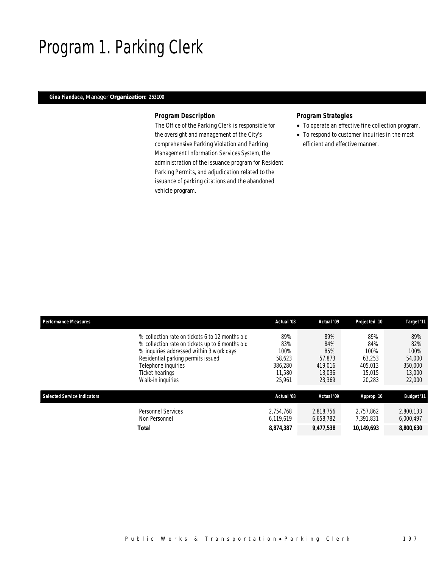# Program 1. Parking Clerk

## *Gina Fiandaca, Manager Organization: 253100*

### *Program Description*

The Office of the Parking Clerk is responsible for the oversight and management of the City's comprehensive Parking Violation and Parking Management Information Services System, the administration of the issuance program for Resident Parking Permits, and adjudication related to the issuance of parking citations and the abandoned vehicle program.

### *Program Strategies*

- To operate an effective fine collection program.
- To respond to customer inquiries in the most efficient and effective manner.

| <b>Performance Measures</b>        |                                                                                                                                                                                                                                                     | Actual '08                                                  | Actual '09                                                 | Projected '10                                               | Target '11                                                  |
|------------------------------------|-----------------------------------------------------------------------------------------------------------------------------------------------------------------------------------------------------------------------------------------------------|-------------------------------------------------------------|------------------------------------------------------------|-------------------------------------------------------------|-------------------------------------------------------------|
|                                    | % collection rate on tickets 6 to 12 months old<br>% collection rate on tickets up to 6 months old<br>% inquiries addressed within 3 work days<br>Residential parking permits issued<br>Telephone inquiries<br>Ticket hearings<br>Walk-in inquiries | 89%<br>83%<br>100%<br>58.623<br>386,280<br>11.580<br>25.961 | 89%<br>84%<br>85%<br>57.873<br>419.016<br>13.036<br>23,369 | 89%<br>84%<br>100%<br>63.253<br>405.013<br>15.015<br>20,283 | 89%<br>82%<br>100%<br>54,000<br>350,000<br>13,000<br>22,000 |
| <b>Selected Service Indicators</b> |                                                                                                                                                                                                                                                     | Actual '08                                                  | Actual '09                                                 | Approp '10                                                  | <b>Budget '11</b>                                           |
|                                    | Personnel Services<br>Non Personnel                                                                                                                                                                                                                 | 2.754.768<br>6.119.619                                      | 2.818.756<br>6.658.782                                     | 2.757.862<br>7,391,831                                      | 2.800.133<br>6,000,497                                      |
|                                    | Total                                                                                                                                                                                                                                               | 8,874,387                                                   | 9,477,538                                                  | 10,149,693                                                  | 8,800,630                                                   |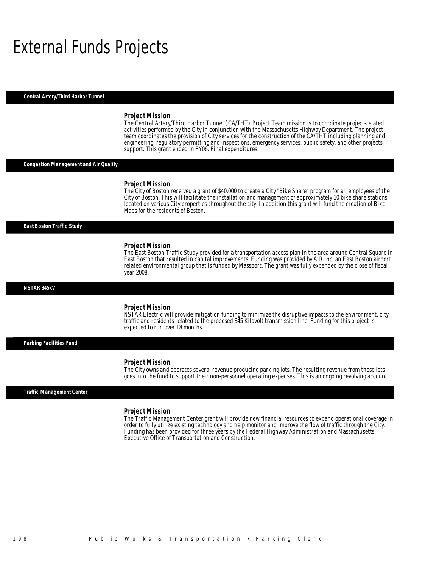# External Funds Projects

*Central Artery/Third Harbor Tunnel* 

#### *Project Mission*

The Central Artery/Third Harbor Tunnel (CA/THT) Project Team mission is to coordinate project-related activities performed by the City in conjunction with the Massachusetts Highway Department. The project team coordinates the provision of City services for the construction of the CA/THT including planning and engineering, regulatory permitting and inspections, emergency services, public safety, and other projects support. This grant ended in FY06. Final expenditures.

*Congestion Management and Air Quality* 

#### *Project Mission*

The City of Boston received a grant of \$40,000 to create a City "Bike Share" program for all employees of the City of Boston. This will facilitate the installation and management of approximately 10 bike share stations located on various City properties throughout the city. In addition this grant will fund the creation of Bike Maps for the residents of Boston.

*East Boston Traffic Study* 

#### *Project Mission*

The East Boston Traffic Study provided for a transportation access plan in the area around Central Square in East Boston that resulted in capital improvements. Funding was provided by AIR Inc, an East Boston airport related environmental group that is funded by Massport. The grant was fully expended by the close of fiscal year 2008.

#### *NSTAR 345kV*

#### *Project Mission*

Ĭ

Ì

NSTAR Electric will provide mitigation funding to minimize the disruptive impacts to the environment, city traffic and residents related to the proposed 345 Kilovolt transmission line. Funding for this project is expected to run over 18 months.

*Parking Facilities Fund* 

#### *Project Mission*

The City owns and operates several revenue producing parking lots. The resulting revenue from these lots goes into the fund to support their non-personnel operating expenses. This is an ongoing revolving account.

#### *Traffic Management Center*

#### *Project Mission*

The Traffic Management Center grant will provide new financial resources to expand operational coverage in order to fully utilize existing technology and help monitor and improve the flow of traffic through the City. Funding has been provided for three years by the Federal Highway Administration and Massachusetts Executive Office of Transportation and Construction.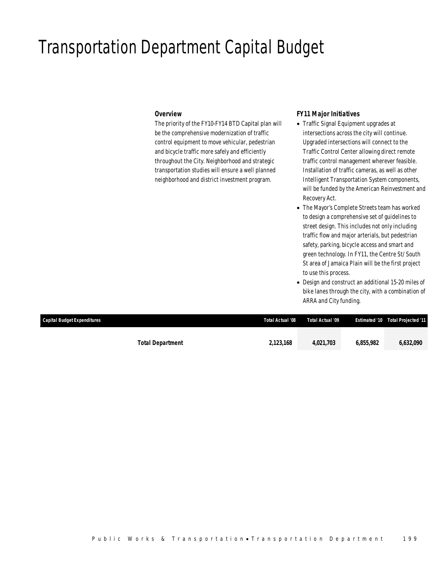# Transportation Department Capital Budget

### *Overview*

The priority of the FY10-FY14 BTD Capital plan will be the comprehensive modernization of traffic control equipment to move vehicular, pedestrian and bicycle traffic more safely and efficiently throughout the City. Neighborhood and strategic transportation studies will ensure a well planned neighborhood and district investment program.

## *FY11 Major Initiatives*

- Traffic Signal Equipment upgrades at intersections across the city will continue. Upgraded intersections will connect to the Traffic Control Center allowing direct remote traffic control management wherever feasible. Installation of traffic cameras, as well as other Intelligent Transportation System components, will be funded by the American Reinvestment and Recovery Act.
- The Mayor's Complete Streets team has worked to design a comprehensive set of guidelines to street design. This includes not only including traffic flow and major arterials, but pedestrian safety, parking, bicycle access and smart and green technology. In FY11, the Centre St/ South St area of Jamaica Plain will be the first project to use this process.
- Design and construct an additional 15-20 miles of bike lanes through the city, with a combination of ARRA and City funding.

| Capital Budget Expenditures |                         | Total Actual '08 | Total Actual '09 |           | <b>Estimated '10 Total Projected '11</b> |
|-----------------------------|-------------------------|------------------|------------------|-----------|------------------------------------------|
|                             |                         |                  |                  |           |                                          |
|                             | <b>Total Department</b> | 2,123,168        | 4.021.703        | 6.855.982 | 6,632,090                                |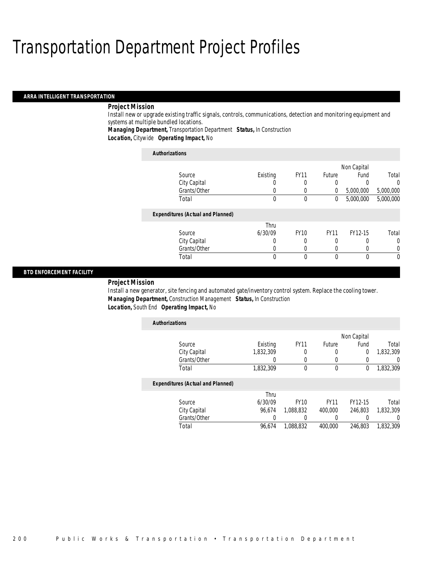#### *ARRA INTELLIGENT TRANSPORTATION*

## *Project Mission*

Install new or upgrade existing traffic signals, controls, communications, detection and monitoring equipment and systems at multiple bundled locations.

*Managing Department,* Transportation Department *Status,* In Construction

*Location,* Citywide *Operating Impact,* No

| <b>Authorizations</b>                    |          |             |               |             |           |
|------------------------------------------|----------|-------------|---------------|-------------|-----------|
|                                          |          |             |               | Non Capital |           |
| Source                                   | Existing | <b>FY11</b> | <b>Future</b> | Fund        | Total     |
| City Capital                             |          |             |               |             | 0         |
| Grants/Other                             | 0        | 0           | $\left($      | 5,000,000   | 5,000,000 |
| Total                                    | $\theta$ | $\theta$    | $\mathbf{0}$  | 5,000,000   | 5,000,000 |
| <b>Expenditures (Actual and Planned)</b> |          |             |               |             |           |
|                                          | Thru     |             |               |             |           |
| Source                                   | 6/30/09  | <b>FY10</b> | <b>FY11</b>   | FY12-15     | Total     |
| City Capital                             | 0        |             | 0             |             | $\Omega$  |
| Grants/Other                             | 0        |             | O             |             |           |
| Total                                    | 0        | 0           | $\Omega$      | $\Omega$    | 0         |

### *BTD ENFORCEMENT FACILITY*

### *Project Mission*

Install a new generator, site fencing and automated gate/inventory control system. Replace the cooling tower. *Managing Department,* Construction Management *Status,* In Construction *Location,* South End *Operating Impact,* No

| <b>Authorizations</b>                    |           |             |             |             |           |
|------------------------------------------|-----------|-------------|-------------|-------------|-----------|
|                                          |           |             |             | Non Capital |           |
| Source                                   | Existing  | <b>FY11</b> | Future      | Fund        | Total     |
| City Capital                             | 1,832,309 | 0           | 0           | 0           | 1,832,309 |
| Grants/Other                             | 0         | 0           | 0           | 0           | 0         |
| Total                                    | 1,832,309 | 0           | $\mathbf 0$ | 0           | 1,832,309 |
| <b>Expenditures (Actual and Planned)</b> |           |             |             |             |           |
|                                          | Thru      |             |             |             |           |
| Source                                   | 6/30/09   | <b>FY10</b> | <b>FY11</b> | FY12-15     | Total     |
| City Capital                             | 96.674    | 1.088.832   | 400,000     | 246.803     | 1.832.309 |
| Grants/Other                             | 0         | 0           | 0           |             | U         |
| Total                                    | 96.674    | 1.088.832   | 400.000     | 246.803     | 1.832.309 |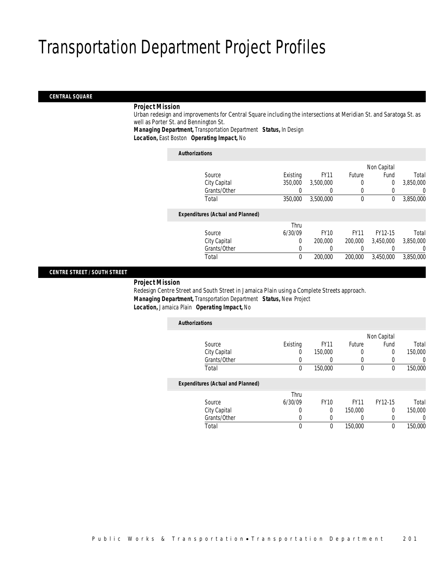#### *CENTRAL SQUARE*

### *Project Mission*

Urban redesign and improvements for Central Square including the intersections at Meridian St. and Saratoga St. as well as Porter St. and Bennington St.

*Managing Department,* Transportation Department *Status,* In Design

*Location,* East Boston *Operating Impact,* No

| <b>Authorizations</b>                    |          |             |             |             |           |
|------------------------------------------|----------|-------------|-------------|-------------|-----------|
|                                          |          |             |             | Non Capital |           |
| Source                                   | Existing | <b>FY11</b> | Future      | Fund        | Total     |
| City Capital                             | 350,000  | 3,500,000   | 0           | $\mathbf 0$ | 3,850,000 |
| Grants/Other                             | 0        | $\left($    | $\left($    | 0           | 0         |
| Total                                    | 350,000  | 3,500,000   | $\mathbf 0$ | 0           | 3,850,000 |
| <b>Expenditures (Actual and Planned)</b> |          |             |             |             |           |
|                                          | Thru     |             |             |             |           |
| Source                                   | 6/30/09  | <b>FY10</b> | <b>FY11</b> | FY12-15     | Total     |
| City Capital                             | 0        | 200,000     | 200,000     | 3.450.000   | 3,850,000 |
| Grants/Other                             | 0        | 0           | 0           |             | 0         |
| Total                                    | 0        | 200,000     | 200,000     | 3.450.000   | 3.850.000 |
|                                          |          |             |             |             |           |

## *CENTRE STREET / SOUTH STREET*

#### *Project Mission*

Redesign Centre Street and South Street in Jamaica Plain using a Complete Streets approach. *Managing Department,* Transportation Department *Status,* New Project *Location,* Jamaica Plain *Operating Impact,* No

| <b>Authorizations</b>                    |             |             |             |             |         |
|------------------------------------------|-------------|-------------|-------------|-------------|---------|
|                                          |             |             |             | Non Capital |         |
| Source                                   | Existing    | <b>FY11</b> | Future      | Fund        | Total   |
| City Capital                             | 0           | 150,000     | $\left($    | 0           | 150,000 |
| Grants/Other                             | 0           |             | $\left($    |             | 0       |
| Total                                    | $\mathbf 0$ | 150,000     | $\mathbf 0$ | 0           | 150,000 |
| <b>Expenditures (Actual and Planned)</b> |             |             |             |             |         |
|                                          | Thru        |             |             |             |         |
| Source                                   | 6/30/09     | <b>FY10</b> | <b>FY11</b> | FY12-15     | Total   |
| City Capital                             | $\theta$    | $\theta$    | 150,000     | 0           | 150,000 |
| Grants/Other                             | 0           |             |             |             | 0       |
| Total                                    | 0           | 0           | 150,000     | $\theta$    | 150,000 |
|                                          |             |             |             |             |         |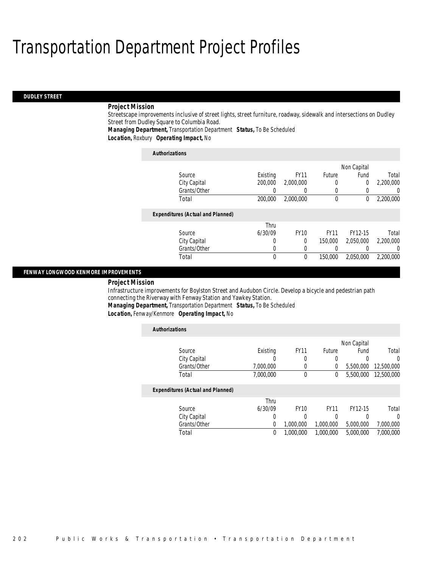#### *DUDLEY STREET*

### *Project Mission*

Streetscape improvements inclusive of street lights, street furniture, roadway, sidewalk and intersections on Dudley Street from Dudley Square to Columbia Road.

*Managing Department,* Transportation Department *Status,* To Be Scheduled

*Location,* Roxbury *Operating Impact,* No

| <b>Authorizations</b>                    |          |             |             |             |           |
|------------------------------------------|----------|-------------|-------------|-------------|-----------|
|                                          |          |             |             | Non Capital |           |
| Source                                   | Existing | <b>FY11</b> | Future      | Fund        | Total     |
| City Capital                             | 200,000  | 2,000,000   | 0           | $\mathbf 0$ | 2,200,000 |
| Grants/Other                             | 0        | 0           | 0           |             | $\Omega$  |
| Total                                    | 200,000  | 2.000.000   | $\theta$    | $\Omega$    | 2,200,000 |
| <b>Expenditures (Actual and Planned)</b> |          |             |             |             |           |
|                                          | Thru     |             |             |             |           |
| Source                                   | 6/30/09  | <b>FY10</b> | <b>FY11</b> | FY12-15     | Total     |
| City Capital                             | 0        | $\Omega$    | 150,000     | 2.050.000   | 2.200.000 |
| Grants/Other                             | 0        | 0           |             |             | $\Omega$  |
| Total                                    | 0        | $\theta$    | 150,000     | 2.050.000   | 2.200.000 |

### *FENWAY LONGWOOD KENMORE IMPROVEMENTS*

#### *Project Mission*

Infrastructure improvements for Boylston Street and Audubon Circle. Develop a bicycle and pedestrian path connecting the Riverway with Fenway Station and Yawkey Station.

*Managing Department,* Transportation Department *Status,* To Be Scheduled

*Location,* Fenway/Kenmore *Operating Impact,* No

| <b>Authorizations</b>                    |           |             |               |             |            |
|------------------------------------------|-----------|-------------|---------------|-------------|------------|
|                                          |           |             |               | Non Capital |            |
| Source                                   | Existing  | <b>FY11</b> | <b>Future</b> | Fund        | Total      |
| City Capital                             |           | 0           | 0             | 0           | 0          |
| Grants/Other                             | 7,000,000 | 0           | 0             | 5.500.000   | 12,500,000 |
| Total                                    | 7,000,000 | $\theta$    | 0             | 5,500,000   | 12,500,000 |
| <b>Expenditures (Actual and Planned)</b> |           |             |               |             |            |
|                                          | Thru      |             |               |             |            |
| Source                                   | 6/30/09   | <b>FY10</b> | <b>FY11</b>   | FY12-15     | Total      |
| City Capital                             | 0         | 0           | 0             | 0           | 0          |
| Grants/Other                             | 0         | 1,000,000   | 1,000,000     | 5,000,000   | 7,000,000  |
| Total                                    | 0         | 1,000,000   | 1,000,000     | 5,000,000   | 7.000.000  |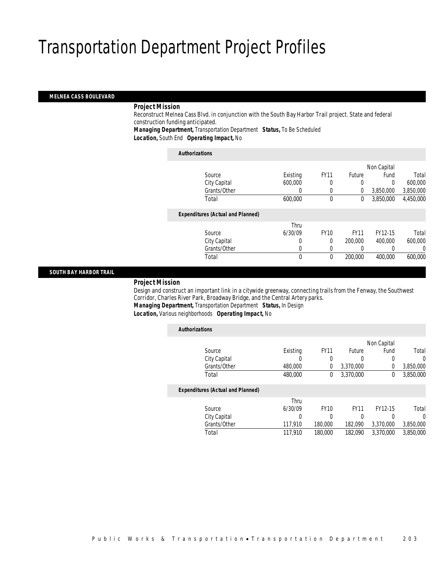#### *MELNEA CASS BOULEVARD*

### *Project Mission*

Reconstruct Melnea Cass Blvd. in conjunction with the South Bay Harbor Trail project. State and federal construction funding anticipated. *Managing Department,* Transportation Department *Status,* To Be Scheduled

*Location,* South End *Operating Impact,* No

| <b>Authorizations</b>                    |          |             |             |             |           |
|------------------------------------------|----------|-------------|-------------|-------------|-----------|
|                                          |          |             |             | Non Capital |           |
| Source                                   | Existing | <b>FY11</b> | Future      | Fund        | Total     |
| City Capital                             | 600,000  | 0           | 0           | 0           | 600,000   |
| Grants/Other                             | 0        | 0           | 0           | 3,850,000   | 3,850,000 |
| Total                                    | 600,000  | $\theta$    | 0           | 3.850.000   | 4,450,000 |
| <b>Expenditures (Actual and Planned)</b> |          |             |             |             |           |
|                                          | Thru     |             |             |             |           |
| Source                                   | 6/30/09  | <b>FY10</b> | <b>FY11</b> | FY12-15     | Total     |
| City Capital                             | 0        | 0           | 200,000     | 400,000     | 600,000   |
| Grants/Other                             | 0        | $\Omega$    |             |             | 0         |
| Total                                    | 0        | $\theta$    | 200,000     | 400.000     | 600,000   |
|                                          |          |             |             |             |           |

#### *SOUTH BAY HARBOR TRAIL*

#### *Project Mission*

Design and construct an important link in a citywide greenway, connecting trails from the Fenway, the Southwest Corridor, Charles River Park, Broadway Bridge, and the Central Artery parks. *Managing Department,* Transportation Department *Status,* In Design

*Location,* Various neighborhoods *Operating Impact,* No

| <b>Authorizations</b>                    |          |             |               |             |           |
|------------------------------------------|----------|-------------|---------------|-------------|-----------|
|                                          |          |             |               | Non Capital |           |
| Source                                   | Existing | <b>FY11</b> | <b>Future</b> | Fund        | Total     |
| City Capital                             |          | 0           | 0             | 0           | $\Omega$  |
| Grants/Other                             | 480,000  | 0           | 3,370,000     | 0           | 3,850,000 |
| Total                                    | 480,000  | 0           | 3.370.000     | $\Omega$    | 3,850,000 |
| <b>Expenditures (Actual and Planned)</b> |          |             |               |             |           |
|                                          | Thru     |             |               |             |           |
| Source                                   | 6/30/09  | <b>FY10</b> | <b>FY11</b>   | FY12-15     | Total     |
| City Capital                             | 0        | 0           | 0             | 0           | $\Omega$  |
| Grants/Other                             | 117,910  | 180,000     | 182,090       | 3,370,000   | 3,850,000 |
| Total                                    | 117.910  | 180,000     | 182.090       | 3,370,000   | 3,850,000 |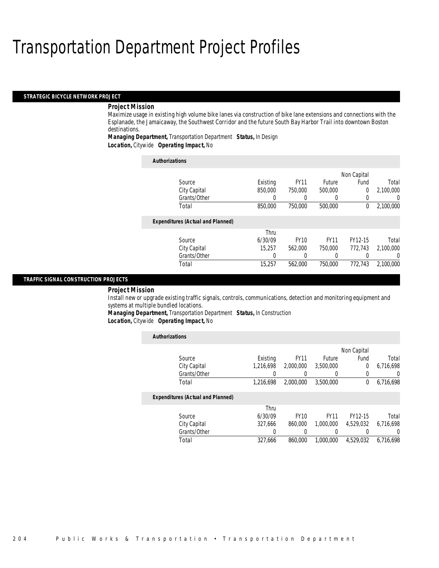#### *STRATEGIC BICYCLE NETWORK PROJECT*

#### *Project Mission*

Maximize usage in existing high volume bike lanes via construction of bike lane extensions and connections with the Esplanade, the Jamaicaway, the Southwest Corridor and the future South Bay Harbor Trail into downtown Boston destinations.

*Managing Department,* Transportation Department *Status,* In Design *Location,* Citywide *Operating Impact,* No

| <b>Authorizations</b>                    |          |             |             |              |           |
|------------------------------------------|----------|-------------|-------------|--------------|-----------|
|                                          |          |             |             | Non Capital  |           |
| Source                                   | Existing | <b>FY11</b> | Future      | Fund         | Total     |
| City Capital                             | 850,000  | 750,000     | 500,000     | 0            | 2.100.000 |
| Grants/Other                             | 0        |             |             | 0            | 0         |
| Total                                    | 850,000  | 750,000     | 500,000     | $\mathbf{0}$ | 2,100,000 |
| <b>Expenditures (Actual and Planned)</b> |          |             |             |              |           |
|                                          | Thru     |             |             |              |           |
| Source                                   | 6/30/09  | <b>FY10</b> | <b>FY11</b> | FY12-15      | Total     |
| City Capital                             | 15,257   | 562.000     | 750,000     | 772,743      | 2.100.000 |
| Grants/Other                             | 0        | 0           |             |              | $\left($  |
| Total                                    | 15,257   | 562.000     | 750,000     | 772.743      | 2.100.000 |

### *TRAFFIC SIGNAL CONSTRUCTION PROJECTS*

#### *Project Mission*

Install new or upgrade existing traffic signals, controls, communications, detection and monitoring equipment and systems at multiple bundled locations.

*Managing Department,* Transportation Department *Status,* In Construction

*Location,* Citywide *Operating Impact,* No

| <b>Authorizations</b>                    |           |             |             |                |           |
|------------------------------------------|-----------|-------------|-------------|----------------|-----------|
|                                          |           |             |             | Non Capital    |           |
| Source                                   | Existing  | <b>FY11</b> | Future      | Fund           | Total     |
| City Capital                             | 1.216.698 | 2,000,000   | 3,500,000   | $\overline{0}$ | 6.716.698 |
| Grants/Other                             | 0         | 0           | 0           | $\left($       | 0         |
| Total                                    | 1,216,698 | 2.000.000   | 3,500,000   | $\Omega$       | 6,716,698 |
| <b>Expenditures (Actual and Planned)</b> |           |             |             |                |           |
|                                          | Thru      |             |             |                |           |
| Source                                   | 6/30/09   | <b>FY10</b> | <b>FY11</b> | FY12-15        | Total     |
| City Capital                             | 327.666   | 860,000     | 1.000.000   | 4,529,032      | 6.716.698 |
| Grants/Other                             | 0         |             | 0           |                | $\Omega$  |
| Total                                    | 327,666   | 860,000     | 1,000,000   | 4.529.032      | 6,716,698 |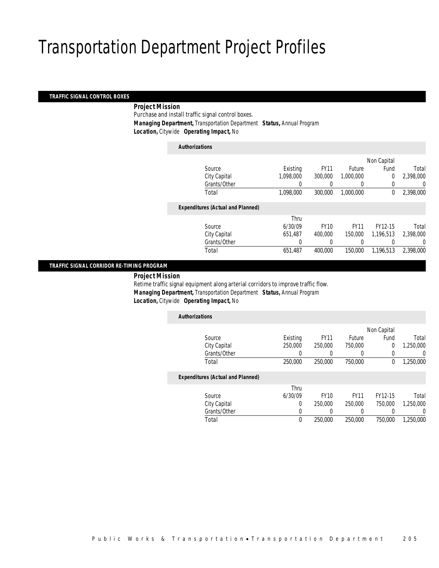### *TRAFFIC SIGNAL CONTROL BOXES*

### *Project Mission*

Purchase and install traffic signal control boxes. *Managing Department,* Transportation Department *Status,* Annual Program *Location,* Citywide *Operating Impact,* No

*Authorizations*

|                                          |           |             |             | Non Capital |           |
|------------------------------------------|-----------|-------------|-------------|-------------|-----------|
| Source                                   | Existing  | <b>FY11</b> | Future      | Fund        | Total     |
| City Capital                             | 1,098,000 | 300,000     | 1.000.000   | $\mathbf 0$ | 2,398,000 |
| Grants/Other                             | 0         | 0           | $\left($    |             | 0         |
| Total                                    | 1,098,000 | 300,000     | 1.000.000   | 0           | 2,398,000 |
|                                          |           |             |             |             |           |
| <b>Expenditures (Actual and Planned)</b> |           |             |             |             |           |
|                                          | Thru      |             |             |             |           |
| Source                                   | 6/30/09   | <b>FY10</b> | <b>FY11</b> | FY12-15     | Total     |
| City Capital                             | 651,487   | 400,000     | 150,000     | 1.196.513   | 2,398,000 |
| Grants/Other                             | 0         |             |             |             | 0         |
| Total                                    | 651,487   | 400.000     | 150,000     | 1,196,513   | 2,398,000 |
|                                          |           |             |             |             |           |

### *TRAFFIC SIGNAL CORRIDOR RE-TIMING PROGRAM*

*Project Mission* 

Retime traffic signal equipment along arterial corridors to improve traffic flow. *Managing Department,* Transportation Department *Status,* Annual Program *Location,* Citywide *Operating Impact,* No

| <b>Authorizations</b>                    |          |             |             |             |           |
|------------------------------------------|----------|-------------|-------------|-------------|-----------|
|                                          |          |             |             | Non Capital |           |
| Source                                   | Existing | <b>FY11</b> | Future      | Fund        | Total     |
| City Capital                             | 250,000  | 250,000     | 750,000     | 0           | 1,250,000 |
| Grants/Other                             | 0        |             |             | $\Omega$    | 0         |
| Total                                    | 250,000  | 250,000     | 750,000     | 0           | 1,250,000 |
| <b>Expenditures (Actual and Planned)</b> |          |             |             |             |           |
|                                          | Thru     |             |             |             |           |
| Source                                   | 6/30/09  | <b>FY10</b> | <b>FY11</b> | FY12-15     | Total     |
| City Capital                             | 0        | 250,000     | 250,000     | 750,000     | 1,250,000 |
| Grants/Other                             | 0        |             |             | 0           |           |
| Total                                    | $\theta$ | 250,000     | 250,000     | 750,000     | 1.250.000 |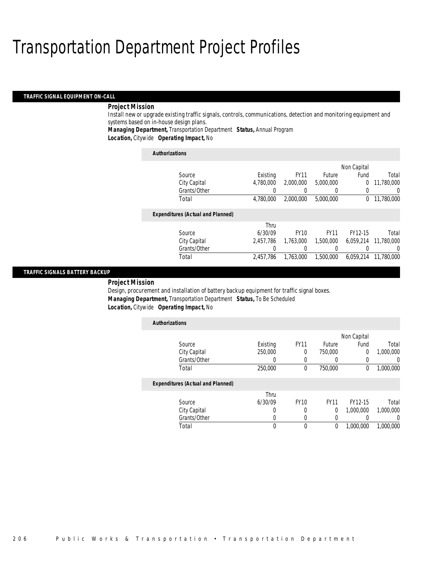#### *TRAFFIC SIGNAL EQUIPMENT ON-CALL*

## *Project Mission*

Install new or upgrade existing traffic signals, controls, communications, detection and monitoring equipment and systems based on in-house design plans.

*Managing Department,* Transportation Department *Status,* Annual Program

*Location,* Citywide *Operating Impact,* No

| <b>Authorizations</b>                    |           |             |             |             |            |
|------------------------------------------|-----------|-------------|-------------|-------------|------------|
|                                          |           |             |             | Non Capital |            |
| Source                                   | Existing  | <b>FY11</b> | Future      | Fund        | Total      |
| City Capital                             | 4.780.000 | 2,000,000   | 5,000,000   | 0           | 11.780.000 |
| Grants/Other                             | 0         |             |             | $\Omega$    | 0          |
| Total                                    | 4,780,000 | 2.000.000   | 5,000,000   | 0           | 11,780,000 |
| <b>Expenditures (Actual and Planned)</b> |           |             |             |             |            |
|                                          | Thru      |             |             |             |            |
| Source                                   | 6/30/09   | <b>FY10</b> | <b>FY11</b> | FY12-15     | Total      |
| City Capital                             | 2.457.786 | 1.763.000   | 1.500.000   | 6.059.214   | 11.780.000 |
| Grants/Other                             |           |             |             |             | $\left($   |
| Total                                    | 2.457.786 | 1.763.000   | 1,500,000   | 6.059.214   | 11,780,000 |

### *TRAFFIC SIGNALS BATTERY BACKUP*

### *Project Mission*

Design, procurement and installation of battery backup equipment for traffic signal boxes. *Managing Department,* Transportation Department *Status,* To Be Scheduled *Location,* Citywide *Operating Impact,* No

| <b>Authorizations</b>                    |          |             |               |             |           |
|------------------------------------------|----------|-------------|---------------|-------------|-----------|
|                                          |          |             |               | Non Capital |           |
| Source                                   | Existing | <b>FY11</b> | <b>Future</b> | Fund        | Total     |
| City Capital                             | 250,000  | $\Omega$    | 750,000       | $\Omega$    | 1,000,000 |
| Grants/Other                             | 0        | 0           | 0             | 0           | 0         |
| Total                                    | 250,000  | 0           | 750,000       | 0           | 1,000,000 |
| <b>Expenditures (Actual and Planned)</b> |          |             |               |             |           |
|                                          | Thru     |             |               |             |           |
| Source                                   | 6/30/09  | <b>FY10</b> | <b>FY11</b>   | FY12-15     | Total     |
| City Capital                             | 0        | 0           | 0             | 1,000,000   | 1.000.000 |
| Grants/Other                             | 0        | 0           | 0             |             |           |
| Total                                    | 0        | $\Omega$    | 0             | 1.000.000   | 1.000.000 |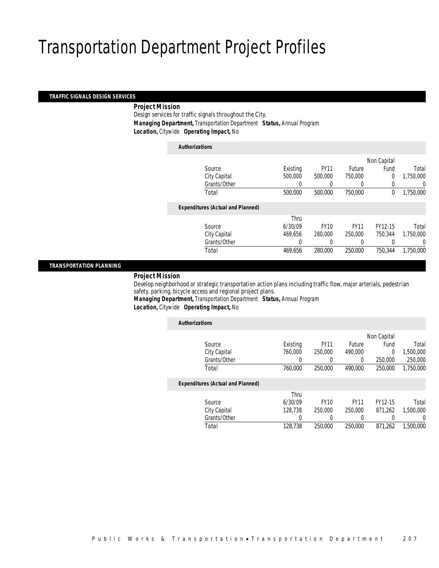#### *TRAFFIC SIGNALS DESIGN SERVICES*

### *Project Mission*

Design services for traffic signals throughout the City. *Managing Department,* Transportation Department *Status,* Annual Program *Location,* Citywide *Operating Impact,* No

## *Authorizations*

|                                          |          |             |             | Non Capital |           |
|------------------------------------------|----------|-------------|-------------|-------------|-----------|
| Source                                   | Existing | <b>FY11</b> | Future      | Fund        | Total     |
| City Capital                             | 500,000  | 500,000     | 750,000     | $\Omega$    | 1,750,000 |
| Grants/Other                             | 0        | 0           | $\left($    | 0           | 0         |
| Total                                    | 500,000  | 500,000     | 750,000     | 0           | 1,750,000 |
|                                          |          |             |             |             |           |
| <b>Expenditures (Actual and Planned)</b> |          |             |             |             |           |
|                                          | Thru     |             |             |             |           |
| Source                                   | 6/30/09  | <b>FY10</b> | <b>FY11</b> | FY12-15     | Total     |
| City Capital                             | 469,656  | 280,000     | 250,000     | 750.344     | 1,750,000 |
| Grants/Other                             | 0        |             |             |             | 0         |
| Total                                    | 469,656  | 280,000     | 250,000     | 750.344     | 1,750,000 |
|                                          |          |             |             |             |           |

### *TRANSPORTATION PLANNING*

## *Project Mission*

Develop neighborhood or strategic transportation action plans including traffic flow, major arterials, pedestrian safety, parking, bicycle access and regional project plans.

*Managing Department,* Transportation Department *Status,* Annual Program *Location,* Citywide *Operating Impact,* No

| <b>Authorizations</b>                    |          |             |             |             |           |
|------------------------------------------|----------|-------------|-------------|-------------|-----------|
|                                          |          |             |             | Non Capital |           |
| Source                                   | Existing | <b>FY11</b> | Future      | Fund        | Total     |
| City Capital                             | 760,000  | 250,000     | 490.000     | 0           | 1,500,000 |
| Grants/Other                             | 0        |             | 0           | 250,000     | 250,000   |
| Total                                    | 760,000  | 250,000     | 490,000     | 250,000     | 1.750.000 |
| <b>Expenditures (Actual and Planned)</b> |          |             |             |             |           |
|                                          | Thru     |             |             |             |           |
| Source                                   | 6/30/09  | <b>FY10</b> | <b>FY11</b> | FY12-15     | Total     |
| City Capital                             | 128.738  | 250,000     | 250,000     | 871.262     | 1,500,000 |
| Grants/Other                             | 0        |             | 0           |             | 0         |
| Total                                    | 128,738  | 250,000     | 250,000     | 871.262     | 1,500,000 |